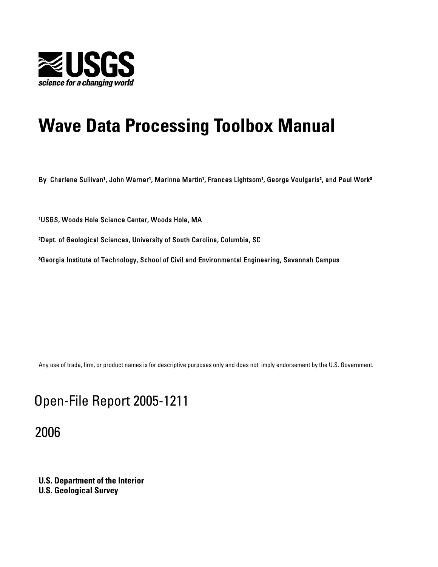

# **Wave Data Processing Toolbox Manual**

By Charlene Sullivan<sup>1</sup>, John Warner<sup>1</sup>, Marinna Martin<sup>1</sup>, Frances Lightsom<sup>1</sup>, George Voulgaris<sup>2</sup>, and Paul Work<sup>3</sup>

'USGS, Woods Hole Science Center, Woods Hole, MA

²Dept. of Geological Sciences, University of South Carolina, Columbia, SC

<sup>3</sup>Georgia Institute of Technology, School of Civil and Environmental Engineering, Savannah Campus

Any use of trade, firm, or product names is for descriptive purposes only and does not imply endorsement by the U.S. Government.

## Open-File Report 2005-1211

2006

**U.S. Department of the Interior U.S. Geological Survey**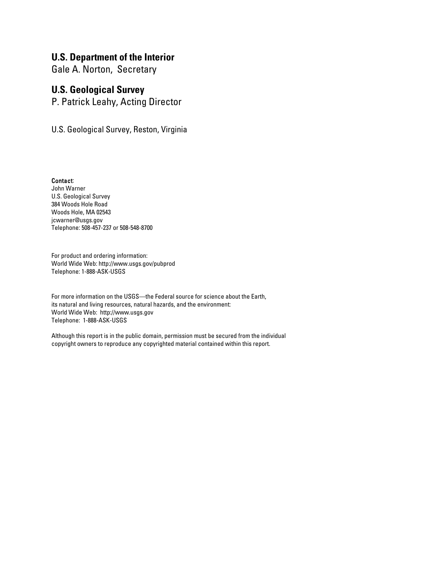### **U.S. Department of the Interior**

Gale A. Norton, Secretary

## **U.S. Geological Survey**

P. Patrick Leahy, Acting Director

U.S. Geological Survey, Reston, Virginia

Contact: John Warner U.S. Geological Survey 384 Woods Hole Road Woods Hole, MA 02543 jcwarner@usgs.gov Telephone: 508-457-237 or 508-548-8700

For product and ordering information: World Wide Web: http://www.usgs.gov/pubprod Telephone: 1-888-ASK-USGS

For more information on the USGS—the Federal source for science about the Earth, its natural and living resources, natural hazards, and the environment: World Wide Web: http://www.usgs.gov Telephone: 1-888-ASK-USGS

Although this report is in the public domain, permission must be secured from the individual copyright owners to reproduce any copyrighted material contained within this report.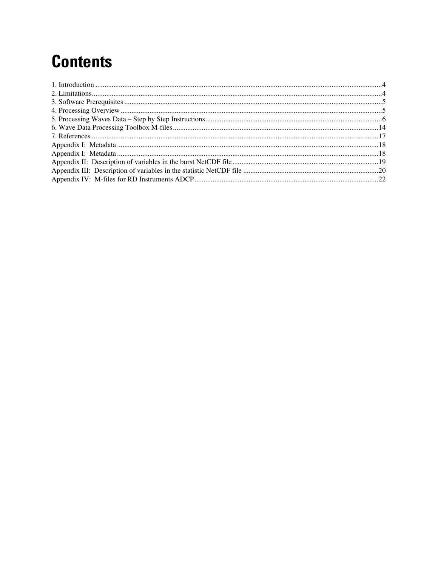# **Contents**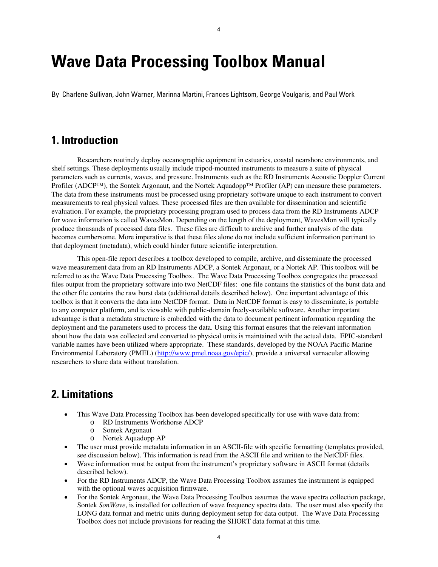## <span id="page-3-0"></span>**Wave Data Processing Toolbox Manual**

By Charlene Sullivan, John Warner, Marinna Martini, Frances Lightsom, George Voulgaris, and Paul Work

## **1. Introduction**

Researchers routinely deploy oceanographic equipment in estuaries, coastal nearshore environments, and shelf settings. These deployments usually include tripod-mounted instruments to measure a suite of physical parameters such as currents, waves, and pressure. Instruments such as the RD Instruments Acoustic Doppler Current Profiler (ADCP™), the Sontek Argonaut, and the Nortek Aquadopp™ Profiler (AP) can measure these parameters. The data from these instruments must be processed using proprietary software unique to each instrument to convert measurements to real physical values. These processed files are then available for dissemination and scientific evaluation. For example, the proprietary processing program used to process data from the RD Instruments ADCP for wave information is called WavesMon. Depending on the length of the deployment, WavesMon will typically produce thousands of processed data files. These files are difficult to archive and further analysis of the data becomes cumbersome. More imperative is that these files alone do not include sufficient information pertinent to that deployment (metadata), which could hinder future scientific interpretation.

This open-file report describes a toolbox developed to compile, archive, and disseminate the processed wave measurement data from an RD Instruments ADCP, a Sontek Argonaut, or a Nortek AP. This toolbox will be referred to as the Wave Data Processing Toolbox. The Wave Data Processing Toolbox congregates the processed files output from the proprietary software into two NetCDF files: one file contains the statistics of the burst data and the other file contains the raw burst data (additional details described below). One important advantage of this toolbox is that it converts the data into NetCDF format. Data in NetCDF format is easy to disseminate, is portable to any computer platform, and is viewable with public-domain freely-available software. Another important advantage is that a metadata structure is embedded with the data to document pertinent information regarding the deployment and the parameters used to process the data. Using this format ensures that the relevant information about how the data was collected and converted to physical units is maintained with the actual data. EPIC-standard variable names have been utilized where appropriate. These standards, developed by the NOAA Pacific Marine Environmental Laboratory (PMEL) (<http://www.pmel.noaa.gov/epic/>), provide a universal vernacular allowing researchers to share data without translation.

## **2. Limitations**

- This Wave Data Processing Toolbox has been developed specifically for use with wave data from: o RD Instruments Workhorse ADCP
	- o Sontek Argonaut
	- o Nortek Aquadopp AP
- The user must provide metadata information in an ASCII-file with specific formatting (templates provided, see discussion below). This information is read from the ASCII file and written to the NetCDF files.
- Wave information must be output from the instrument's proprietary software in ASCII format (details described below).
- For the RD Instruments ADCP, the Wave Data Processing Toolbox assumes the instrument is equipped with the optional waves acquisition firmware.
- For the Sontek Argonaut, the Wave Data Processing Toolbox assumes the wave spectra collection package, Sontek *SonWave*, is installed for collection of wave frequency spectra data. The user must also specify the LONG data format and metric units during deployment setup for data output. The Wave Data Processing Toolbox does not include provisions for reading the SHORT data format at this time.

4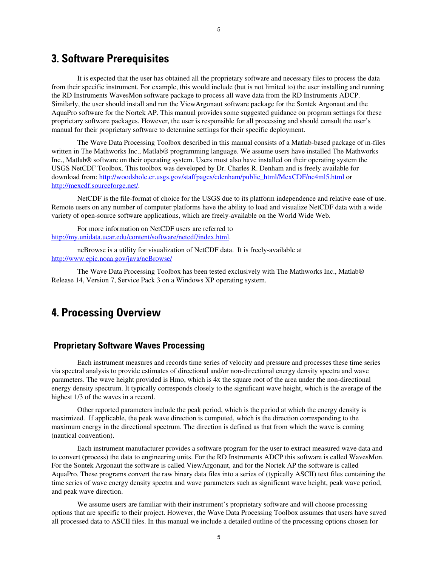## <span id="page-4-0"></span>**3. Software Prerequisites**

It is expected that the user has obtained all the proprietary software and necessary files to process the data from their specific instrument. For example, this would include (but is not limited to) the user installing and running the RD Instruments WavesMon software package to process all wave data from the RD Instruments ADCP. Similarly, the user should install and run the ViewArgonaut software package for the Sontek Argonaut and the AquaPro software for the Nortek AP. This manual provides some suggested guidance on program settings for these proprietary software packages. However, the user is responsible for all processing and should consult the user's manual for their proprietary software to determine settings for their specific deployment.

5

The Wave Data Processing Toolbox described in this manual consists of a Matlab-based package of m-files written in The Mathworks Inc., Matlab® programming language. We assume users have installed The Mathworks Inc., Matlab® software on their operating system. Users must also have installed on their operating system the USGS NetCDF Toolbox. This toolbox was developed by Dr. Charles R. Denham and is freely available for download from: [http://woodshole.er.usgs.gov/staffpages/cdenham/public\\_html/MexCDF/nc4ml5.html](http://woodshole.er.usgs.gov/staffpages/cdenham/public_html/MexCDF/nc4ml5.html) or <http://mexcdf.sourceforge.net/>.

NetCDF is the file-format of choice for the USGS due to its platform independence and relative ease of use. Remote users on any number of computer platforms have the ability to load and visualize NetCDF data with a wide variety of open-source software applications, which are freely-available on the World Wide Web.

For more information on NetCDF users are referred to <http://my.unidata.ucar.edu/content/software/netcdf/index.html>.

ncBrowse is a utility for visualization of NetCDF data. It is freely-available at <http://www.epic.noaa.gov/java/ncBrowse/>

The Wave Data Processing Toolbox has been tested exclusively with The Mathworks Inc., Matlab® Release 14, Version 7, Service Pack 3 on a Windows XP operating system.

## **4. Processing Overview**

#### **Proprietary Software Waves Processing**

Each instrument measures and records time series of velocity and pressure and processes these time series via spectral analysis to provide estimates of directional and/or non-directional energy density spectra and wave parameters. The wave height provided is Hmo, which is 4x the square root of the area under the non-directional energy density spectrum. It typically corresponds closely to the significant wave height, which is the average of the highest 1/3 of the waves in a record.

Other reported parameters include the peak period, which is the period at which the energy density is maximized. If applicable, the peak wave direction is computed, which is the direction corresponding to the maximum energy in the directional spectrum. The direction is defined as that from which the wave is coming (nautical convention).

Each instrument manufacturer provides a software program for the user to extract measured wave data and to convert (process) the data to engineering units. For the RD Instruments ADCP this software is called WavesMon. For the Sontek Argonaut the software is called ViewArgonaut, and for the Nortek AP the software is called AquaPro. These programs convert the raw binary data files into a series of (typically ASCII) text files containing the time series of wave energy density spectra and wave parameters such as significant wave height, peak wave period, and peak wave direction.

We assume users are familiar with their instrument's proprietary software and will choose processing options that are specific to their project. However, the Wave Data Processing Toolbox assumes that users have saved all processed data to ASCII files. In this manual we include a detailed outline of the processing options chosen for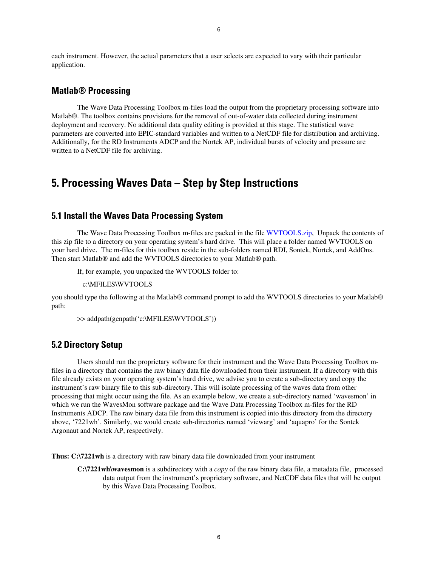<span id="page-5-0"></span>each instrument. However, the actual parameters that a user selects are expected to vary with their particular application.

#### **Matlab® Processing**

The Wave Data Processing Toolbox m-files load the output from the proprietary processing software into Matlab®. The toolbox contains provisions for the removal of out-of-water data collected during instrument deployment and recovery. No additional data quality editing is provided at this stage. The statistical wave parameters are converted into EPIC-standard variables and written to a NetCDF file for distribution and archiving. Additionally, for the RD Instruments ADCP and the Nortek AP, individual bursts of velocity and pressure are written to a NetCDF file for archiving.

## **5. Processing Waves Data – Step by Step Instructions**

#### **5.1 Install the Waves Data Processing System**

The Wave Data Processing Toolbox m-files are packed in the file [WVTOOLS.zip](http://pubs.usgs.gov/of/2005/1211/WVTOOLS.zip), Unpack the contents of this zip file to a directory on your operating system's hard drive. This will place a folder named WVTOOLS on your hard drive. The m-files for this toolbox reside in the sub-folders named RDI, Sontek, Nortek, and AddOns. Then start Matlab® and add the WVTOOLS directories to your Matlab® path.

If, for example, you unpacked the WVTOOLS folder to:

c:\MFILES\WVTOOLS

you should type the following at the Matlab® command prompt to add the WVTOOLS directories to your Matlab® path:

>> addpath(genpath('c:\MFILES\WVTOOLS'))

#### **5.2 Directory Setup**

Users should run the proprietary software for their instrument and the Wave Data Processing Toolbox mfiles in a directory that contains the raw binary data file downloaded from their instrument. If a directory with this file already exists on your operating system's hard drive, we advise you to create a sub-directory and copy the instrument's raw binary file to this sub-directory. This will isolate processing of the waves data from other processing that might occur using the file. As an example below, we create a sub-directory named 'wavesmon' in which we run the WavesMon software package and the Wave Data Processing Toolbox m-files for the RD Instruments ADCP. The raw binary data file from this instrument is copied into this directory from the directory above, '7221wh'. Similarly, we would create sub-directories named 'viewarg' and 'aquapro' for the Sontek Argonaut and Nortek AP, respectively.

**Thus: C:\7221wh** is a directory with raw binary data file downloaded from your instrument

**C:\7221wh\wavesmon** is a subdirectory with a *copy* of the raw binary data file, a metadata file, processed data output from the instrument's proprietary software, and NetCDF data files that will be output by this Wave Data Processing Toolbox.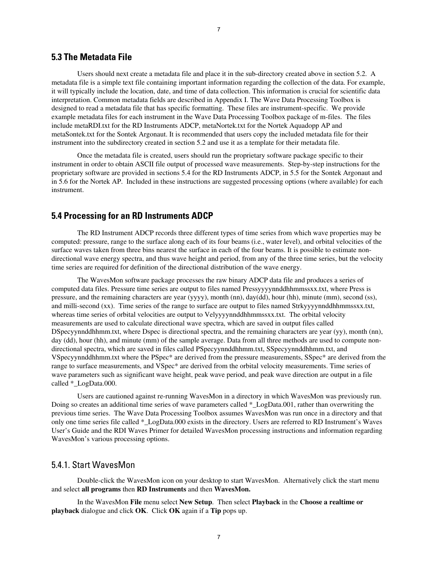#### **5.3 The Metadata File**

Users should next create a metadata file and place it in the sub-directory created above in section 5.2. A metadata file is a simple text file containing important information regarding the collection of the data. For example, it will typically include the location, date, and time of data collection. This information is crucial for scientific data interpretation. Common metadata fields are described in Appendix I. The Wave Data Processing Toolbox is designed to read a metadata file that has specific formatting. These files are instrument-specific. We provide example metadata files for each instrument in the Wave Data Processing Toolbox package of m-files. The files include metaRDI.txt for the RD Instruments ADCP, metaNortek.txt for the Nortek Aquadopp AP and metaSontek.txt for the Sontek Argonaut. It is recommended that users copy the included metadata file for their instrument into the subdirectory created in section 5.2 and use it as a template for their metadata file.

Once the metadata file is created, users should run the proprietary software package specific to their instrument in order to obtain ASCII file output of processed wave measurements. Step-by-step instructions for the proprietary software are provided in sections 5.4 for the RD Instruments ADCP, in 5.5 for the Sontek Argonaut and in 5.6 for the Nortek AP. Included in these instructions are suggested processing options (where available) for each instrument.

#### **5.4 Processing for an RD Instruments ADCP**

The RD Instrument ADCP records three different types of time series from which wave properties may be computed: pressure, range to the surface along each of its four beams (i.e., water level), and orbital velocities of the surface waves taken from three bins nearest the surface in each of the four beams. It is possible to estimate nondirectional wave energy spectra, and thus wave height and period, from any of the three time series, but the velocity time series are required for definition of the directional distribution of the wave energy.

The WavesMon software package processes the raw binary ADCP data file and produces a series of computed data files. Pressure time series are output to files named Pressyyyynnddhhmmssxx.txt, where Press is pressure, and the remaining characters are year (yyyy), month (nn), day(dd), hour (hh), minute (mm), second (ss), and milli-second (xx). Time series of the range to surface are output to files named Strkyyyynnddhhmmssxx.txt, whereas time series of orbital velocities are output to Velyyyynnddhhmmssxx.txt. The orbital velocity measurements are used to calculate directional wave spectra, which are saved in output files called DSpecyynnddhhmm.txt, where Dspec is directional spectra, and the remaining characters are year (yy), month (nn), day (dd), hour (hh), and minute (mm) of the sample average. Data from all three methods are used to compute nondirectional spectra, which are saved in files called PSpecyynnddhhmm.txt, SSpecyynnddhhmm.txt, and VSpecyynnddhhmm.txt where the PSpec\* are derived from the pressure measurements, SSpec\* are derived from the range to surface measurements, and VSpec\* are derived from the orbital velocity measurements. Time series of wave parameters such as significant wave height, peak wave period, and peak wave direction are output in a file called \* LogData.000.

Users are cautioned against re-running WavesMon in a directory in which WavesMon was previously run. Doing so creates an additional time series of wave parameters called \*\_LogData.001, rather than overwriting the previous time series. The Wave Data Processing Toolbox assumes WavesMon was run once in a directory and that only one time series file called \*\_LogData.000 exists in the directory. Users are referred to RD Instrument's Waves User's Guide and the RDI Waves Primer for detailed WavesMon processing instructions and information regarding WavesMon's various processing options.

#### 5.4.1. Start WavesMon

Double-click the WavesMon icon on your desktop to start WavesMon. Alternatively click the start menu and select **all programs** then **RD Instruments** and then **WavesMon.** 

In the WavesMon **File** menu select **New Setup**. Then select **Playback** in the **Choose a realtime or playback** dialogue and click **OK**. Click **OK** again if a **Tip** pops up.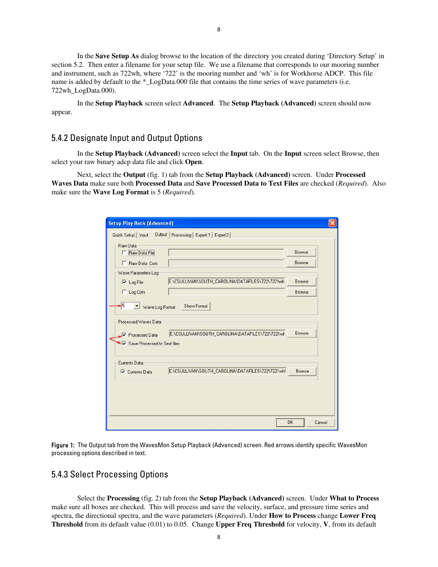In the **Save Setup As** dialog browse to the location of the directory you created during 'Directory Setup' in section 5.2. Then enter a filename for your setup file. We use a filename that corresponds to our mooring number and instrument, such as 722wh, where '722' is the mooring number and 'wh' is for Workhorse ADCP. This file name is added by default to the \*\_LogData.000 file that contains the time series of wave parameters (i.e. 722wh\_LogData.000).

In the **Setup Playback** screen select **Advanced**. The **Setup Playback (Advanced)** screen should now appear.

#### 5.4.2 Designate Input and Output Options

In the **Setup Playback (Advanced)** screen select the **Input** tab. On the **Input** screen select Browse, then select your raw binary adcp data file and click **Open**.

Next, select the **Output** (fig. 1) tab from the **Setup Playback (Advanced)** screen. Under **Processed Waves Data** make sure both **Processed Data** and **Save Processed Data to Text Files** are checked (*Required*). Also make sure the **Wave Log Format** is 5 (*Required*).

| Raw Data File                                  |                                                   | Browse |
|------------------------------------------------|---------------------------------------------------|--------|
| F Raw Data Com                                 |                                                   | Browse |
| Wave Parameters Log                            |                                                   |        |
| $\nabla$ Log File                              | E:\CSULLIVAN\SOUTH_CAROLINA\DATAFILES\722\7221wh  | Browse |
| Log Com                                        |                                                   | Browse |
| ○ Save Processed to Text files                 |                                                   |        |
|                                                |                                                   |        |
| Currents Data<br>$\triangledown$ Currents Data | E:\CSULLIVAN\SOUTH_CAROLINA\DATAFILES\722\7221wh\ | Browse |
|                                                |                                                   |        |

Figure 1: The Output tab from the WavesMon Setup Playback (Advanced) screen. Red arrows identify specific WavesMon processing options described in text.

#### 5.4.3 Select Processing Options

Select the **Processing** (fig. 2) tab from the **Setup Playback (Advanced)** screen. Under **What to Process** make sure all boxes are checked. This will process and save the velocity, surface, and pressure time series and spectra, the directional spectra, and the wave parameters (*Required*). Under **How to Process** change **Lower Freq Threshold** from its default value (0.01) to 0.05. Change **Upper Freq Threshold** for velocity, **V**, from its default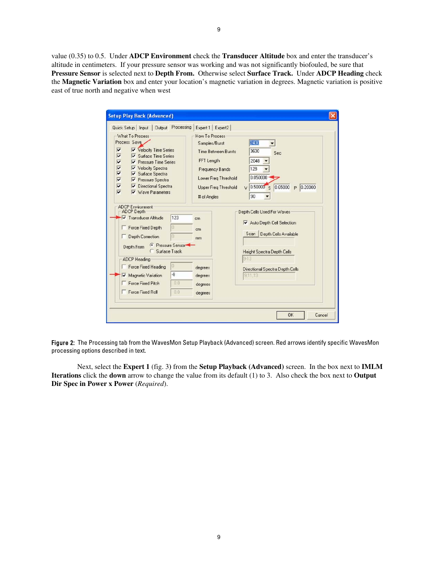value (0.35) to 0.5. Under **ADCP Environment** check the **Transducer Altitude** box and enter the transducer's altitude in centimeters. If your pressure sensor was working and was not significantly biofouled, be sure that **Pressure Sensor** is selected next to **Depth From.** Otherwise select **Surface Track.** Under **ADCP Heading** check the **Magnetic Variation** box and enter your location's magnetic variation in degrees. Magnetic variation is positive east of true north and negative when west

| Quick Setup   Input   Output Processing<br>What To Process<br>Process Save<br>⊽<br>Velocity Time Series<br>$\overline{\mathbf{v}}$<br>$\triangledown$ Surface Time Series<br>v<br><b>V</b> Pressure Time Series<br>$\overline{\mathbf{v}}$<br>Velocity Spectra<br>⊽<br>$\triangledown$ Surface Spectra<br>$\overline{\mathbf{v}}$<br>▼ Pressure Spectra<br>⊽<br>Directional Spectra<br>$\overline{\mathbf{v}}$<br>V Wave Parameters | Expert 1 Expert2<br>How To Process<br>Samples/Burst<br><b>Time Between Bursts</b><br>FFT Length<br>Frequency Bands<br>Lower Freg Threshold<br><b>Upper Freg Threshold</b><br># of Angles | 2400<br>3600<br>Sec<br>2048<br>128<br>0.050000<br>0.50000S<br>0.65000<br>$P$ 0.20000<br>$\vee$<br>90                                                                             |
|-------------------------------------------------------------------------------------------------------------------------------------------------------------------------------------------------------------------------------------------------------------------------------------------------------------------------------------------------------------------------------------------------------------------------------------|------------------------------------------------------------------------------------------------------------------------------------------------------------------------------------------|----------------------------------------------------------------------------------------------------------------------------------------------------------------------------------|
| <b>ADCP Environment</b><br>ADCP Depth<br>123<br><b>V</b> Transducer Altitude<br>Force Fixed Depth<br>o<br>Depth Correction<br>A<br>Pressure Sensor<br>Depth From<br><b>C</b> Surface Track<br>ADCP Heading<br>0<br>Force Fixed Heading<br>$\cdot 8$<br>Magnetic Variation<br>⊽<br>0.0<br><b>Force Fixed Pitch</b><br>Force Fixed Roll<br>00                                                                                         | cm<br>cm<br>mm<br>degrees<br>degrees<br>degrees<br>degrees                                                                                                                               | Depth Cells Used For Waves<br>Auto Depth Cell Selection<br>Depth Cells Available<br>Scan  <br>Height Spectra Depth Cells<br>$9-13$<br>Directional Spectra Depth Cells<br>9,11,13 |

Figure 2: The Processing tab from the WavesMon Setup Playback (Advanced) screen. Red arrows identify specific WavesMon processing options described in text.

Next, select the **Expert 1** (fig. 3**)** from the **Setup Playback (Advanced)** screen. In the box next to **IMLM Iterations** click the **down** arrow to change the value from its default (1) to 3. Also check the box next to **Output Dir Spec in Power x Power** (*Required*).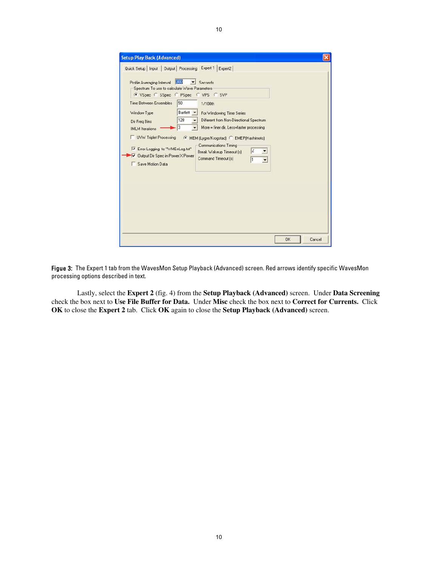| Quick Setup   Input   Output   Processing Expert 1   Expert2<br>300<br>Profile Averaging Interval<br>Seconds<br>Spectrum To use to calculate Wave Parameters<br>C VSpec C SSpec C PSpec C VPS C SVP<br>50<br><b>Time Between Ensembles</b><br>1/100th<br>Bartlett -<br>Window Type<br>For Windowing Time Series<br>128<br>Different from Non-Directional Spectrum<br>۰<br>Dir Freq Bins<br>More = finer dir, Less=faster processing<br>3<br><b>IMLM</b> Iterations<br>UVW Triplet Processing<br>MEM (Lygre/Krogstad) C EMEP(Hashimoto) | <b>Setup Play Back (Advanced)</b> |              |
|----------------------------------------------------------------------------------------------------------------------------------------------------------------------------------------------------------------------------------------------------------------------------------------------------------------------------------------------------------------------------------------------------------------------------------------------------------------------------------------------------------------------------------------|-----------------------------------|--------------|
| Communications Timing<br>Error Logging to "WMErrLog.txt"<br> 2 <br>۰<br>Break Wakeup Timeout [s]<br>Output Dir Spec in Power X Power<br>$\overline{\mathsf{v}}$<br>Command Timeout [s]<br>1<br>$\overline{\phantom{a}}$<br>Save Motion Data                                                                                                                                                                                                                                                                                            |                                   |              |
|                                                                                                                                                                                                                                                                                                                                                                                                                                                                                                                                        |                                   | OK<br>Cancel |

10

Figue 3: The Expert 1 tab from the WavesMon Setup Playback (Advanced) screen. Red arrows identify specific WavesMon processing options described in text.

Lastly, select the **Expert 2** (fig. 4) from the **Setup Playback (Advanced)** screen. Under **Data Screening**  check the box next to **Use File Buffer for Data.** Under **Misc** check the box next to **Correct for Currents.** Click **OK** to close the **Expert 2** tab. Click **OK** again to close the **Setup Playback (Advanced)** screen.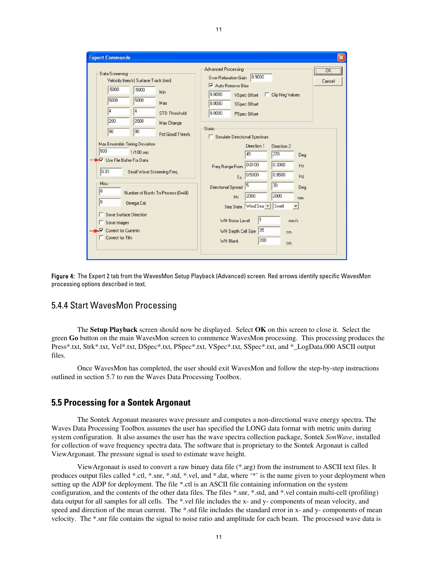|                                                                    |                                                                                                                                       |                  | Advanced Processing<br>OK                                                                                                                                                                                                                                                                     |
|--------------------------------------------------------------------|---------------------------------------------------------------------------------------------------------------------------------------|------------------|-----------------------------------------------------------------------------------------------------------------------------------------------------------------------------------------------------------------------------------------------------------------------------------------------|
| Data Screening                                                     | Velocity (mm/s) Surface Track (mm)                                                                                                    |                  | 0.9000<br>Over Relaxation Gain<br>Cancel<br>$\triangledown$ Auto Remove Bias                                                                                                                                                                                                                  |
| $-5000$                                                            | $-5000$                                                                                                                               | Min              | 0.0000<br><b>Clip Neg Values</b><br><b>VSpec Offset</b>                                                                                                                                                                                                                                       |
| 5000                                                               | 5000                                                                                                                                  | Max              | 0.0000<br><b>SSpec Offset</b>                                                                                                                                                                                                                                                                 |
| 4                                                                  | $\overline{4}$                                                                                                                        | STD Threshold    | 0.0000<br>PSpec Offset                                                                                                                                                                                                                                                                        |
| 200                                                                | 2000                                                                                                                                  | Max Change       |                                                                                                                                                                                                                                                                                               |
| 90                                                                 | 90                                                                                                                                    | Pct Good Thresh. | Static<br>Simulate Directional Spectrum                                                                                                                                                                                                                                                       |
| 500<br>Ise File Buffer For Data<br>0.03<br>Misc<br>$\vert$ 0<br>lo | 1/100 sec<br>Small Wave Screening Freq.<br>Number of Bursts To Process (0=All)<br>Omega Cal.<br>Save Surface Direction<br>Save Images |                  | Direction 2<br>45<br>270<br>Deg<br>0.0100<br>0.3000<br>Hz<br>Freq Range From<br>0.9500<br>0.5000<br>Hz<br>To<br>30<br>5<br>Directional Spread<br>Deg<br>2000<br>2000<br>H <sub>s</sub><br>mm<br>Sea State Wind Sea<br>Swell<br>$\overline{\phantom{a}}$<br>11<br>WH Noise Level<br>mm/s<br>35 |

Figure 4: The Expert 2 tab from the WavesMon Setup Playback (Advanced) screen. Red arrows identify specific WavesMon processing options described in text.

#### 5.4.4 Start WavesMon Processing

The **Setup Playback** screen should now be displayed. Select **OK** on this screen to close it. Select the green **Go** button on the main WavesMon screen to commence WavesMon processing. This processing produces the Press\*.txt, Strk\*.txt, Vel\*.txt, DSpec\*.txt, PSpec\*.txt, VSpec\*.txt, SSpec\*.txt, and \*\_LogData.000 ASCII output files.

Once WavesMon has completed, the user should exit WavesMon and follow the step-by-step instructions outlined in section 5.7 to run the Waves Data Processing Toolbox.

#### **5.5 Processing for a Sontek Argonaut**

The Sontek Argonaut measures wave pressure and computes a non-directional wave energy spectra. The Waves Data Processing Toolbox assumes the user has specified the LONG data format with metric units during system configuration. It also assumes the user has the wave spectra collection package, Sontek *SonWave*, installed for collection of wave frequency spectra data. The software that is proprietary to the Sontek Argonaut is called ViewArgonaut. The pressure signal is used to estimate wave height.

ViewArgonaut is used to convert a raw binary data file (\*.arg) from the instrument to ASCII text files. It produces output files called \*.ctl, \*.snr, \*.std, \*.vel, and \*.dat, where '\*' is the name given to your deployment when setting up the ADP for deployment. The file \*.ctl is an ASCII file containing information on the system configuration, and the contents of the other data files. The files \*.snr, \*.std, and \*.vel contain multi-cell (profiling) data output for all samples for all cells. The \*.vel file includes the x- and y- components of mean velocity, and speed and direction of the mean current. The \*.std file includes the standard error in x- and y- components of mean velocity. The \*.snr file contains the signal to noise ratio and amplitude for each beam. The processed wave data is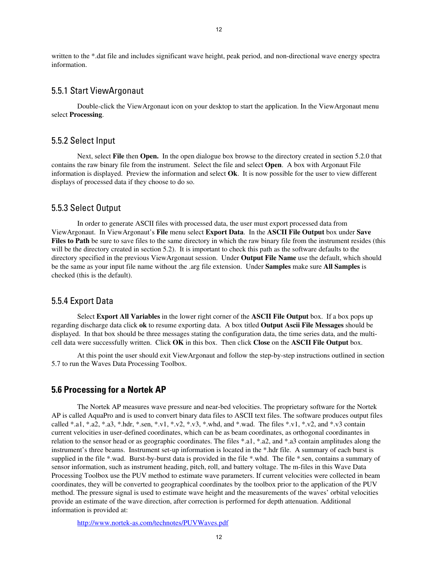written to the \*.dat file and includes significant wave height, peak period, and non-directional wave energy spectra information.

#### 5.5.1 Start ViewArgonaut

Double-click the ViewArgonaut icon on your desktop to start the application. In the ViewArgonaut menu select **Processing**.

#### 5.5.2 Select Input

Next, select **File** then **Open.** In the open dialogue box browse to the directory created in section 5.2.0 that contains the raw binary file from the instrument. Select the file and select **Open**. A box with Argonaut File information is displayed. Preview the information and select **Ok**. It is now possible for the user to view different displays of processed data if they choose to do so.

#### 5.5.3 Select Output

In order to generate ASCII files with processed data, the user must export processed data from ViewArgonaut. In ViewArgonaut's **File** menu select **Export Data**.In the **ASCII File Output** box under **Save Files to Path** be sure to save files to the same directory in which the raw binary file from the instrument resides (this will be the directory created in section 5.2). It is important to check this path as the software defaults to the directory specified in the previous ViewArgonaut session. Under **Output File Name** use the default, which should be the same as your input file name without the .arg file extension. Under **Samples** make sure **All Samples** is checked (this is the default).

#### 5.5.4 Export Data

Select **Export All Variables** in the lower right corner of the **ASCII File Output** box. If a box pops up regarding discharge data click **ok** to resume exporting data. A box titled **Output Ascii File Messages** should be displayed. In that box should be three messages stating the configuration data, the time series data, and the multicell data were successfully written. Click **OK** in this box. Then click **Close** on the **ASCII File Output** box.

At this point the user should exit ViewArgonaut and follow the step-by-step instructions outlined in section 5.7 to run the Waves Data Processing Toolbox.

#### **5.6 Processing for a Nortek AP**

The Nortek AP measures wave pressure and near-bed velocities. The proprietary software for the Nortek AP is called AquaPro and is used to convert binary data files to ASCII text files. The software produces output files called \*.a1, \*.a2, \*.a3, \*.hdr, \*.sen, \*.v1, \*.v2, \*.v3, \*.whd, and \*.wad. The files \*.v1, \*.v2, and \*.v3 contain current velocities in user-defined coordinates, which can be as beam coordinates, as orthogonal coordinantes in relation to the sensor head or as geographic coordinates. The files \*.a1, \*.a2, and \*.a3 contain amplitudes along the instrument's three beams. Instrument set-up information is located in the \*.hdr file. A summary of each burst is supplied in the file \*.wad. Burst-by-burst data is provided in the file \*.whd. The file \*.sen, contains a summary of sensor information, such as instrument heading, pitch, roll, and battery voltage. The m-files in this Wave Data Processing Toolbox use the PUV method to estimate wave parameters. If current velocities were collected in beam coordinates, they will be converted to geographical coordinates by the toolbox prior to the application of the PUV method. The pressure signal is used to estimate wave height and the measurements of the waves' orbital velocities provide an estimate of the wave direction, after correction is performed for depth attenuation. Additional information is provided at:

<http://www.nortek-as.com/technotes/PUVWaves.pdf>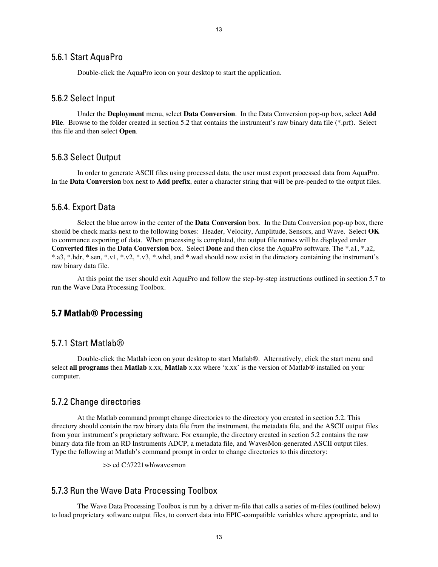#### 5.6.1 Start AquaPro

Double-click the AquaPro icon on your desktop to start the application.

#### 5.6.2 Select Input

Under the **Deployment** menu, select **Data Conversion**. In the Data Conversion pop-up box, select **Add File.** Browse to the folder created in section 5.2 that contains the instrument's raw binary data file (\*.prf). Select this file and then select **Open**.

#### 5.6.3 Select Output

In order to generate ASCII files using processed data, the user must export processed data from AquaPro. In the **Data Conversion** box next to **Add prefix**, enter a character string that will be pre-pended to the output files.

#### 5.6.4. Export Data

Select the blue arrow in the center of the **Data Conversion** box. In the Data Conversion pop-up box, there should be check marks next to the following boxes: Header, Velocity, Amplitude, Sensors, and Wave. Select **OK**  to commence exporting of data. When processing is completed, the output file names will be displayed under **Converted files** in the **Data Conversion** box. Select **Done** and then close the AquaPro software. The \*.a1, \*.a2, \*.a3, \*.hdr, \*.sen, \*.v1, \*.v2, \*.v3, \*.whd, and \*.wad should now exist in the directory containing the instrument's raw binary data file.

At this point the user should exit AquaPro and follow the step-by-step instructions outlined in section 5.7 to run the Wave Data Processing Toolbox.

#### **5.7 Matlab® Processing**

#### 5.7.1 Start Matlab®

Double-click the Matlab icon on your desktop to start Matlab®. Alternatively, click the start menu and select **all programs** then **Matlab** x.xx, **Matlab** x.xx where 'x.xx' is the version of Matlab® installed on your computer.

#### 5.7.2 Change directories

At the Matlab command prompt change directories to the directory you created in section 5.2. This directory should contain the raw binary data file from the instrument, the metadata file, and the ASCII output files from your instrument's proprietary software. For example, the directory created in section 5.2 contains the raw binary data file from an RD Instruments ADCP, a metadata file, and WavesMon-generated ASCII output files. Type the following at Matlab's command prompt in order to change directories to this directory:

>> cd C:\7221wh\wavesmon

#### 5.7.3 Run the Wave Data Processing Toolbox

The Wave Data Processing Toolbox is run by a driver m-file that calls a series of m-files (outlined below) to load proprietary software output files, to convert data into EPIC-compatible variables where appropriate, and to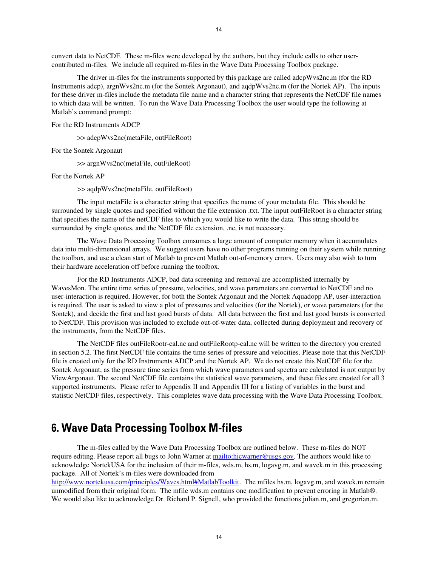<span id="page-13-0"></span>convert data to NetCDF. These m-files were developed by the authors, but they include calls to other usercontributed m-files. We include all required m-files in the Wave Data Processing Toolbox package.

The driver m-files for the instruments supported by this package are called adcpWvs2nc.m (for the RD Instruments adcp), argnWvs2nc.m (for the Sontek Argonaut), and aqdpWvs2nc.m (for the Nortek AP). The inputs for these driver m-files include the metadata file name and a character string that represents the NetCDF file names to which data will be written. To run the Wave Data Processing Toolbox the user would type the following at Matlab's command prompt:

#### For the RD Instruments ADCP

>> adcpWvs2nc(metaFile, outFileRoot)

For the Sontek Argonaut

>> argnWvs2nc(metaFile, outFileRoot)

For the Nortek AP

>> aqdpWvs2nc(metaFile, outFileRoot)

The input metaFile is a character string that specifies the name of your metadata file. This should be surrounded by single quotes and specified without the file extension .txt. The input outFileRoot is a character string that specifies the name of the netCDF files to which you would like to write the data. This string should be surrounded by single quotes, and the NetCDF file extension, .nc, is not necessary.

The Wave Data Processing Toolbox consumes a large amount of computer memory when it accumulates data into multi-dimensional arrays. We suggest users have no other programs running on their system while running the toolbox, and use a clean start of Matlab to prevent Matlab out-of-memory errors. Users may also wish to turn their hardware acceleration off before running the toolbox.

For the RD Instruments ADCP, bad data screening and removal are accomplished internally by WavesMon. The entire time series of pressure, velocities, and wave parameters are converted to NetCDF and no user-interaction is required. However, for both the Sontek Argonaut and the Nortek Aquadopp AP, user-interaction is required. The user is asked to view a plot of pressures and velocities (for the Nortek), or wave parameters (for the Sontek), and decide the first and last good bursts of data. All data between the first and last good bursts is converted to NetCDF. This provision was included to exclude out-of-water data, collected during deployment and recovery of the instruments, from the NetCDF files.

The NetCDF files outFileRootr-cal.nc and outFileRootp-cal.nc will be written to the directory you created in section 5.2. The first NetCDF file contains the time series of pressure and velocities. Please note that this NetCDF file is created only for the RD Instruments ADCP and the Nortek AP. We do not create this NetCDF file for the Sontek Argonaut, as the pressure time series from which wave parameters and spectra are calculated is not output by ViewArgonaut. The second NetCDF file contains the statistical wave parameters, and these files are created for all 3 supported instruments. Please refer to Appendix II and Appendix III for a listing of variables in the burst and statistic NetCDF files, respectively. This completes wave data processing with the Wave Data Processing Toolbox.

## **6. Wave Data Processing Toolbox M-files**

The m-files called by the Wave Data Processing Toolbox are outlined below. These m-files do NOT require editing. Please report all bugs to John Warner at [mailto:hjcwarner@usgs.gov.](mailto:hjcwarner@usgs.gov) The authors would like to acknowledge NortekUSA for the inclusion of their m-files, wds.m, hs.m, logavg.m, and wavek.m in this processing package. All of Nortek's m-files were downloaded from

<http://www.nortekusa.com/principles/Waves.html#MatlabToolkit>. The mfiles hs.m, logavg.m, and wavek.m remain unmodified from their original form. The mfile wds.m contains one modification to prevent erroring in Matlab®. We would also like to acknowledge Dr. Richard P. Signell, who provided the functions julian.m, and gregorian.m.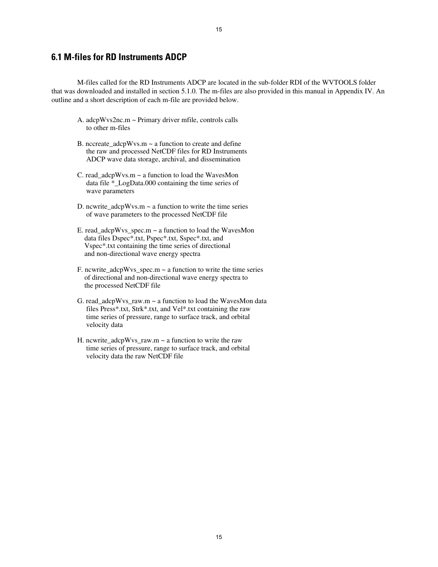#### **6.1 M-files for RD Instruments ADCP**

M-files called for the RD Instruments ADCP are located in the sub-folder RDI of the WVTOOLS folder that was downloaded and installed in section 5.1.0. The m-files are also provided in this manual in Appendix IV. An outline and a short description of each m-file are provided below.

- A. adcpWvs2nc.m ~ Primary driver mfile, controls calls to other m-files
- B. nccreate  $adcpWvs.m \sim a$  function to create and define the raw and processed NetCDF files for RD Instruments ADCP wave data storage, archival, and dissemination
- C. read\_adcpWvs.m  $\sim$  a function to load the WavesMon data file \*\_LogData.000 containing the time series of wave parameters
- D. ncwrite\_adcpWvs.m  $\sim$  a function to write the time series of wave parameters to the processed NetCDF file
- E. read  $adcpWvs$  spec.m  $\sim$  a function to load the WavesMon data files Dspec\*.txt, Pspec\*.txt, Sspec\*.txt, and Vspec\*.txt containing the time series of directional and non-directional wave energy spectra
- F. ncwrite\_adcpWvs\_spec.m  $\sim$  a function to write the time series of directional and non-directional wave energy spectra to the processed NetCDF file
- G. read\_adcpWvs\_raw.m ~ a function to load the WavesMon data files Press\*.txt, Strk\*.txt, and Vel\*.txt containing the raw time series of pressure, range to surface track, and orbital velocity data
- H. ncwrite  $adcpWvs$  raw.m  $\sim$  a function to write the raw time series of pressure, range to surface track, and orbital velocity data the raw NetCDF file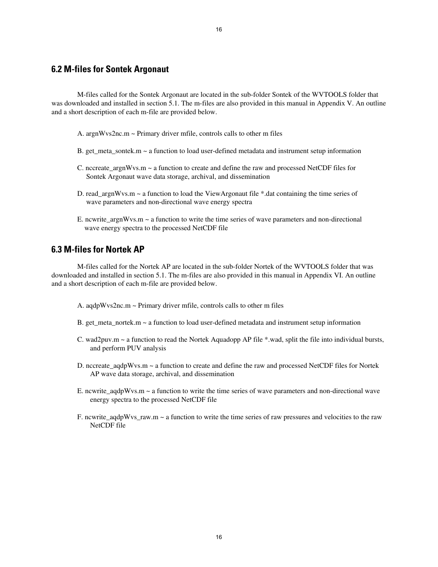M-files called for the Sontek Argonaut are located in the sub-folder Sontek of the WVTOOLS folder that was downloaded and installed in section 5.1. The m-files are also provided in this manual in Appendix V. An outline and a short description of each m-file are provided below.

- A. argnWvs2nc.m ~ Primary driver mfile, controls calls to other m files
- B. get meta sontek.m  $\sim$  a function to load user-defined metadata and instrument setup information
- C. nccreate  $argnWv$ s.m  $\sim$  a function to create and define the raw and processed NetCDF files for Sontek Argonaut wave data storage, archival, and dissemination
- D. read  $argmWvs.m \sim a$  function to load the ViewArgonaut file \*.dat containing the time series of wave parameters and non-directional wave energy spectra
- E. ncwrite\_argnWvs.m  $\sim$  a function to write the time series of wave parameters and non-directional wave energy spectra to the processed NetCDF file

#### **6.3 M-files for Nortek AP**

M-files called for the Nortek AP are located in the sub-folder Nortek of the WVTOOLS folder that was downloaded and installed in section 5.1. The m-files are also provided in this manual in Appendix VI. An outline and a short description of each m-file are provided below.

- A. aqdpWvs2nc.m ~ Primary driver mfile, controls calls to other m files
- B. get\_meta\_nortek.m  $\sim$  a function to load user-defined metadata and instrument setup information
- C. wad2puv.m ~ a function to read the Nortek Aquadopp AP file \*.wad, split the file into individual bursts, and perform PUV analysis
- D. nccreate\_aqdpWvs.m ~ a function to create and define the raw and processed NetCDF files for Nortek AP wave data storage, archival, and dissemination
- E. ncwrite  $aqdpWv\sin \sim a$  function to write the time series of wave parameters and non-directional wave energy spectra to the processed NetCDF file
- F. ncwrite\_aqdpWvs\_raw.m ~ a function to write the time series of raw pressures and velocities to the raw NetCDF file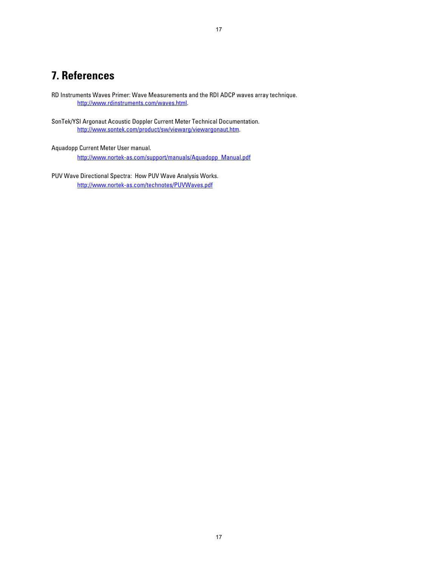## <span id="page-16-0"></span>**7. References**

RD Instruments Waves Primer: Wave Measurements and the RDI ADCP waves array technique. [http://www.rdinstruments.com/waves.html.](http://www.rdinstruments.com/waves.html)

SonTek/YSI Argonaut Acoustic Doppler Current Meter Technical Documentation. <http://www.sontek.com/product/sw/viewarg/viewargonaut.htm>.

Aquadopp Current Meter User manual.

[http://www.nortek-as.com/support/manuals/Aquadopp\\_Manual.pdf](http://www.nortek-as.com/support/manuals/Aquadopp_Manual.pdf)

PUV Wave Directional Spectra: How PUV Wave Analysis Works. <http://www.nortek-as.com/technotes/PUVWaves.pdf>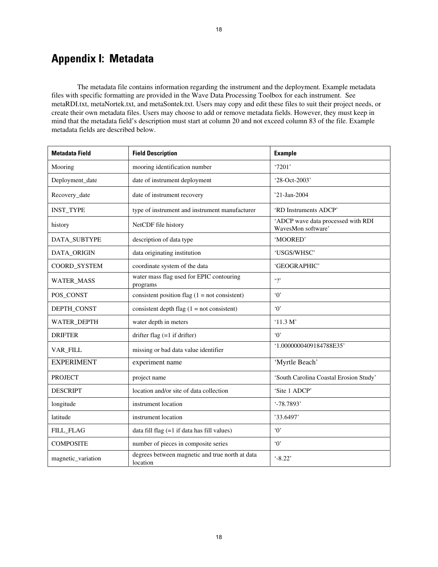## <span id="page-17-0"></span>**Appendix I: Metadata**

The metadata file contains information regarding the instrument and the deployment. Example metadata files with specific formatting are provided in the Wave Data Processing Toolbox for each instrument. See metaRDI.txt, metaNortek.txt, and metaSontek.txt. Users may copy and edit these files to suit their project needs, or create their own metadata files. Users may choose to add or remove metadata fields. However, they must keep in mind that the metadata field's description must start at column 20 and not exceed column 83 of the file. Example metadata fields are described below.

| <b>Metadata Field</b> | <b>Field Description</b>                                    | <b>Example</b>                                           |
|-----------------------|-------------------------------------------------------------|----------------------------------------------------------|
| Mooring               | mooring identification number                               | '7201'                                                   |
| Deployment_date       | date of instrument deployment                               | '28-Oct-2003'                                            |
| Recovery_date         | date of instrument recovery                                 | '21-Jan-2004                                             |
| <b>INST_TYPE</b>      | type of instrument and instrument manufacturer              | 'RD Instruments ADCP'                                    |
| history               | NetCDF file history                                         | 'ADCP wave data processed with RDI<br>WavesMon software' |
| DATA_SUBTYPE          | description of data type                                    | 'MOORED'                                                 |
| DATA_ORIGIN           | data originating institution                                | 'USGS/WHSC'                                              |
| COORD_SYSTEM          | coordinate system of the data                               | 'GEOGRAPHIC'                                             |
| <b>WATER_MASS</b>     | water mass flag used for EPIC contouring<br>programs        | $\cdot$ ?                                                |
| POS_CONST             | consistent position flag $(1 = not consistent)$             | $\cdot$ <sup>0</sup>                                     |
| DEPTH_CONST           | consistent depth flag $(1 = not consistent)$                | $\Omega$                                                 |
| WATER_DEPTH           | water depth in meters                                       | ' $11.3 M'$                                              |
| <b>DRIFTER</b>        | drifter flag $(=1$ if drifter)                              | $\Omega$                                                 |
| VAR_FILL              | missing or bad data value identifier                        | '1.0000000409184788E35'                                  |
| <b>EXPERIMENT</b>     | experiment name                                             | 'Myrtle Beach'                                           |
| <b>PROJECT</b>        | project name                                                | 'South Carolina Coastal Erosion Study'                   |
| <b>DESCRIPT</b>       | location and/or site of data collection                     | 'Site 1 ADCP'                                            |
| longitude             | instrument location                                         | '-78.7893'                                               |
| latitude              | instrument location                                         | '33.6497'                                                |
| FILL_FLAG             | data fill flag (=1 if data has fill values)                 | $\Omega$                                                 |
| <b>COMPOSITE</b>      | number of pieces in composite series                        | $\cdot 0$                                                |
| magnetic_variation    | degrees between magnetic and true north at data<br>location | $-8.22$                                                  |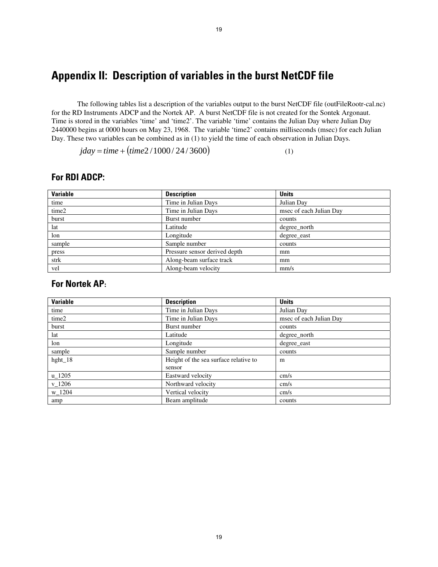## <span id="page-18-0"></span>**Appendix II: Description of variables in the burst NetCDF file**

The following tables list a description of the variables output to the burst NetCDF file (outFileRootr-cal.nc) for the RD Instruments ADCP and the Nortek AP. A burst NetCDF file is not created for the Sontek Argonaut. Time is stored in the variables 'time' and 'time2'. The variable 'time' contains the Julian Day where Julian Day 2440000 begins at 0000 hours on May 23, 1968. The variable 'time2' contains milliseconds (msec) for each Julian Day. These two variables can be combined as in (1) to yield the time of each observation in Julian Days.

 $jday = time + (time2/1000/24/3600)$  (1)

#### **For RDI ADCP:**

| <b>Variable</b> | <b>Description</b>            | <b>Units</b>            |
|-----------------|-------------------------------|-------------------------|
| time            | Time in Julian Days           | Julian Day              |
| time2           | Time in Julian Days           | msec of each Julian Day |
| burst           | Burst number                  | counts                  |
| lat             | Latitude                      | degree_north            |
| lon             | Longitude                     | degree east             |
| sample          | Sample number                 | counts                  |
| press           | Pressure sensor derived depth | mm                      |
| strk            | Along-beam surface track      | mm                      |
| vel             | Along-beam velocity           | mm/s                    |

#### **For Nortek AP:**

| <b>Variable</b> | <b>Description</b>                    | <b>Units</b>            |
|-----------------|---------------------------------------|-------------------------|
| time            | Time in Julian Days                   | Julian Day              |
| time2           | Time in Julian Days                   | msec of each Julian Day |
| burst           | Burst number                          | counts                  |
| lat             | Latitude                              | degree_north            |
| lon             | Longitude                             | degree_east             |
| sample          | Sample number                         | counts                  |
| hght_ $18$      | Height of the sea surface relative to | m                       |
|                 | sensor                                |                         |
| $u_1205$        | Eastward velocity                     | cm/s                    |
| $v_1206$        | Northward velocity                    | cm/s                    |
| w_1204          | Vertical velocity                     | cm/s                    |
| amp             | Beam amplitude                        | counts                  |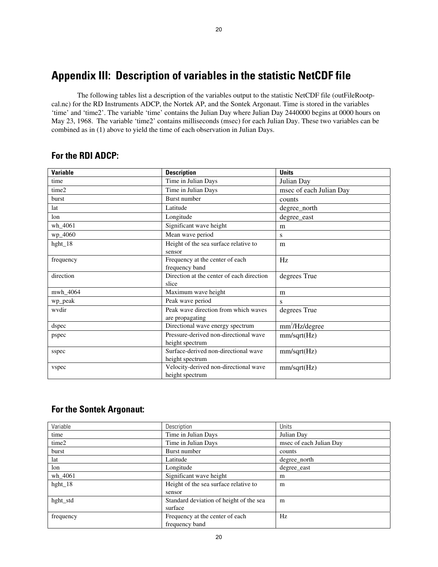## <span id="page-19-0"></span>**Appendix III: Description of variables in the statistic NetCDF file**

The following tables list a description of the variables output to the statistic NetCDF file (outFileRootpcal.nc) for the RD Instruments ADCP, the Nortek AP, and the Sontek Argonaut. Time is stored in the variables 'time' and 'time2'. The variable 'time' contains the Julian Day where Julian Day 2440000 begins at 0000 hours on May 23, 1968. The variable 'time2' contains milliseconds (msec) for each Julian Day. These two variables can be combined as in (1) above to yield the time of each observation in Julian Days.

20

| <b>Variable</b> | <b>Description</b>                                | <b>Units</b>            |
|-----------------|---------------------------------------------------|-------------------------|
| time            | Time in Julian Days                               | Julian Day              |
| time2           | Time in Julian Days                               | msec of each Julian Day |
| burst           | <b>Burst number</b>                               | counts                  |
| lat             | Latitude                                          | degree_north            |
| lon             | Longitude                                         | degree_east             |
| wh_4061         | Significant wave height                           | m                       |
| wp_4060         | Mean wave period                                  | S                       |
| hght_18         | Height of the sea surface relative to             | m                       |
|                 | sensor                                            |                         |
| frequency       | Frequency at the center of each<br>frequency band | Hz                      |
| direction       | Direction at the center of each direction         | degrees True            |
|                 | slice                                             |                         |
| mwh_4064        | Maximum wave height                               | m                       |
| wp_peak         | Peak wave period                                  | S                       |
| wydir           | Peak wave direction from which waves              | degrees True            |
|                 | are propagating                                   |                         |
| dspec           | Directional wave energy spectrum                  | $mm^2$ /Hz/degree       |
| pspec           | Pressure-derived non-directional wave             | mm/sqrt(Hz)             |
|                 | height spectrum                                   |                         |
| sspec           | Surface-derived non-directional wave              | mm/sqrt(Hz)             |
|                 | height spectrum                                   |                         |
| vspec           | Velocity-derived non-directional wave             | mm/sqrt(Hz)             |
|                 | height spectrum                                   |                         |

#### **For the RDI ADCP:**

#### **For the Sontek Argonaut:**

| Variable   | Description                             | Units                   |
|------------|-----------------------------------------|-------------------------|
| time       | Time in Julian Days                     | Julian Day              |
| time2      | Time in Julian Days                     | msec of each Julian Day |
| burst      | Burst number                            | counts                  |
| lat        | Latitude                                | degree_north            |
| lon        | Longitude                               | degree_east             |
| wh_4061    | Significant wave height                 | m                       |
| hght_ $18$ | Height of the sea surface relative to   | m                       |
|            | sensor                                  |                         |
| hght_std   | Standard deviation of height of the sea | m                       |
|            | surface                                 |                         |
| frequency  | Frequency at the center of each         | Hz                      |
|            | frequency band                          |                         |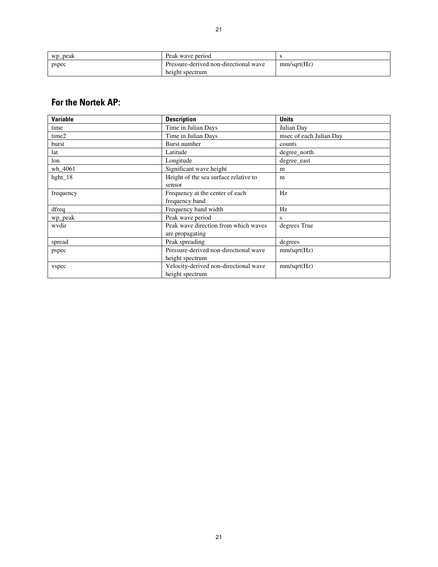| wp_peak | Peak wave period                                         |             |
|---------|----------------------------------------------------------|-------------|
| pspec   | Pressure-derived non-directional wave<br>height spectrum | mm/sqrt(Hz) |

## **For the Nortek AP:**

| <b>Variable</b> | <b>Description</b>                    | <b>Units</b>            |
|-----------------|---------------------------------------|-------------------------|
| time            | Time in Julian Days                   | Julian Day              |
| time2           | Time in Julian Days                   | msec of each Julian Day |
| burst           | Burst number                          | counts                  |
| lat             | Latitude                              | degree_north            |
| lon             | Longitude                             | degree_east             |
| wh_4061         | Significant wave height               | m                       |
| hght_18         | Height of the sea surface relative to | m                       |
|                 | sensor                                |                         |
| frequency       | Frequency at the center of each       | Hz                      |
|                 | frequency band                        |                         |
| dfreq           | Frequency band width                  | Hz                      |
| wp_peak         | Peak wave period                      | S                       |
| wydir           | Peak wave direction from which waves  | degrees True            |
|                 | are propagating                       |                         |
| spread          | Peak spreading                        | degrees                 |
| pspec           | Pressure-derived non-directional wave | mm/sqrt(Hz)             |
|                 | height spectrum                       |                         |
| vspec           | Velocity-derived non-directional wave | mm/sqrt(Hz)             |
|                 | height spectrum                       |                         |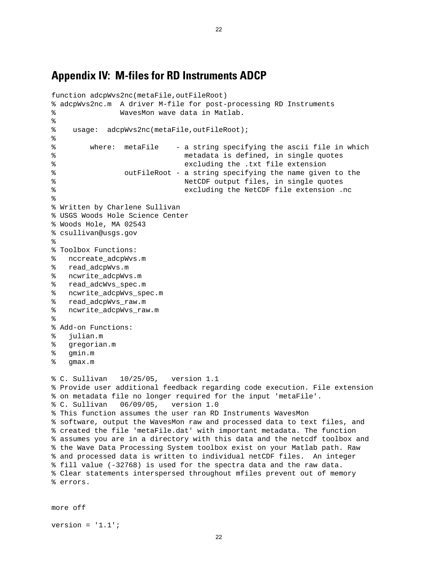### <span id="page-21-0"></span>**Appendix IV: M-files for RD Instruments ADCP**

```
function adcpWvs2nc(metaFile,outFileRoot) 
% adcpWvs2nc.m A driver M-file for post-processing RD Instruments 
% WavesMon wave data in Matlab. 
% 
% usage: adcpWvs2nc(metaFile,outFileRoot); 
% 
% where: metaFile - a string specifying the ascii file in which 
% metadata is defined, in single quotes 
% excluding the .txt file extension 
% outFileRoot - a string specifying the name given to the 
% NetCDF output files, in single quotes 
% excluding the NetCDF file extension .nc 
% 
% Written by Charlene Sullivan 
% USGS Woods Hole Science Center 
% Woods Hole, MA 02543 
% csullivan@usgs.gov 
\approx% Toolbox Functions: 
% nccreate_adcpWvs.m 
% read_adcpWvs.m 
% ncwrite_adcpWvs.m 
% read_adcWvs_spec.m 
% ncwrite_adcpWvs_spec.m 
% read_adcpWvs_raw.m 
% ncwrite_adcpWvs_raw.m 
% 
% Add-on Functions: 
% julian.m 
% gregorian.m 
% gmin.m 
% gmax.m 
% C. Sullivan 10/25/05, version 1.1 
% Provide user additional feedback regarding code execution. File extension 
% on metadata file no longer required for the input 'metaFile'. 
% C. Sullivan 06/09/05, version 1.0 
% This function assumes the user ran RD Instruments WavesMon 
% software, output the WavesMon raw and processed data to text files, and 
% created the file 'metaFile.dat' with important metadata. The function 
% assumes you are in a directory with this data and the netcdf toolbox and 
% the Wave Data Processing System toolbox exist on your Matlab path. Raw 
% and processed data is written to individual netCDF files. An integer 
% fill value (-32768) is used for the spectra data and the raw data. 
% Clear statements interspersed throughout mfiles prevent out of memory 
% errors.
```
version =  $'1.1'$ ;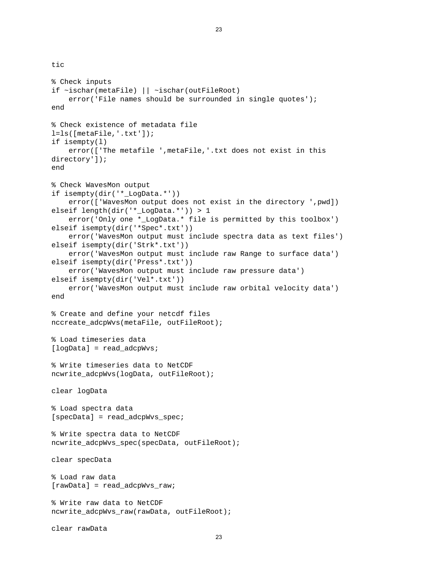tic

```
% Check inputs 
if ~ischar(metaFile) || ~ischar(outFileRoot) 
    error('File names should be surrounded in single quotes');
end 
% Check existence of metadata file 
l=ls([metaFile,'.txt']); 
if isempty(l) 
     error(['The metafile ',metaFile,'.txt does not exist in this 
directory']); 
end 
% Check WavesMon output 
if isempty(dir('* LogData.*'))
     error(['WavesMon output does not exist in the directory ',pwd]) 
elseif length(dir('*_LogData.*')) > 1 
     error('Only one *_LogData.* file is permitted by this toolbox') 
elseif isempty(dir('*Spec*.txt')) 
     error('WavesMon output must include spectra data as text files') 
elseif isempty(dir('Strk*.txt')) 
     error('WavesMon output must include raw Range to surface data') 
elseif isempty(dir('Press*.txt')) 
     error('WavesMon output must include raw pressure data') 
elseif isempty(dir('Vel*.txt')) 
     error('WavesMon output must include raw orbital velocity data') 
end 
% Create and define your netcdf files 
nccreate_adcpWvs(metaFile, outFileRoot); 
% Load timeseries data 
[logData] = read_adcpWvs; 
% Write timeseries data to NetCDF 
ncwrite_adcpWvs(logData, outFileRoot); 
clear logData 
% Load spectra data 
[specData] = read_adcpWvs_spec; 
% Write spectra data to NetCDF 
ncwrite_adcpWvs_spec(specData, outFileRoot); 
clear specData 
% Load raw data 
[rawData] = read adcpWvs raw;% Write raw data to NetCDF 
ncwrite_adcpWvs_raw(rawData, outFileRoot); 
clear rawData
```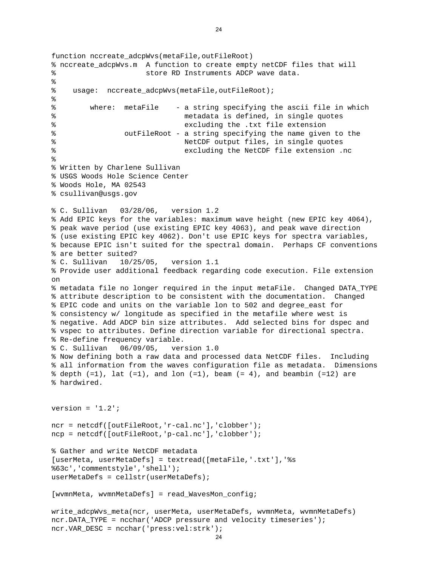```
ncr.VAR DESC = ncchar('press:vel:strk');
function nccreate adcpWvs(metaFile,outFileRoot)
% nccreate_adcpWvs.m A function to create empty netCDF files that will 
% store RD Instruments ADCP wave data. 
% 
% usage: nccreate adcpWvs(metaFile,outFileRoot);
% 
% where: metaFile - a string specifying the ascii file in which 
% metadata is defined, in single quotes 
% excluding the .txt file extension 
% outFileRoot - a string specifying the name given to the 
% NetCDF output files, in single quotes 
% excluding the NetCDF file extension .nc 
% 
% Written by Charlene Sullivan 
% USGS Woods Hole Science Center 
% Woods Hole, MA 02543 
% csullivan@usgs.gov 
% C. Sullivan 03/28/06, version 1.2 
% Add EPIC keys for the variables: maximum wave height (new EPIC key 4064), 
% peak wave period (use existing EPIC key 4063), and peak wave direction 
% (use existing EPIC key 4062). Don't use EPIC keys for spectra variables, 
% because EPIC isn't suited for the spectral domain. Perhaps CF conventions 
% are better suited? 
% C. Sullivan 10/25/05, version 1.1 
% Provide user additional feedback regarding code execution. File extension 
on 
% metadata file no longer required in the input metaFile. Changed DATA_TYPE 
% attribute description to be consistent with the documentation. Changed 
% EPIC code and units on the variable lon to 502 and degree_east for 
% consistency w/ longitude as specified in the metafile where west is 
% negative. Add ADCP bin size attributes. Add selected bins for dspec and 
% vspec to attributes. Define direction variable for directional spectra. 
% Re-define frequency variable. 
% C. Sullivan 06/09/05, version 1.0 
% Now defining both a raw data and processed data NetCDF files. Including 
% all information from the waves configuration file as metadata. Dimensions 
% \text{ depth } (-1), lat (=1), and lon (=1), beam (= 4), and beambin (=12) are
% hardwired. 
version = '1.2';
ncr = netcdf([outFileRoot,'r-cal.nc'],'clobber'); 
ncp = netcdf([outFileRoot,'p-cal.nc'],'clobber'); 
% Gather and write NetCDF metadata 
[userMeta, userMetaDefs] = textread([metaFile,'.txt'],'%s 
%63c','commentstyle','shell'); 
userMetaDefs = cellstr(userMetaDefs); 
[wvmnMeta, wvmnMetaDefs] = read_WavesMon_config; 
write_adcpWvs_meta(ncr, userMeta, userMetaDefs, wvmnMeta, wvmnMetaDefs) 
ncr.DATA_TYPE = ncchar('ADCP pressure and velocity timeseries');
```

```
24
```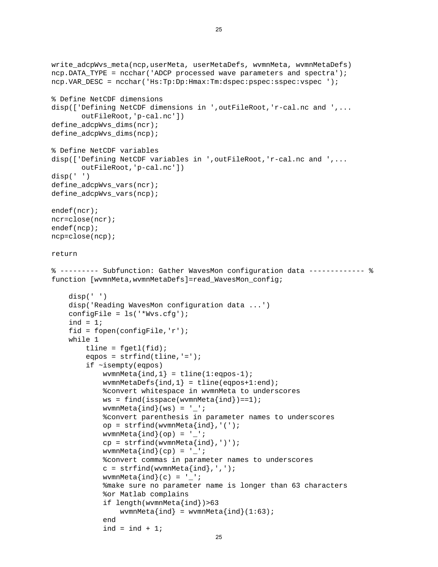```
write_adcpWvs_meta(ncp,userMeta, userMetaDefs, wvmnMeta, wvmnMetaDefs) 
ncp.DATA_TYPE = ncchar('ADCP processed wave parameters and spectra'); 
ncp.VAR_DESC = ncchar('Hs:Tp:Dp:Hmax:Tm:dspec:pspec:sspec:vspec '); 
% Define NetCDF dimensions 
disp(['Defining NetCDF dimensions in ',outFileRoot,'r-cal.nc and ',... 
        outFileRoot,'p-cal.nc']) 
define adcpWvs dims(ncr);
define_adcpWvs_dims(ncp); 
% Define NetCDF variables 
disp(['Defining NetCDF variables in ',outFileRoot,'r-cal.nc and ',... 
        outFileRoot,'p-cal.nc']) 
disp(' ') 
define_adcpWvs_vars(ncr); 
define_adcpWvs_vars(ncp); 
endef(ncr); 
ncr=close(ncr); 
endef(ncp); 
ncp=close(ncp); 
return 
% --------- Subfunction: Gather WavesMon configuration data ------------- % 
function [wvmnMeta,wvmnMetaDefs]=read_WavesMon_config; 
     disp(' ') 
     disp('Reading WavesMon configuration data ...') 
     configFile = ls('*Wvs.cfg'); 
    ind = 1; fid = fopen(configFile,'r'); 
     while 1 
         tline = fgetl(fid); 
        eqpos = strfind(tline,'='); if ~isempty(eqpos) 
            wvmnMeta\{ind,1\} = tline(1:eqpos-1);
            wvmmMetaDefs{ind,1} = tline(eqpos+1:end); %convert whitespace in wvmnMeta to underscores 
            ws = find(isspace(wvmmMetafind))==1);wvmnMeta\{ind\}(ws) = '_';
              %convert parenthesis in parameter names to underscores 
             op = strfind(wvmnMeta{ind},'('); 
            wvmnMeta\{ind\} (op) = '';
            cp = strfind(wvmMeta{ind},')');
            wvmnMeta\{ind\} (cp) = '_';
              %convert commas in parameter names to underscores 
             c = \text{strfind}(\text{wvmMeta}\{\text{ind}\}, ', ', 'wvmnMeta\{ind\}(c) = ' ';
              %make sure no parameter name is longer than 63 characters 
              %or Matlab complains 
              if length(wvmnMeta{ind})>63 
                 wvmnMeta\{ind\} = wvmnMeta\{ind\} (1:63);
             end 
             ind = ind + 1;
```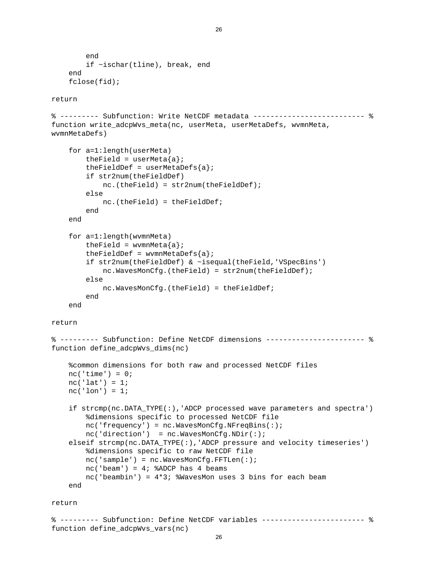```
 end 
         if ~ischar(tline), break, end 
     end 
     fclose(fid); 
return 
% --------- Subfunction: Write NetCDF metadata -------------------------- % 
function write_adcpWvs_meta(nc, userMeta, userMetaDefs, wvmnMeta,
wvmnMetaDefs) 
     for a=1:length(userMeta) 
        theField = userMeta{a};
        theFieldDef = userMetaDefs{a};
         if str2num(theFieldDef) 
             nc.(theField) = str2num(theFieldDef); 
         else 
             nc.(theField) = theFieldDef; 
         end 
     end 
     for a=1:length(wvmnMeta) 
        theField = wvmnMeta\{a\};
        theFieldDef = wvmnMetaDefs{a};
         if str2num(theFieldDef) & ~isequal(theField,'VSpecBins') 
             nc.WavesMonCfg.(theField) = str2num(theFieldDef); 
         else 
             nc.WavesMonCfg.(theField) = theFieldDef; 
         end 
     end 
return 
% --------- Subfunction: Define NetCDF dimensions ----------------------- % 
function define_adcpWvs_dims(nc) 
     %common dimensions for both raw and processed NetCDF files 
    nc('time') = 0;nc('lat') = 1;nc('lon') = 1; if strcmp(nc.DATA_TYPE(:),'ADCP processed wave parameters and spectra') 
         %dimensions specific to processed NetCDF file 
         nc('frequency') = nc.WavesMonCfg.NFreqBins(:); 
        nc('direction') = nc.WavesMonCfg.NDir(:); elseif strcmp(nc.DATA_TYPE(:),'ADCP pressure and velocity timeseries') 
         %dimensions specific to raw NetCDF file 
         nc('sample') = nc.WavesMonCfg.FFTLen(:); 
        nc('beam') = 4; %ADCP has 4 beams nc('beambin') = 4*3; %WavesMon uses 3 bins for each beam 
     end 
return
```

```
% --------- Subfunction: Define NetCDF variables ------------------------ % 
function define adcpWvs vars(nc)
```
26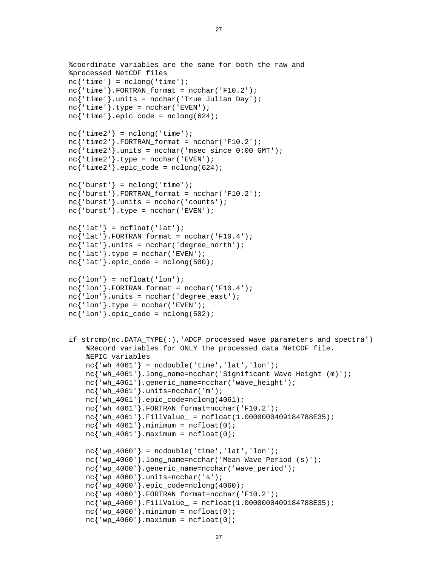```
 %coordinate variables are the same for both the raw and 
 %processed NetCDF files 
nc{'time'} = nclong('time');nc<sup>'time'</sup>}.FORTRAN_format = ncchar('F10.2'); nc{'time'}.units = ncchar('True Julian Day'); 
nc{'time'}}.type = ncchar('EVEN');nc{'time'}}.epic_code = nclong(624);nc{'time2'} = nclong('time');nc{'time2'}. FORTRAN_format = ncchar('F10.2');nc{'time2'}.units = ncchar('msec since 0:00 GMT');nc{'time2'}}.type = ncchar('EVEN');nc{'time2'}.epic code = nclong(624);
nc{'|burst'}| = nclong('time');nc'burst'}.FORTRAN format = ncchar('F10.2');
nc{' burst'}.units = ncchar('counts');nc{' burst' }.type = ncchar('EVEN');nc{'latt'} = ncfload('lat');nc{'latt'}.FORTRAN_format = ncchar('F10.4');nc{'l}.units = ncchar('degree north');
nc{'lat'}.type = ncchar('EVEN');nc{'lat'}.epic_code = nclong(500);
nc{'lon'} = ncfloat('lon');nc{'·lon'}. FORTRAN_format = ncchar('F10.4');
nc{'·lon'}.units = ncchar('degree east');nc{'lon'}.type = ncchar('EVEN');nc{'lon'}.epic_code = nclong(502);
 if strcmp(nc.DATA_TYPE(:),'ADCP processed wave parameters and spectra') 
     %Record variables for ONLY the processed data NetCDF file. 
     %EPIC variables 
    nc{'wh_4061'} = ncdouble('time', 'lat', 'lon'); nc{'wh_4061'}.long_name=ncchar('Significant Wave Height (m)'); 
    nc{'wh_4061'}.generic_name=ncchar('wave_height');
    nc{'wh 4061'}.units=ncchar('m');
     nc{'wh_4061'}.epic_code=nclong(4061); 
     nc{'wh_4061'}.FORTRAN_format=ncchar('F10.2'); 
     nc{'wh_4061'}.FillValue_ = ncfloat(1.0000000409184788E35); 
    nc{'wh_4061'}.minimum = ncfloat(0);nc{'wh 4061'}.maximum = ncfloat(0);nc{'vw4060'} = ncdouble('time', 'lat', 'lon'); nc{'wp_4060'}.long_name=ncchar('Mean Wave Period (s)'); 
     nc{'wp_4060'}.generic_name=ncchar('wave_period'); 
    nc{'wp 4060'}.units=ncchar('s');
    nc{'wp 4060'}.epic code=nclong(4060);
     nc{'wp_4060'}.FORTRAN_format=ncchar('F10.2'); 
     nc{'wp_4060'}.FillValue_ = ncfloat(1.0000000409184788E35); 
    nc{'wp_4060'}.minimum = ncfloat(0);nc{'wp_4060'}.maximum = ncfloat(0);
```
27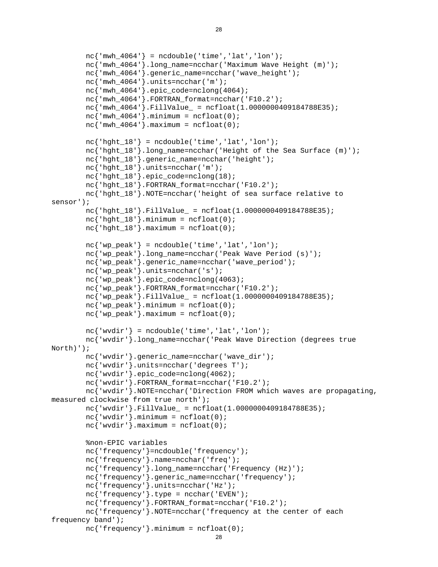```
nc{'frequency'}.minimum = ncfloat(0);nc{'mu4064'} = ncdouble('time', 'lat', 'lon'); nc{'mwh_4064'}.long_name=ncchar('Maximum Wave Height (m)'); 
        nc{'mwh_4064'}.generic_name=ncchar('wave_height');
         nc{'mwh_4064'}.units=ncchar('m'); 
         nc{'mwh_4064'}.epic_code=nclong(4064); 
         nc{'mwh_4064'}.FORTRAN_format=ncchar('F10.2'); 
        nc'mwh 4064'.FillValue = ncfloat(1.0000000409184788E35);nc{'mwh 4064'}.minimum = ncfloat(0);nc{'mwh_4064'}.maximum = ncfloat(0);nc{'hght_18'} = ncdouble('time', 'lat', 'lon');nc<sup>'</sup>hght 18'.long name=ncchar('Height of the Sea Surface (m)');
         nc{'hght_18'}.generic_name=ncchar('height'); 
        nc{'hght 18'}.units=ncchar('m');
         nc{'hght_18'}.epic_code=nclong(18); 
         nc{'hght_18'}.FORTRAN_format=ncchar('F10.2'); 
         nc{'hght_18'}.NOTE=ncchar('height of sea surface relative to 
sensor'); 
         nc{'hght_18'}.FillValue_ = ncfloat(1.0000000409184788E35); 
        nc{'hght_18'}.minimum = ncfloat(0);nc{'hght_18'}.maximum = ncfloat(0);nc{'vw} peak' = ncdouble('time', 'lat', 'lon'); nc{'wp_peak'}.long_name=ncchar('Peak Wave Period (s)'); 
         nc{'wp_peak'}.generic_name=ncchar('wave_period'); 
         nc{'wp_peak'}.units=ncchar('s'); 
         nc{'wp_peak'}.epic_code=nclong(4063); 
        nc{'wp_peak'}.FORTRAN_format=ncchar('F10.2');
        nc'wp_peak'}.FillValue = ncfloat(1.0000000409184788E35);
        nc{'wp_peak'}.minimum = ncfloat(0);nc{'wp_peak'}.maximum = ncfloat(0);nc{'wwwdir'} = ncdouble('time', 'lat', 'lon'); nc{'wvdir'}.long_name=ncchar('Peak Wave Direction (degrees true 
North)'); 
        nc{'wvdir'}.generic_name=ncchar('wave_dir');
         nc{'wvdir'}.units=ncchar('degrees T'); 
         nc{'wvdir'}.epic_code=nclong(4062); 
         nc{'wvdir'}.FORTRAN_format=ncchar('F10.2'); 
         nc{'wvdir'}.NOTE=ncchar('Direction FROM which waves are propagating, 
measured clockwise from true north'); 
         nc{'wvdir'}.FillValue_ = ncfloat(1.0000000409184788E35); 
        nc{'www}.minimum = ncfload(0);nc{'www}.maximum = ncfload(0); %non-EPIC variables 
         nc{'frequency'}=ncdouble('frequency'); 
         nc{'frequency'}.name=ncchar('freq'); 
         nc{'frequency'}.long_name=ncchar('Frequency (Hz)'); 
        nc{'frequency'}.generic_name=ncchar('frequency');
         nc{'frequency'}.units=ncchar('Hz'); 
         nc{'frequency'}.type = ncchar('EVEN'); 
         nc{'frequency'}.FORTRAN_format=ncchar('F10.2'); 
         nc{'frequency'}.NOTE=ncchar('frequency at the center of each 
frequency band');
```

```
28
```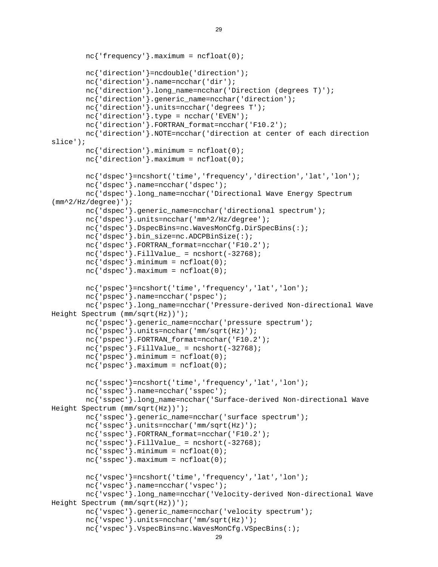```
 nc{'vspec'}.VspecBins=nc.WavesMonCfg.VSpecBins(:); 
        nc{'frequency'}.maximum = ncfloat(0); nc{'direction'}=ncdouble('direction'); 
         nc{'direction'}.name=ncchar('dir'); 
         nc{'direction'}.long_name=ncchar('Direction (degrees T)'); 
         nc{'direction'}.generic_name=ncchar('direction'); 
         nc{'direction'}.units=ncchar('degrees T'); 
         nc{'direction'}.type = ncchar('EVEN'); 
         nc{'direction'}.FORTRAN_format=ncchar('F10.2'); 
         nc{'direction'}.NOTE=ncchar('direction at center of each direction 
slice'); 
        nc{'direction'}.minimum = ncfloat(0);nc{'direction'}.maximum = ncfloat(0); nc{'dspec'}=ncshort('time','frequency','direction','lat','lon'); 
         nc{'dspec'}.name=ncchar('dspec'); 
         nc{'dspec'}.long_name=ncchar('Directional Wave Energy Spectrum 
(mm^2/Hz/degree)'); 
         nc{'dspec'}.generic_name=ncchar('directional spectrum'); 
         nc{'dspec'}.units=ncchar('mm^2/Hz/degree'); 
         nc{'dspec'}.DspecBins=nc.WavesMonCfg.DirSpecBins(:); 
         nc{'dspec'}.bin_size=nc.ADCPBinSize(:); 
         nc{'dspec'}.FORTRAN_format=ncchar('F10.2'); 
        nc{'dspec'}.FillValue_ = ncshort(-32768);
        nc{'dspec'}.minimum = ncfloat(0);nc{'dspec'}.maximum = ncfloat(0); nc{'pspec'}=ncshort('time','frequency','lat','lon'); 
         nc{'pspec'}.name=ncchar('pspec'); 
         nc{'pspec'}.long_name=ncchar('Pressure-derived Non-directional Wave 
Height Spectrum (mm/sqrt(Hz))'); 
         nc{'pspec'}.generic_name=ncchar('pressure spectrum'); 
         nc{'pspec'}.units=ncchar('mm/sqrt(Hz)'); 
         nc{'pspec'}.FORTRAN_format=ncchar('F10.2'); 
        nc{'power}.FillValue_ = ncshort(-32768);nc{'pspec'}.minimum = ncfloat(0);nc{'pspec'}.maximum = ncfloat(0); nc{'sspec'}=ncshort('time','frequency','lat','lon'); 
         nc{'sspec'}.name=ncchar('sspec'); 
         nc{'sspec'}.long_name=ncchar('Surface-derived Non-directional Wave 
Height Spectrum (mm/sqrt(Hz))'); 
         nc{'sspec'}.generic_name=ncchar('surface spectrum'); 
         nc{'sspec'}.units=ncchar('mm/sqrt(Hz)'); 
         nc{'sspec'}.FORTRAN_format=ncchar('F10.2'); 
        nc{'sspec'}.FillValue_ = ncshort(-32768);
        nc{'sspec'}.minimum = ncfloat(0);nc{'sspec'}.maximum = ncfloat(0); nc{'vspec'}=ncshort('time','frequency','lat','lon'); 
         nc{'vspec'}.name=ncchar('vspec'); 
         nc{'vspec'}.long_name=ncchar('Velocity-derived Non-directional Wave 
Height Spectrum (mm/sqrt(Hz))'); 
         nc{'vspec'}.generic_name=ncchar('velocity spectrum'); 
         nc{'vspec'}.units=ncchar('mm/sqrt(Hz)');
```

```
29
```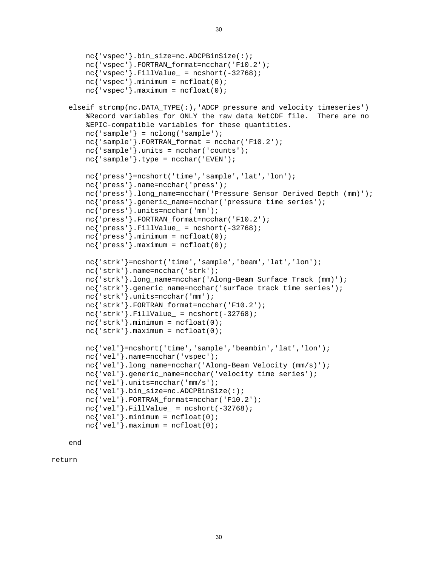```
 nc{'vspec'}.bin_size=nc.ADCPBinSize(:); 
    nc{'vspec'}.FORTRAN_format=ncchar('F10.2'); 
   nc{'vspec'}. FillValue = ncshort(-32768);
   nc{'vspec'}.minimum = ncfloat(0);nc{'vspec'}.maximum = ncfloat(0); elseif strcmp(nc.DATA_TYPE(:),'ADCP pressure and velocity timeseries') 
     %Record variables for ONLY the raw data NetCDF file. There are no 
     %EPIC-compatible variables for these quantities. 
   nc{'sample'} = nclong('sample'); nc{'sample'}.FORTRAN_format = ncchar('F10.2'); 
   nc{'sample'}.units = ncchar('counts');
   nc{'sample'}.type = ncchar('EVEN'); nc{'press'}=ncshort('time','sample','lat','lon'); 
    nc{'press'}.name=ncchar('press'); 
    nc{'press'}.long_name=ncchar('Pressure Sensor Derived Depth (mm)'); 
    nc{'press'}.generic_name=ncchar('pressure time series'); 
    nc{'press'}.units=ncchar('mm'); 
    nc{'press'}.FORTRAN_format=ncchar('F10.2'); 
   nc{'press'}.FillValue_ = ncshort(-32768);
   nc{'press'}.minimum = ncfloat(0);nc{'press'}. maximum = ncfloat(0); nc{'strk'}=ncshort('time','sample','beam','lat','lon'); 
    nc{'strk'}.name=ncchar('strk'); 
    nc{'strk'}.long_name=ncchar('Along-Beam Surface Track (mm)'); 
   nc{'strk'}.generic_name=ncchar('surface track time series');
    nc{'strk'}.units=ncchar('mm'); 
    nc{'strk'}.FORTRAN_format=ncchar('F10.2'); 
   nc{'strk'}.FillValue_ = ncshort(-32768);
   nc{'strk'}.minimum = ncfloat(0);nc{'strk'}.maximum = ncfloat(0); nc{'vel'}=ncshort('time','sample','beambin','lat','lon'); 
    nc{'vel'}.name=ncchar('vspec'); 
    nc{'vel'}.long_name=ncchar('Along-Beam Velocity (mm/s)'); 
    nc{'vel'}.generic_name=ncchar('velocity time series'); 
    nc{'vel'}.units=ncchar('mm/s'); 
    nc{'vel'}.bin_size=nc.ADCPBinSize(:); 
    nc{'vel'}.FORTRAN_format=ncchar('F10.2'); 
   nc{'vel'}.FillValue_ = ncshort(-32768);
   nc{'vel'}.minimum = ncfloat(0);nc{'vel'}.maximum = ncfloat(0);
```
end

return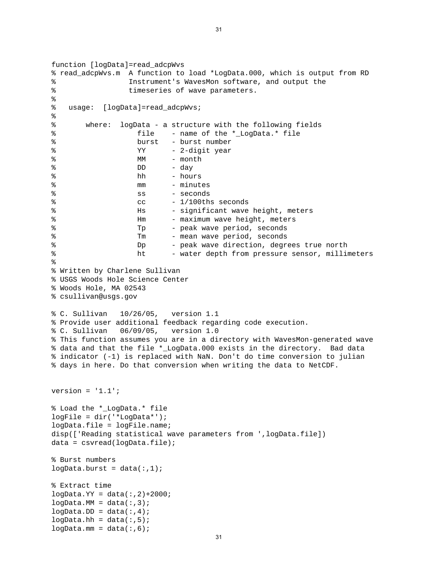```
function [logData]=read_adcpWvs 
% read_adcpWvs.m A function to load *LogData.000, which is output from RD 
% Instrument's WavesMon software, and output the 
% timeseries of wave parameters. 
\,% usage: [logData]=read_adcpWvs; 
% 
% where: logData - a structure with the following fields 
% file - name of the *_LogData.* file 
% burst - burst number 
% YY - 2-digit year
% MM - month
\% DD - day
% hh - hours 
% mm - minutes
% ss - seconds 
\frac{1}{100} cc - 1/100ths seconds
% Hs - significant wave height, meters 
% Mm - maximum wave height, meters
% Tp - peak wave period, seconds
% Tm - mean wave period, seconds
% Dp - peak wave direction, degrees true north 
% ht - water depth from pressure sensor, millimeters 
% 
% Written by Charlene Sullivan 
% USGS Woods Hole Science Center 
% Woods Hole, MA 02543 
% csullivan@usgs.gov 
% C. Sullivan 10/26/05, version 1.1 
% Provide user additional feedback regarding code execution. 
% C. Sullivan 06/09/05, version 1.0 
% This function assumes you are in a directory with WavesMon-generated wave 
% data and that the file *_LogData.000 exists in the directory. Bad data 
% indicator (-1) is replaced with NaN. Don't do time conversion to julian 
% days in here. Do that conversion when writing the data to NetCDF. 
version = '1.1';
% Load the *_LogData.* file 
logFile = dir('*LogData*'); 
logData.file = logFile.name; 
disp(['Reading statistical wave parameters from ',logData.file]) 
data = csvread(loqData.file);
% Burst numbers 
logData.burst = data(:,1);% Extract time 
logData.YY = data(:,2)+2000;logData.MM = data(:,3);logData.DD = data(:,4);logData.hh = data(:,5);logData.mm = data(:,6);
```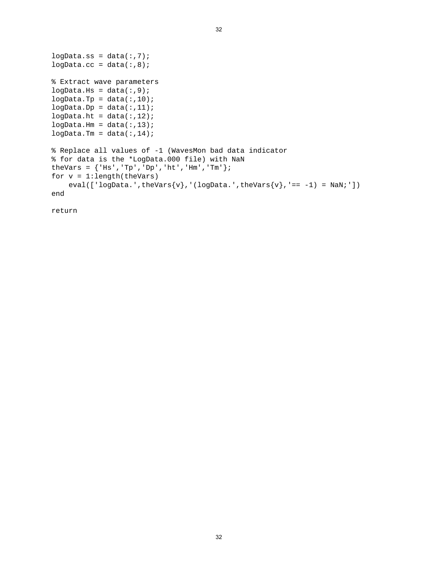```
logData:ss = data(:,7);logData.cc = data(:,8);% Extract wave parameters 
logData.Hs = data(:,9);logData.Tp = data(:,10);logData.Dp = data(:,11);logData.ht = data(:,12);logData.Hm = data(:,13);logData.Tm = data(:,14);% Replace all values of -1 (WavesMon bad data indicator 
% for data is the *LogData.000 file) with NaN 
theVars = {^{\prime}} [Hs', 'Tp', 'Dp', 'ht', 'Hm', 'Tm'};
for v = 1: length(theVars)
    eval(['logData.',theVars{v},'(logData.',theVars{v},'== -1) = NaN;'])
end
```
32

return

32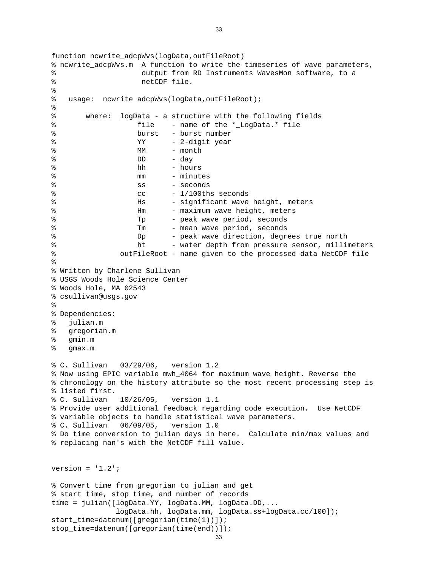```
stop time=datenum([gregorian(time(end))]);
function ncwrite adcpWvs(logData,outFileRoot)
% ncwrite_adcpWvs.m A function to write the timeseries of wave parameters, 
% output from RD Instruments WavesMon software, to a 
% netCDF file. 
\epsilon% usage: ncwrite_adcpWvs(logData,outFileRoot); 
% 
% where: logData - a structure with the following fields 
% file - name of the *_LogData.* file 
% burst - burst number 
% YY - 2-digit year
% MM - month
% DD - day 
% hh - hours 
% mm - minutes 
% ss - seconds 
\texttt{\%} - \texttt{l}/\texttt{100ths} seconds
% Hs - significant wave height, meters
% and the Hm contract Hm contract Hm contract Hm contract Hm contract Hm contract Hm contract Hm contract Hm contract Hm contract Hm contract Hm contract Hm contract Hm contract Hm contract Hm contract Hm contract Hm contr
% Tp - peak wave period, seconds
% Tm - mean wave period, seconds 
% Dp - peak wave direction, degrees true north 
% ht - water depth from pressure sensor, millimeters 
% outFileRoot - name given to the processed data NetCDF file 
% 
% Written by Charlene Sullivan 
% USGS Woods Hole Science Center 
% Woods Hole, MA 02543 
% csullivan@usgs.gov 
% 
% Dependencies: 
% julian.m 
% gregorian.m 
% gmin.m 
% gmax.m 
% C. Sullivan 03/29/06, version 1.2 
% Now using EPIC variable mwh_4064 for maximum wave height. Reverse the 
% chronology on the history attribute so the most recent processing step is 
% listed first. 
% C. Sullivan 10/26/05, version 1.1 
% Provide user additional feedback regarding code execution. Use NetCDF 
% variable objects to handle statistical wave parameters. 
% C. Sullivan 06/09/05, version 1.0 
% Do time conversion to julian days in here. Calculate min/max values and 
% replacing nan's with the NetCDF fill value. 
version = '1.2';
% Convert time from gregorian to julian and get 
% start_time, stop_time, and number of records 
time = julian([logData.YY, logData.MM, logData.DD,... 
               logData.hh, logData.mm, logData.ss+logData.cc/100]); 
start_time=datenum([gregorian(time(1))]);
```

```
33
```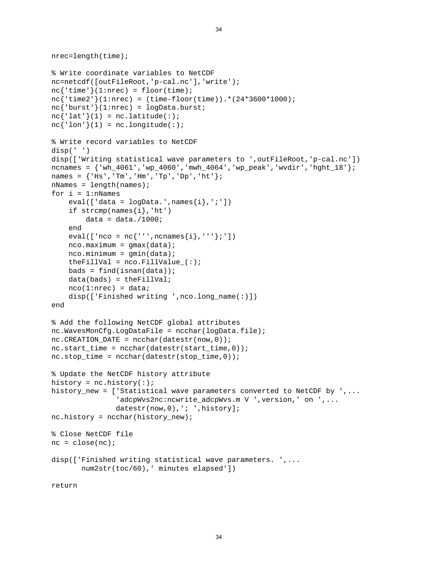```
nrec=length(time); 
% Write coordinate variables to NetCDF 
nc=netcdf([outFileRoot,'p-cal.nc'],'write'); 
nc{'time'}(1:nrec) = floor(time);nc{'time2'}(1:nrec) = (time-floor(time)).*(24*3600*1000); 
nc{' burst' (1:nrec) = logData.burst;
nc{'\text{lat'}}(1) = nc.\text{latitude}(:);
nc{'lon'}(1) = nc.lengthude(:);% Write record variables to NetCDF 
disp(' ') 
disp(['Writing statistical wave parameters to ',outFileRoot,'p-cal.nc']) 
ncnames = \{'wh 4061','wp 4060','mwh 4064','wp_peak','wvdir','hght 18';
names = {^{\prime} [Hs', 'Tm', 'Hm', 'Tp', 'Dp', 'ht' };
nNames = length(names);
for i = 1:nNames
    eval([ 'data = logData'.', names{i}', '; ' ] )if strong(name[i], 'ht')data = data./1000; end 
    eval(['nco = nc{''',ncnames{i},'''};'])
    nco.maximum = qmax(data);nco.minimum = gmin(data);theFillVal = nco.FillValue (:);
    bads = find(isnan(data));
    data(bads) = theFillVal;nco(1: nrec) = data;disp(['Finished writing ',nco.long name(:)])
end 
% Add the following NetCDF global attributes 
nc.WavesMonCfg.LogDataFile = ncchar(logData.file); 
nc.CREATION DATE = ncchar(datestr(now,0));nc.start_time = ncchar(datestr(start_time,0)); 
nc.stop_time = ncchar(datestr(stop_time,0));% Update the NetCDF history attribute 
history = nc.history(:);
history_new = ['Statistical wave parameters converted to NetCDF by ',... 
                'adcpWvs2nc:ncwrite_adcpWvs.m V ',version,' on ',...
               datestr(now, 0), '; ', history];
nc.history = ncchar(history_new); 
% Close NetCDF file 
nc = close(nc);disp(['Finished writing statistical wave parameters. ',... 
        num2str(toc/60),' minutes elapsed']) 
return
```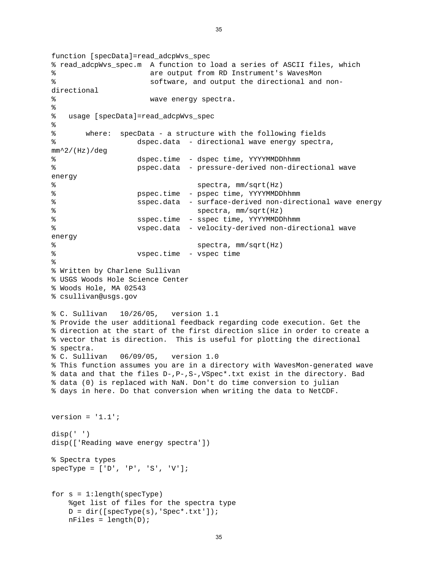function [specData]=read\_adcpWvs\_spec % read\_adcpWvs\_spec.m A function to load a series of ASCII files, which % are output from RD Instrument's WavesMon % software, and output the directional and nondirectional % wave energy spectra. % % usage [specData]=read\_adcpWvs\_spec % % where: specData - a structure with the following fields % dspec.data - directional wave energy spectra,  $mm^2/(Hz)/deg$ % dspec.time - dspec time, YYYYMMDDhhmm % pspec.data - pressure-derived non-directional wave energy % spectra, mm/sqrt(Hz) % pspec.time - pspec time, YYYYMMDDhhmm % sspec.data - surface-derived non-directional wave energy % spectra, mm/sqrt(Hz) % sspec.time - sspec time, YYYYMMDDhhmm % vspec.data - velocity-derived non-directional wave energy % spectra, mm/sqrt(Hz) % vspec.time - vspec time % % Written by Charlene Sullivan % USGS Woods Hole Science Center % Woods Hole, MA 02543 % csullivan@usgs.gov % C. Sullivan 10/26/05, version 1.1 % Provide the user additional feedback regarding code execution. Get the % direction at the start of the first direction slice in order to create a % vector that is direction. This is useful for plotting the directional % spectra. % C. Sullivan 06/09/05, version 1.0 % This function assumes you are in a directory with WavesMon-generated wave % data and that the files D-,P-,S-,VSpec\*.txt exist in the directory. Bad % data (0) is replaced with NaN. Don't do time conversion to julian % days in here. Do that conversion when writing the data to NetCDF. version =  $'1.1'$ ; disp(' ') disp(['Reading wave energy spectra']) % Spectra types  $specType = ['D', 'P', 'S', 'V']$ ; for s = 1:length(specType) %get list of files for the spectra type  $D = dir([specType(s), 'Spec*.txt'])$ ; nFiles = length(D);

35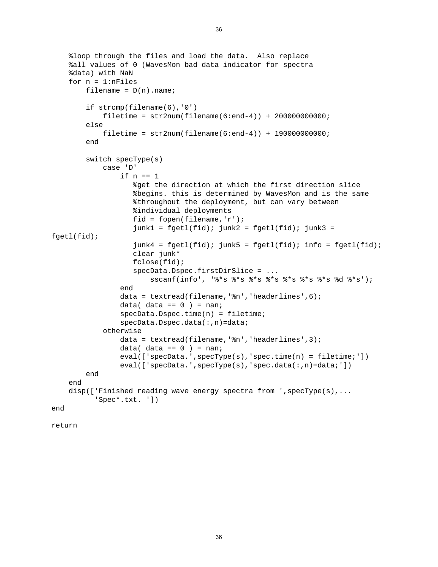```
 %loop through the files and load the data. Also replace 
     %all values of 0 (WavesMon bad data indicator for spectra 
     %data) with NaN 
    for n = 1:nFiles
        filename = D(n).name;
         if strcmp(filename(6),'0') 
            filter = str2num(filename(6:end-4)) + 200000000000; else 
             filetime = str2num(filename(6:end-4)) + 190000000000; 
         end 
         switch specType(s) 
             case 'D' 
                  if n == 1 
                     %get the direction at which the first direction slice 
                     %begins. this is determined by WavesMon and is the same 
                     %throughout the deployment, but can vary between 
                     %individual deployments 
                     fid = fopen(filename,'r'); 
                    junk1 = fgetl(fid); junk2 = fgetl(fid); junk3 =fgetl(fid); 
                    junk4 = fgetl(fid); junk5 = fgetl(fid); info = fgetl(fid); clear junk* 
                     fclose(fid); 
                     specData.Dspec.firstDirSlice = ... 
                         sscanf(info', '%*s %*s %*s %*s %*s %*s %*s %d %*s'); 
                  end 
                 data = textread(filename, '%n', 'headerlines', 6);
                 data( data == 0 ) = nan;
                  specData.Dspec.time(n) = filetime; 
                 specData.Dspec.data(:,n)=data;
             otherwise 
                  data = textread(filename,'%n','headerlines',3); 
                 data( data == 0 ) = nan;
                  eval(['specData.',specType(s),'spec.time(n) = filetime;']) 
                 eval(['specData.',specType(s),'spec.data(:,n)=data;'])
         end 
     end 
     disp(['Finished reading wave energy spectra from ',specType(s),... 
           'Spec*.txt. ']) 
end
```
return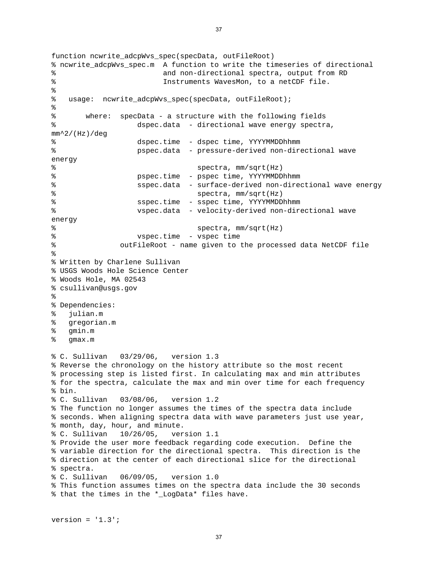```
function ncwrite adcpWvs spec(specData, outFileRoot)
% ncwrite_adcpWvs_spec.m A function to write the timeseries of directional 
% and non-directional spectra, output from RD 
% Instruments WavesMon, to a netCDF file. 
\epsilon% usage: ncwrite_adcpWvs_spec(specData, outFileRoot); 
% 
% where: specData - a structure with the following fields 
% dspec.data - directional wave energy spectra, 
mm^2/(Hz)/deg 
% dspec.time - dspec time, YYYYMMDDhhmm 
% pspec.data - pressure-derived non-directional wave 
energy 
% spectra, mm/sqrt(Hz) 
% pspec.time - pspec time, YYYYMMDDhhmm 
% sspec.data - surface-derived non-directional wave energy 
% spectra, mm/sqrt(Hz) 
% sspec.time - sspec time, YYYYMMDDhhmm 
% vspec.data - velocity-derived non-directional wave 
energy 
% spectra, mm/sqrt(Hz) 
% vspec.time - vspec time 
% outFileRoot - name given to the processed data NetCDF file 
% 
% Written by Charlene Sullivan 
% USGS Woods Hole Science Center 
% Woods Hole, MA 02543 
% csullivan@usgs.gov 
% 
% Dependencies: 
% julian.m 
% gregorian.m 
% gmin.m 
% gmax.m 
% C. Sullivan 03/29/06, version 1.3 
% Reverse the chronology on the history attribute so the most recent 
% processing step is listed first. In calculating max and min attributes 
% for the spectra, calculate the max and min over time for each frequency 
% bin. 
% C. Sullivan 03/08/06, version 1.2 
% The function no longer assumes the times of the spectra data include 
% seconds. When aligning spectra data with wave parameters just use year, 
% month, day, hour, and minute. 
% C. Sullivan 10/26/05, version 1.1 
% Provide the user more feedback regarding code execution. Define the 
% variable direction for the directional spectra. This direction is the 
% direction at the center of each directional slice for the directional 
% spectra. 
% C. Sullivan 06/09/05, version 1.0 
% This function assumes times on the spectra data include the 30 seconds 
% that the times in the *_LogData* files have.
```

```
version = '1.3';
```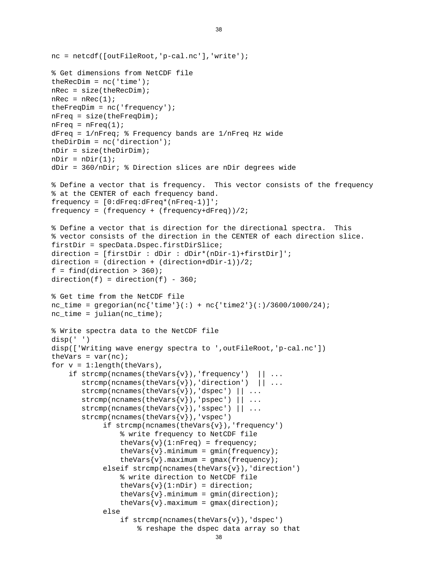```
 % reshape the dspec data array so that 
nc = netcdf([outFileRoot,'p-cal.nc'],'write'); 
% Get dimensions from NetCDF file 
theRecDim = nc('time');
nRec = size(theRecDim); 
nRec = nRec(1);theFreqDim = nc('frequency');
nFreq = size(theFreqDim); 
nFreq = nFreq(1);dFreq = 1/nFreq; % Frequency bands are 1/nFreq Hz wide 
theDirDim = nc('direction'); 
nDir = size(theDirDim);nDir = nDir(1);
dDir = 360/nDir; % Direction slices are nDir degrees wide 
% Define a vector that is frequency. This vector consists of the frequency 
% at the CENTER of each frequency band. 
frequency = [0:dFreq:dFreq*(nFreq-1)]'; 
frequency = (frequency + (frequency+dFreq))/2; 
% Define a vector that is direction for the directional spectra. This 
% vector consists of the direction in the CENTER of each direction slice. 
firstDir = specData.Dspec.firstDirSlice; 
direction = [firstDir : dDir : dDir*(nDir-1)+firstDir]'; 
direction = (direction + (direction + dDir-1))/2;f = find(direction > 360);
direction(f) = direction(f) - 360;% Get time from the NetCDF file 
nc\_time = gregorian(nc{'time'})(:) + nc{'time2'}(:) /3600/1000/24);nc_time = julian(nc_time);% Write spectra data to the NetCDF file 
disp(' ') 
disp(['Writing wave energy spectra to ',outFileRoot,'p-cal.nc']) 
theVars = var(nc);
for v = 1: length(theVars),
    if strcmp(ncnames(theVars\{v\}), 'frequency') || ...
       strcmp(ncnames(theVars{v}),'direction') || \ldots\text{strcmp}(n{\text{cnames}(theVars{v}),'dspec') || ...\text{strcmp}(n{\text{cnames}(theVars{v}), '\text{pspec'}) || ...
       strcmp(ncnames(theVars\{v\}), 'sspec') || \dots strcmp(ncnames(theVars{v}),'vspec') 
            if strcmp(ncnames(theVars\{v\}), 'frequency')
                  % write frequency to NetCDF file 
                 theVars\{v\}(1:nFreq) = frequency;
                 theVars\{v\}.minimum = qmin(frequency);
                 theVars\{v\}.maximum = gmax(frequency);
            elseif strcmp(ncnames(theVars{v}),'direction')
                  % write direction to NetCDF file 
                 theVars\{v\}(1:nDir) = direction;
                 theVars\{v\}.minimum = gmin(direction);
                 theVars\{v\}.maximum = gmax(direction);
             else 
                 if strcmp(ncnames(theVars\{v\}),'dspec')
```

```
38
```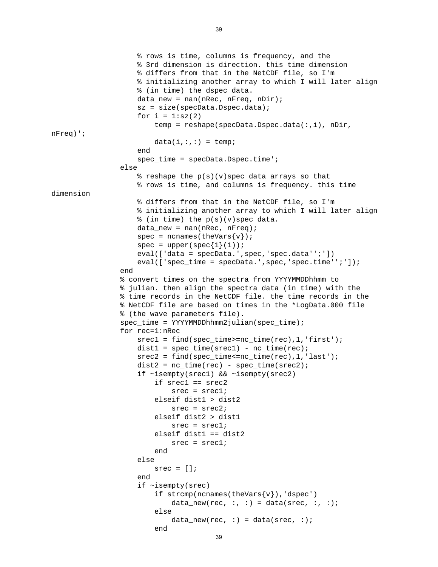```
 % rows is time, columns is frequency, and the 
                         % 3rd dimension is direction. this time dimension 
                         % differs from that in the NetCDF file, so I'm 
                         % initializing another array to which I will later align 
                         % (in time) the dspec data. 
                        data new = nan(nRec, nFreq, nDir);
                         sz = size(specData.Dspec.data); 
                        for i = 1:sz(2)temp = reshape(specData.Dspec.data(:,i), nDir,
nFreq)'; 
                             data(i,:,:) = temp; end 
                         spec_time = specData.Dspec.time'; 
                    else 
                         % reshape the p(s)(v)spec data arrays so that 
                         % rows is time, and columns is frequency. this time 
dimension 
                         % differs from that in the NetCDF file, so I'm 
                         % initializing another array to which I will later align 
                         % (in time) the p(s)(v)spec data. 
                         data_new = nan(nRec, nFreq); 
                        spec = n{\text{c}(\text{theVars}\{v\}});
                        spec = upper(spec{1}(1));
                         eval(['data = specData.',spec,'spec.data'';']) 
                        eval([ 'spec_time = specData'.',spec,'spec.time'':'] );
                    end 
                    % convert times on the spectra from YYYYMMDDhhmm to 
                    % julian. then align the spectra data (in time) with the 
                    % time records in the NetCDF file. the time records in the 
                    % NetCDF file are based on times in the *LogData.000 file 
                    % (the wave parameters file). 
                   spec_time = YYYYMMDDhhmm2julian(spec_time); for rec=1:nRec 
                        srec1 = find(spec time)=nc time(rec),1,'first');dist1 = spec_time(srec1) - nc_time(rec);srec2 = find(spec time<=nc time(rec),1,'last');dist2 = nc_time(rec) - spec_time(srec2); if ~isempty(srec1) && ~isempty(srec2) 
                              if srec1 == srec2 
                                  \text{src} = \text{src1}; elseif dist1 > dist2 
                                  \text{src} = \text{src2}; elseif dist2 > dist1 
                                  \text{src} = \text{src1}; elseif dist1 == dist2 
                                  \text{src} = \text{src1};end and send the send of the send of the send of the sending sending \mathbb{R}^n else 
                             \text{src} = []end and state of the state of the state of the state of the state of the state of the state of the state of th
                         if ~isempty(srec) 
                             if strcmp(ncnames(theVars\{v\}), 'dspec')
                                  data_new(rec, :, :) = data(srec, :, :);
else belangrad belangrad belangrad belangrad belangrad belangrad belangrad belangrad belangrad belangrad belan
                                  data_new(rec, :) = data(srec, :); end
```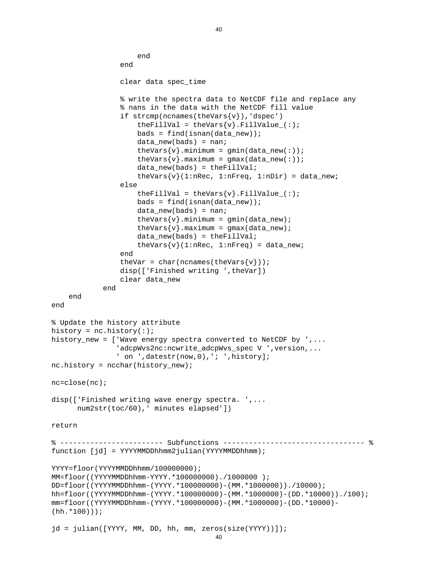```
jd = julian([YYYY, MM, DD, hh, mm, zeros(size(YYYY))]); 
                      end 
                  end 
                  clear data spec_time 
                  % write the spectra data to NetCDF file and replace any 
                  % nans in the data with the NetCDF fill value 
                  if strcmp(ncnames(theVars{v}),'dspec') 
                     theFillVal = theVars\{v\}.FillValue_(:);bads = find(isan(ndata_new)); data_new(bads) = nan; 
                     theVars\{v\}.minimum = qmin(data new(:));
                     theVars{v}.maximum = gmax(data_new(:));
                     data new(bads) = theFillVal;theVars\{v\}(1:nRec, 1:nFreq, 1:nDir) = data_new;
                  else 
                     theFillVal = theVars\{v\}.FillValue (:);
                     bads = find(isan(data new));data_new(bads) = nan;
                     theVars\{v\}.minimum = gmin(data_new);
                     theVars\{v\}.maximum = gmax(data_new);
                      data_new(bads) = theFillVal; 
                     theVars\{v\} (1:nRec, 1:nFreq) = data_new;
                  end 
                 theVar = char(ncnames(theVars{v}));
                  disp(['Finished writing ',theVar]) 
                  clear data_new 
             end 
     end 
end 
% Update the history attribute 
history = nc.history(:);
history new = [ 'Wave energy spectra converted to NetCDF by \cdot,...
                 'adcpWvs2nc:ncwrite_adcpWvs_spec V ',version,... 
                ' on ',datestr(now, 0), '; ', history];
nc.history = ncchar(history_new); 
nc=close(nc); 
disp(['Finished writing wave energy spectra. ',... 
       num2str(toc/60),' minutes elapsed']) 
return 
% ------------------------ Subfunctions --------------------------------- % 
function [jd] = YYYYMMDDhhmm2julian(YYYYMMDDhhmm); 
YYYY=floor(YYYYMMDDhhmm/1000000000);
MM=floor((YYYYMMDDhhmm-YYYY.*100000000)./1000000 ); 
DD=floor((YYYYMMDDhhmm-(YYYY.*100000000)-(MM.*1000000))./10000); 
hh=floor((YYYYMMDDhhmm-(YYYY.*100000000)-(MM.*1000000)-(DD.*10000))./100); 
mm=floor((YYYYMMDDhhmm-(YYYY.*100000000)-(MM.*1000000)-(DD.*10000)-
(hh.*100)));
```

```
40
```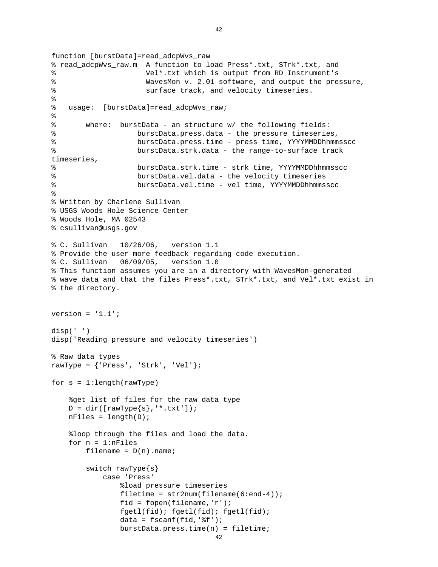```
 burstData.press.time(n) = filetime; 
function [burstData]=read_adcpWvs_raw 
% read_adcpWvs_raw.m A function to load Press*.txt, STrk*.txt, and 
% Vel*.txt which is output from RD Instrument's 
% WavesMon v. 2.01 software, and output the pressure, 
% surface track, and velocity timeseries. 
% 
% usage: [burstData]=read_adcpWvs_raw; 
% 
% where: burstData - an structure w/ the following fields: 
% burstData.press.data - the pressure timeseries, 
% burstData.press.time - press time, YYYYMMDDhhmmsscc 
% burstData.strk.data - the range-to-surface track 
timeseries, 
% burstData.strk.time - strk time, YYYYMMDDhhmmsscc 
% burstData.vel.data - the velocity timeseries 
% burstData.vel.time - vel time, YYYYMMDDhhmmsscc 
% 
% Written by Charlene Sullivan 
% USGS Woods Hole Science Center 
% Woods Hole, MA 02543 
% csullivan@usgs.gov 
% C. Sullivan 10/26/06, version 1.1 
% Provide the user more feedback regarding code execution. 
% C. Sullivan 06/09/05, version 1.0 
% This function assumes you are in a directory with WavesMon-generated 
% wave data and that the files Press*.txt, STrk*.txt, and Vel*.txt exist in 
% the directory. 
version = '1.1';
disp(' ') 
disp('Reading pressure and velocity timeseries') 
% Raw data types 
rawType = {\text{{} 'Press'} , 'Strk', 'Vel'} };for s = 1: length (rawType)
     %get list of files for the raw data type 
   D = dir([rawType{s}, '*.txt']);
   nFiles = length(D); %loop through the files and load the data. 
   for n = 1:nFiles
       filename = D(n).name;
        switch rawType{s} 
            case 'Press' 
                %load pressure timeseries 
               filetime = str2num(filename(6:end-4)); fid = fopen(filename,'r'); 
                fgetl(fid); fgetl(fid); fgetl(fid); 
               data = f scanf(fid,'%f');
```

```
42
```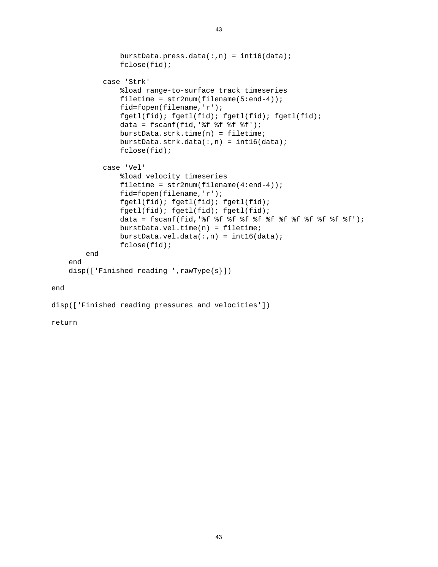```
burstData.press.data(:,n) = int16(data);
                  fclose(fid); 
             case 'Strk' 
                  %load range-to-surface track timeseries 
                 filetime = str2num(filename(5:end-4)); fid=fopen(filename,'r'); 
                  fgetl(fid); fgetl(fid); fgetl(fid); fgetl(fid); 
                 data = fscanf(fid,' if if if f(f);
                  burstData.strk.time(n) = filetime; 
                  burstData.strk.data(:,n) = int16(data); 
                  fclose(fid); 
             case 'Vel' 
                  %load velocity timeseries 
                 filetime = str2num(filename(4:end-4)); fid=fopen(filename,'r'); 
                  fgetl(fid); fgetl(fid); fgetl(fid); 
                  fgetl(fid); fgetl(fid); fgetl(fid); 
                  data = fscanf(fid,'%f %f %f %f %f %f %f %f %f %f %f %f'); 
                  burstData.vel.time(n) = filetime; 
                 burstData.val.data(:,n) = int16(data); fclose(fid); 
         end 
     end 
    disp(['Finished reading ',rawType{s}])
end
```

```
disp(['Finished reading pressures and velocities'])
```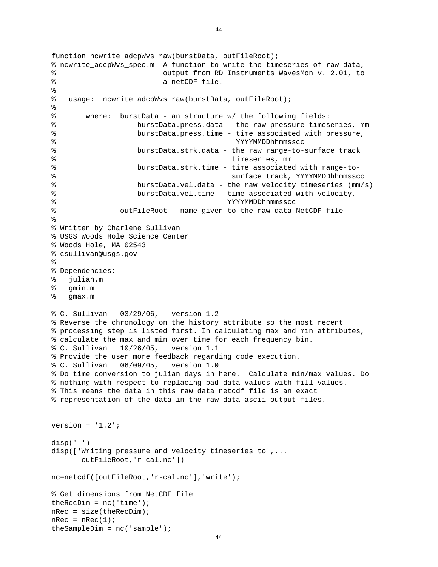```
function ncwrite adcpWvs raw(burstData, outFileRoot);
% ncwrite_adcpWvs_spec.m A function to write the timeseries of raw data, 
% output from RD Instruments WavesMon v. 2.01, to 
% a netCDF file. 
\epsilon% usage: ncwrite_adcpWvs_raw(burstData, outFileRoot); 
% 
% where: burstData - an structure w/ the following fields: 
% burstData.press.data - the raw pressure timeseries, mm 
% burstData.press.time - time associated with pressure, 
% YYYYMMDDhhmmsscc 
% burstData.strk.data - the raw range-to-surface track 
% timeseries, mm 
% burstData.strk.time - time associated with range-to- 
% surface track, YYYYMMDDhhmmsscc 
% burstData.vel.data - the raw velocity timeseries (mm/s) 
% burstData.vel.time - time associated with velocity, 
% YYYYMMDDhhmmsscc 
% outFileRoot - name given to the raw data NetCDF file 
% 
% Written by Charlene Sullivan 
% USGS Woods Hole Science Center 
% Woods Hole, MA 02543 
% csullivan@usgs.gov 
% 
% Dependencies: 
% julian.m 
% gmin.m 
% gmax.m 
% C. Sullivan 03/29/06, version 1.2 
% Reverse the chronology on the history attribute so the most recent 
% processing step is listed first. In calculating max and min attributes, 
% calculate the max and min over time for each frequency bin. 
% C. Sullivan 10/26/05, version 1.1 
% Provide the user more feedback regarding code execution. 
% C. Sullivan 06/09/05, version 1.0 
% Do time conversion to julian days in here. Calculate min/max values. Do 
% nothing with respect to replacing bad data values with fill values. 
% This means the data in this raw data netcdf file is an exact 
% representation of the data in the raw data ascii output files. 
version = '1.2';
disp(' ') 
disp(['Writing pressure and velocity timeseries to',... 
       outFileRoot,'r-cal.nc']) 
nc=netcdf([outFileRoot,'r-cal.nc'],'write'); 
% Get dimensions from NetCDF file 
theRecDim = nc('time');
nRec = size(theRecDim);nRec = nRec(1);theSampleDim = nc('sample');
```

```
44
```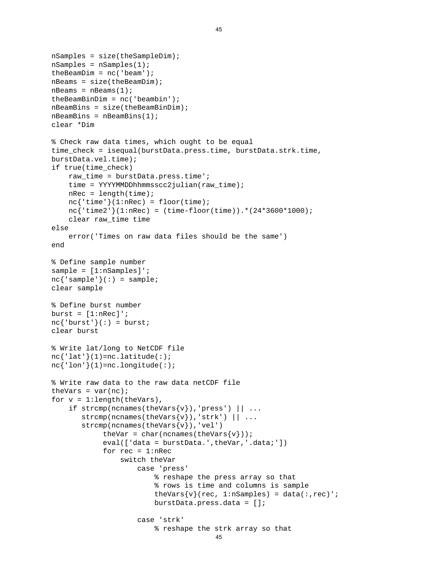```
 % reshape the strk array so that 
nSamples = size(theSampleDim); 
nSamples = nSamples(1); 
theBeamDim = nc('beam');
nBeams = size(theBeamDim); 
nBeams = nBeams(1);
theBeamBinDim = nc('beambin'); 
nBeamBins = size(theBeamBinDim); 
nBeamBins = nBeamBins(1); 
clear *Dim 
% Check raw data times, which ought to be equal 
time check = isequal(burstData.press.time, burstData.strk.time,
burstData.vel.time); 
if true(time_check) 
     raw_time = burstData.press.time'; 
    time = YYYYMMDDhhmmsscc2julian(raw_time);
    nRec = length(time);
    nc{'time'}(1:nRec) = floor(time); nc{'time2'}(1:nRec) = (time-floor(time)).*(24*3600*1000); 
     clear raw_time time 
else 
     error('Times on raw data files should be the same') 
end 
% Define sample number 
sample = [1:nSamples]';
nc{'sample'}(:) = sample;
clear sample 
% Define burst number 
burst = [1:nRec]';
nc{'burst'}(:) = burst;clear burst 
% Write lat/long to NetCDF file 
nc{'\;lat'\;}(1)=nc.latitude(:);nc{'·lon'}/(1)=nc.lengthude(:);
% Write raw data to the raw data netCDF file 
theVars = var(nc);
for v = 1: length(theVars),
    if strcmp(ncnames(theVars\{v\}),'press') || \dots\text{strcmp}(n{\text{cnames}(theVars{v}), 'strk') || \dots strcmp(ncnames(theVars{v}),'vel') 
             theVar = char(ncnames(theVars{v}));
            eval(['data = burstData.',theVar,'.data;'])
             for rec = 1: nRec switch theVar 
                      case 'press' 
                          % reshape the press array so that 
                          % rows is time and columns is sample 
                         theVars\{v\} (rec, 1:nSamples) = data(:, rec)';
                          burstData.press.data = []; 
                      case 'strk'
```

```
45
```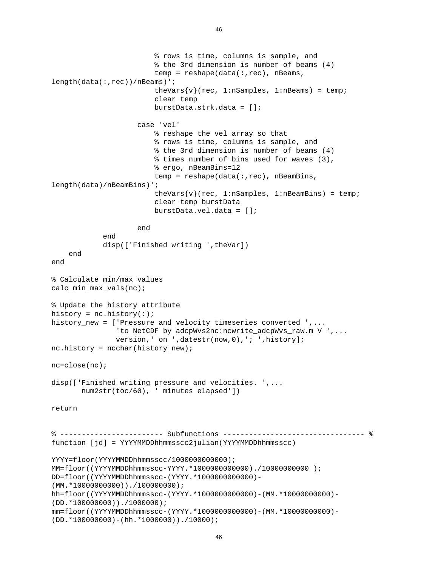```
 % rows is time, columns is sample, and 
                          % the 3rd dimension is number of beams (4) 
                         temp = reshape(data(:,rec), nBeans,length(data(:,rec))/nBeams)'; 
                         theVars\{v\} (rec, 1:nSamples, 1:nBeams) = temp;
                          clear temp 
                          burstData.strk.data = []; 
                      case 'vel' 
                          % reshape the vel array so that 
                          % rows is time, columns is sample, and 
                          % the 3rd dimension is number of beams (4) 
                          % times number of bins used for waves (3), 
                          % ergo, nBeamBins=12 
                         temp = reshape(data(:, rec), nBeamBins,
length(data)/nBeamBins)'; 
                         theVars\{v\} (rec, 1:nSamples, 1:nBeamBins) = temp;
                          clear temp burstData 
                          burstData.vel.data = []; 
                      end 
             end 
             disp(['Finished writing ',theVar]) 
     end 
end 
% Calculate min/max values 
calc_min_max_vals(nc); 
% Update the history attribute 
history = nc.history(:);
history_new = ['Pressure and velocity timeseries converted ',... 
                'to NetCDF by adcpWvs2nc:ncwrite_adcpWvs_raw.m V ',...
                version,' on ',datestr(now,0),'; ',history];
nc.history = ncchar(history_new); 
nc=close(nc); 
disp(['Finished writing pressure and velocities. ',... 
        num2str(toc/60), ' minutes elapsed']) 
return 
% ------------------------ Subfunctions --------------------------------- % 
function [jd] = YYYYMMDDhhmmsscc2julian(YYYYMMDDhhmmsscc) 
YYYY=floor(YYYYMMDDhhmmsscc/1000000000000); 
MM=floor((YYYYMMDDhhmmsscc-YYYY.*1000000000000)./10000000000 ); 
DD=floor((YYYYMMDDhhmmsscc-(YYYY.*1000000000000)-
(MM.*10000000000))./100000000); 
hh=floor((YYYYMMDDhhmmsscc-(YYYY.*1000000000000)-(MM.*10000000000)-
(DD.*100000000))./1000000); 
mm=floor((YYYYMMDDhhmmsscc-(YYYY.*1000000000000)-(MM.*10000000000)-
(DD.*100000000) - (hh.*1000000))./10000);
```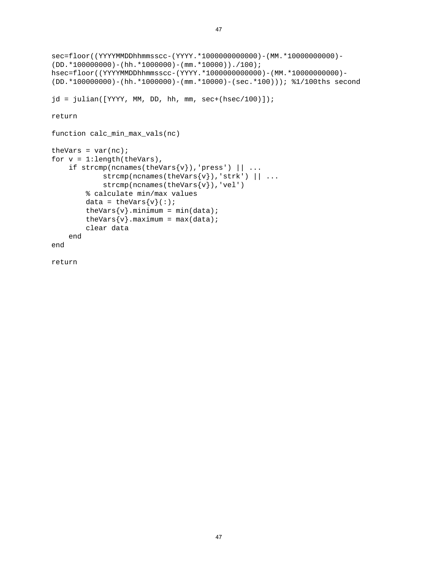```
sec=floor((YYYYMMDDhhmmsscc-(YYYY.*1000000000000)-(MM.*10000000000)-
(DD.*100000000) - (hh.*1000000) - (mm.*10000))./100);
hsec=floor((YYYYMMDDhhmmsscc-(YYYY.*1000000000000)-(MM.*10000000000)-
(DD.*100000000)-(hh.*1000000)-(mm.*10000)-(sec.*100))); %1/100ths second 
jd = julian([YYYY, MM, DD, hh, mm, sec+(hsec/100)]);return 
function calc_min_max_vals(nc) 
theVars = var(nc);
for v = 1: length(theVars),
    if strcmp(ncnames(theVars\{v\}), 'press') || ...strcmp(ncnames(theVars\{v\}),'strk') || \ldots strcmp(ncnames(theVars{v}),'vel') 
         % calculate min/max values 
        data = theVars\{v\}(:);
        theVars\{v\}.minimum = min(data);
        theVars\{v\}.maximum = max(data);
         clear data 
     end 
end
```

```
return
```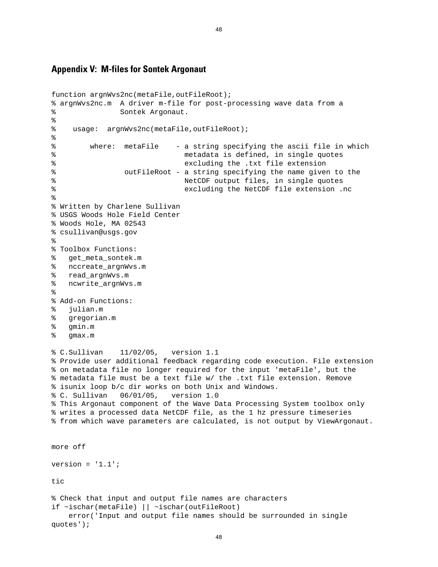## **Appendix V: M-files for Sontek Argonaut**

```
function argnWvs2nc(metaFile, outFileRoot);
% argnWvs2nc.m A driver m-file for post-processing wave data from a 
% Sontek Argonaut. 
% 
% usage: argnWvs2nc(metaFile,outFileRoot); 
% 
% where: metaFile - a string specifying the ascii file in which 
% metadata is defined, in single quotes 
% excluding the .txt file extension 
% outFileRoot - a string specifying the name given to the 
% NetCDF output files, in single quotes 
% excluding the NetCDF file extension .nc 
% 
% Written by Charlene Sullivan 
% USGS Woods Hole Field Center 
% Woods Hole, MA 02543 
% csullivan@usgs.gov 
\approx% Toolbox Functions: 
% get_meta_sontek.m 
% nccreate_argnWvs.m 
% read_argnWvs.m 
% ncwrite_argnWvs.m 
% 
% Add-on Functions: 
% julian.m 
% gregorian.m 
% gmin.m 
% gmax.m 
% C.Sullivan 11/02/05, version 1.1 
% Provide user additional feedback regarding code execution. File extension 
% on metadata file no longer required for the input 'metaFile', but the 
% metadata file must be a text file w/ the .txt file extension. Remove 
% isunix loop b/c dir works on both Unix and Windows. 
% C. Sullivan 06/01/05, version 1.0 
% This Argonaut component of the Wave Data Processing System toolbox only 
% writes a processed data NetCDF file, as the 1 hz pressure timeseries 
% from which wave parameters are calculated, is not output by ViewArgonaut. 
more off 
version = '1.1';
tic 
% Check that input and output file names are characters 
if ~ischar(metaFile) || ~ischar(outFileRoot) 
    error('Input and output file names should be surrounded in single 
quotes');
```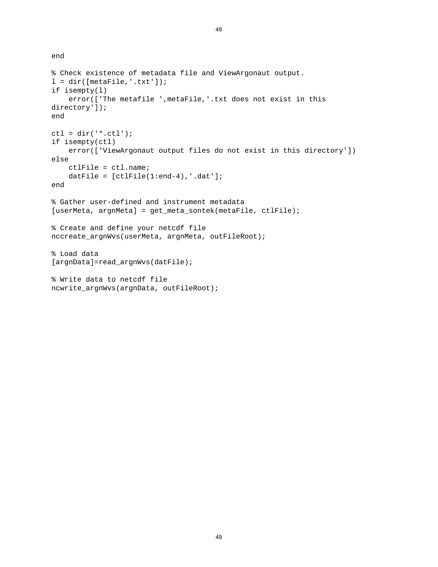```
end
```

```
% Check existence of metadata file and ViewArgonaut output. 
l = dir([metaFile,'.txt']);
if isempty(l) 
     error(['The metafile ',metaFile,'.txt does not exist in this 
directory']); 
end 
ctl = dir('*.ctl');if isempty(ctl) 
     error(['ViewArgonaut output files do not exist in this directory']) 
else 
     ctlFile = ctl.name; 
    datFile = [ctlFile(1:end-4),'.dat'];
end 
% Gather user-defined and instrument metadata 
[userMeta, argnMeta] = get_meta_sontek(metaFile, ctlFile);
% Create and define your netcdf file 
nccreate_argnWvs(userMeta, argnMeta, outFileRoot); 
% Load data 
[argnData]=read_argnWvs(datFile); 
% Write data to netcdf file 
ncwrite_argnWvs(argnData, outFileRoot);
```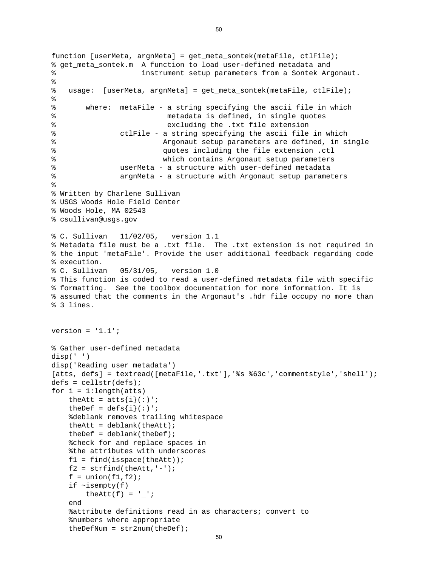```
function [userMeta, argnMeta] = get meta sontek(metaFile, ctlFile);
% get_meta_sontek.m A function to load user-defined metadata and 
% instrument setup parameters from a Sontek Argonaut. 
% 
% usage: [userMeta, argnMeta] = get_meta_sontek(metaFile, ctlFile); 
% 
% where: metaFile - a string specifying the ascii file in which 
% metadata is defined, in single quotes 
% excluding the .txt file extension 
% ctlFile - a string specifying the ascii file in which 
% Argonaut setup parameters are defined, in single 
% quotes including the file extension .ctl 
% which contains Argonaut setup parameters 
% userMeta - a structure with user-defined metadata 
% argnMeta - a structure with Argonaut setup parameters 
% 
% Written by Charlene Sullivan 
% USGS Woods Hole Field Center 
% Woods Hole, MA 02543 
% csullivan@usgs.gov 
% C. Sullivan 11/02/05, version 1.1 
% Metadata file must be a .txt file. The .txt extension is not required in 
% the input 'metaFile'. Provide the user additional feedback regarding code 
% execution. 
% C. Sullivan 05/31/05, version 1.0 
% This function is coded to read a user-defined metadata file with specific 
% formatting. See the toolbox documentation for more information. It is 
% assumed that the comments in the Argonaut's .hdr file occupy no more than 
% 3 lines. 
version = '1.1';
% Gather user-defined metadata 
disp(' ') 
disp('Reading user metadata') 
[atts, defs] = textread([metaFile,'.txt'],'%s %63c','commentstyle','shell');
defs = cellstr(defs);for i = 1: length(atts)
   theAtt = atts{i}(:)';
   theDef = \text{defs}\{i\}(:)';
     %deblank removes trailing whitespace 
   theAtt = deblank(theAtt);theDef = deblank(theDef); %check for and replace spaces in 
     %the attributes with underscores 
   f1 = find(isspace(theAtt));f2 = \text{strfind}(\text{theAtt}, '--');
   f = union(f1,f2);if \simisempty(f)
       theAtt(f) = ';
    end 
     %attribute definitions read in as characters; convert to 
     %numbers where appropriate 
    theDefNum = str2num(theDef);
```

```
50
```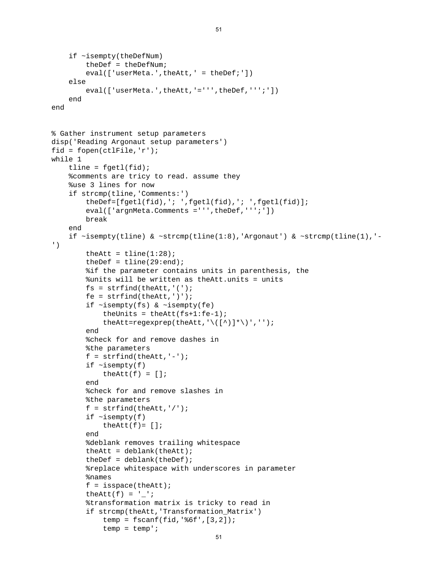```
 if ~isempty(theDefNum) 
          theDef = theDefNum; 
         eval(['userMeta.',theAtt,' = theDef;'])
     else 
         eval(['userMeta.',theAtt,'=''',theDef,''';'])
     end 
end 
% Gather instrument setup parameters 
disp('Reading Argonaut setup parameters') 
fid = fopen(ctlFile, 'r');
while 1 
    tline = fgetl(fid); %comments are tricy to read. assume they 
     %use 3 lines for now 
     if strcmp(tline,'Comments:') 
         theDef=[fgetl(fid),'; ',fgetl(fid),'; ',fgetl(fid)];
        eval(['argnMeta.Comments =''',theDef,''';'])
         break 
     end 
    if \simisempty(tline) & \simstrcmp(tline(1:8),'Argonaut') & \simstrcmp(tline(1),'-
') 
         theAtt = tline(1:28);
         theDef = tline(29:end);
          %if the parameter contains units in parenthesis, the 
          %units will be written as theAtt.units = units 
        fs = strfind(theAtt,'(');fe = strfind(theAtt,')');
          if ~isempty(fs) & ~isempty(fe) 
             theUnits = theAtt(fs+1:fe-1);
              theAtt=regexprep(theAtt,'\([^)]*\)',''); 
         end 
          %check for and remove dashes in 
          %the parameters 
         f = \text{string}(\text{theAtt}, '--');
         if \simisempty(f)
             theAtt(f) = [];
         end 
          %check for and remove slashes in 
          %the parameters 
         f = \text{string}(\text{theAtt}, \frac{1}{\cdot});
         if \simisempty(f)
             theAtt(f) = [];
         end 
          %deblank removes trailing whitespace 
         theAtt = deblank(theAtt);
         theDef = deblank(theDef); %replace whitespace with underscores in parameter 
          %names 
         f = isspace(theAtt);theAtt(f) = ' ';
          %transformation matrix is tricky to read in 
          if strcmp(theAtt,'Transformation_Matrix') 
              temp = fscanf(fid,'%6f',[3,2]); 
             temp = temp';
```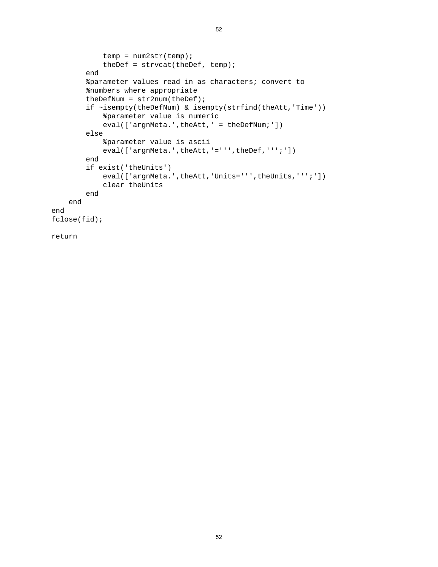```
 temp = num2str(temp); 
            theDef = strvcat(theDef, temp);
         end 
         %parameter values read in as characters; convert to 
         %numbers where appropriate 
        theDefNum = str2num(theDef);
         if ~isempty(theDefNum) & isempty(strfind(theAtt,'Time')) 
              %parameter value is numeric 
            eval(['argnMeta.',theAtt,' = theDefNum;'])
         else 
              %parameter value is ascii 
            eval(['argnMeta.',theAtt,'=''',theDef,''';'])
         end 
         if exist('theUnits') 
            eval(['argnMeta.',theAtt,'Units=''',theUnits,''';'])
             clear theUnits 
         end 
     end 
end 
fclose(fid); 
return
```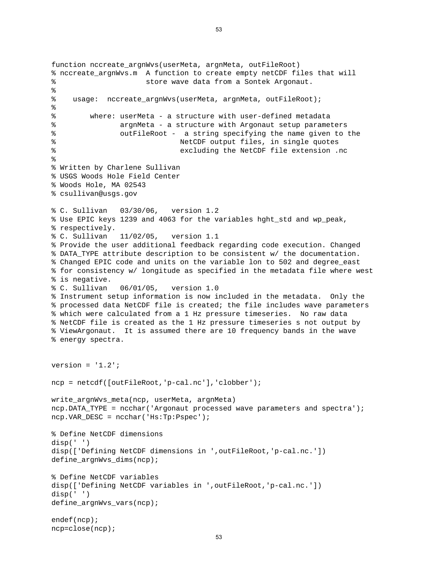```
function nccreate_argnWvs(userMeta, argnMeta, outFileRoot) 
% nccreate_argnWvs.m A function to create empty netCDF files that will 
% store wave data from a Sontek Argonaut. 
% 
% usage: nccreate_argnWvs(userMeta, argnMeta, outFileRoot); 
% 
% where: userMeta - a structure with user-defined metadata 
% argnMeta - a structure with Argonaut setup parameters 
% outFileRoot - a string specifying the name given to the 
% NetCDF output files, in single quotes 
% excluding the NetCDF file extension .nc 
% 
% Written by Charlene Sullivan 
% USGS Woods Hole Field Center 
% Woods Hole, MA 02543 
% csullivan@usgs.gov 
% C. Sullivan 03/30/06, version 1.2 
% Use EPIC keys 1239 and 4063 for the variables hght_std and wp_peak, 
% respectively. 
% C. Sullivan 11/02/05, version 1.1 
% Provide the user additional feedback regarding code execution. Changed 
% DATA_TYPE attribute description to be consistent w/ the documentation. 
% Changed EPIC code and units on the variable lon to 502 and degree_east 
% for consistency w/ longitude as specified in the metadata file where west 
% is negative. 
% C. Sullivan 06/01/05, version 1.0 
% Instrument setup information is now included in the metadata. Only the 
% processed data NetCDF file is created; the file includes wave parameters 
% which were calculated from a 1 Hz pressure timeseries. No raw data 
% NetCDF file is created as the 1 Hz pressure timeseries s not output by 
% ViewArgonaut. It is assumed there are 10 frequency bands in the wave 
% energy spectra. 
version = '1.2';
ncp = netcdf([outFileRoot,'p-cal.nc'],'clobber'); 
write_argnWvs_meta(ncp, userMeta, argnMeta) 
ncp.DATA_TYPE = ncchar('Argonaut processed wave parameters and spectra'); 
ncp.VAR_DESC = ncchar('Hs:Tp:Pspec'); 
% Define NetCDF dimensions 
disp(' ') 
disp(['Defining NetCDF dimensions in ',outFileRoot,'p-cal.nc.']) 
define_argnWvs_dims(ncp); 
% Define NetCDF variables 
disp(['Defining NetCDF variables in ',outFileRoot,'p-cal.nc.']) 
disp(' ') 
define_argnWvs_vars(ncp); 
endef(ncp); 
ncp=close(ncp);
```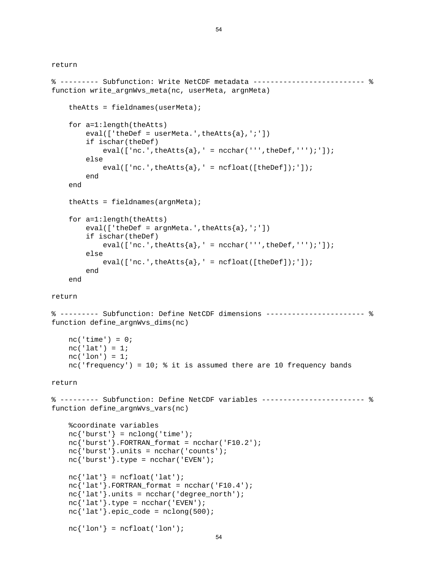```
% --------- Subfunction: Write NetCDF metadata -------------------------- % 
function write_argnWvs_meta(nc, userMeta, argnMeta) 
    theAtts = fieldnames(userMeta); for a=1:length(theAtts) 
        eval([ 'theDef = userMeta.' , theAtts{a}, ' ; ' ] ) if ischar(theDef) 
            eval([inc.',theAtts\{a\}, ' = ncchar(''',theDef,''');']);
         else 
            eval([inc.',theAtts\{a\}, ' = ncfloat([theDef]);']);
         end 
     end 
    theAtts = fieldnames(armMeta); for a=1:length(theAtts) 
        eval([ 'theDef = argnMeta.' , theAtts{a}, ' ; ' ] ) if ischar(theDef) 
            eval([inc.',theAtts\{a\}, ' = ncchar(''',theDef,''');']);
         else 
            eval([inc.',theAtts\{a\}, ' = ncfloat([theDef]);']);
         end 
     end 
return 
% --------- Subfunction: Define NetCDF dimensions ----------------------- % 
function define_argnWvs_dims(nc) 
    nc('time') = 0;nc('lat') = 1;nc('lon') = 1; nc('frequency') = 10; % it is assumed there are 10 frequency bands 
return 
% --------- Subfunction: Define NetCDF variables ------------------------ % 
function define_argnWvs_vars(nc) 
     %coordinate variables 
    nc{'|}burst' = nclong('time');nc<sup>'burst'</sub>}.FORTRAN_format = ncchar('F10.2');</sup>
    nc{'\text{burst'}}.units = nchar('counts');nc{'burst'}.type = ncchar('EVEN');nc{'\;lat' \;} = ncfload('lat');nc{'latt'}.FORTRAN_format = ncchar('F10.4');nc{'lat'}.units = ncchar('degree\_north');nc{'lat'}.type = ncchar('EVEN');nc{'l}nc{'·lon'} = ncfload('lon');
```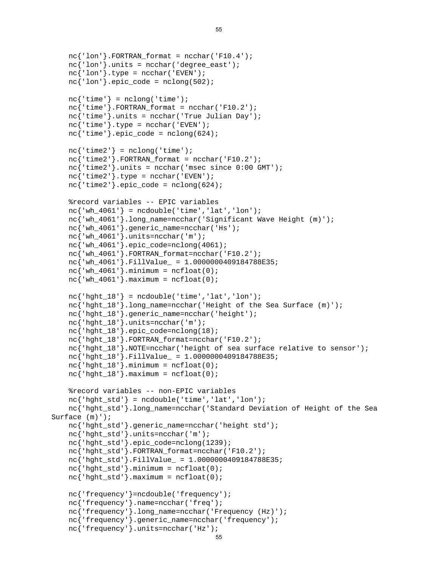```
 nc{'frequency'}.units=ncchar('Hz'); 
    nc{'·lon'}. FORTRAN_format = ncchar('F10.4');
     nc{'lon'}.units = ncchar('degree_east'); 
    nc{'lon'}.type = ncchar('EVEN');nc{'lon'}.epic_code = nclong(502);
    nc{'time'} = nclong('time');nc{'time'}.FORTRAN format = ncchar('F10.2');
     nc{'time'}.units = ncchar('True Julian Day'); 
    nc{'time'}}.type = ncchar('EVEN');nc{'time'}}.epic_code = nclong(624);nc{'time2'} = nclong('time');nc{'time2'}. FORTRAN_format = ncchar('F10.2');nc{'time2'}.units = ncchar('msec since 0:00 GMT');nc{'time2'}}.type = ncchar('EVEN');nc{'time2'}.epic_code = nclong(624);
     %record variables -- EPIC variables 
    nc{'wh4061'} = ncdouble('time', 'lat', 'lon'); nc{'wh_4061'}.long_name=ncchar('Significant Wave Height (m)'); 
     nc{'wh_4061'}.generic_name=ncchar('Hs'); 
     nc{'wh_4061'}.units=ncchar('m'); 
    nc{'wh_4061'}.epic_code=nclong(4061);
     nc{'wh_4061'}.FORTRAN_format=ncchar('F10.2'); 
    nc'wh 4061'}.FillValue = 1.0000000409184788E35;
    nc{'wh_4061'}.minimum = ncfloat(0);nc{'wh_4061'}.maximum = ncfloat(0);nc{'hqht 18'} = ncdouble('time', 'lat', 'lon'); nc{'hght_18'}.long_name=ncchar('Height of the Sea Surface (m)'); 
     nc{'hght_18'}.generic_name=ncchar('height'); 
     nc{'hght_18'}.units=ncchar('m'); 
     nc{'hght_18'}.epic_code=nclong(18); 
    nc{'hght_18'}.FORTRAN_format=ncchar('F10.2');
     nc{'hght_18'}.NOTE=ncchar('height of sea surface relative to sensor'); 
    nc{' hght 18'. FillValue = 1.0000000409184788E35;
    nc{'hght_18'}.minimum = ncfloat(0);nc{'hght_18'}.maximum = ncfloat(0); %record variables -- non-EPIC variables 
    nc{'hght_std'} = ncdouble('time', 'lat', 'lon'); nc{'hght_std'}.long_name=ncchar('Standard Deviation of Height of the Sea 
Surface (m)'); 
     nc{'hght_std'}.generic_name=ncchar('height std'); 
     nc{'hght_std'}.units=ncchar('m'); 
     nc{'hght_std'}.epic_code=nclong(1239); 
    nc{'hght_std'}.FORTRAN_format=ncchar('F10.2');
     nc{'hght_std'}.FillValue_ = 1.0000000409184788E35; 
    nc{'hght_std'}.minimum = ncfloat(0); nc{'hght_std'}.maximum = ncfloat(0); 
     nc{'frequency'}=ncdouble('frequency'); 
     nc{'frequency'}.name=ncchar('freq'); 
     nc{'frequency'}.long_name=ncchar('Frequency (Hz)'); 
     nc{'frequency'}.generic_name=ncchar('frequency');
```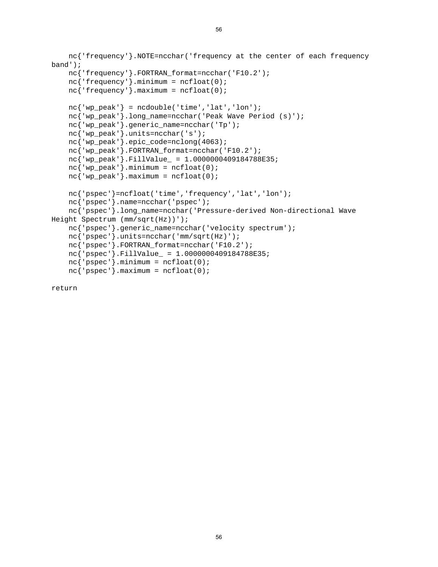```
 nc{'frequency'}.NOTE=ncchar('frequency at the center of each frequency 
band'); 
     nc{'frequency'}.FORTRAN_format=ncchar('F10.2'); 
    nc<sup>'</sup> frequency' }.minimum = ncfloat(0);
    nc<sup>'</sup> frequency' }.maximum = ncfloat(0);
    nc{'vw} peak' = ncdouble('time', 'lat', 'lon'); nc{'wp_peak'}.long_name=ncchar('Peak Wave Period (s)'); 
     nc{'wp_peak'}.generic_name=ncchar('Tp'); 
     nc{'wp_peak'}.units=ncchar('s'); 
     nc{'wp_peak'}.epic_code=nclong(4063); 
    nc{'wp_peak'}.FORTRAN_format=ncchar('F10.2');
     nc{'wp_peak'}.FillValue_ = 1.0000000409184788E35; 
    nc{'wp_peak'}.minimum = ncfloat(0);
    nc{'wp_peak'}.maximum = ncfloat(0); nc{'pspec'}=ncfloat('time','frequency','lat','lon'); 
     nc{'pspec'}.name=ncchar('pspec'); 
     nc{'pspec'}.long_name=ncchar('Pressure-derived Non-directional Wave 
Height Spectrum (mm/sqrt(Hz))'); 
     nc{'pspec'}.generic_name=ncchar('velocity spectrum'); 
     nc{'pspec'}.units=ncchar('mm/sqrt(Hz)'); 
     nc{'pspec'}.FORTRAN_format=ncchar('F10.2'); 
     nc{'pspec'}.FillValue_ = 1.0000000409184788E35; 
    nc{'pspec'}.minimum = ncfloat(0);nc{'pspec'}.maximum = ncfloat(0);
```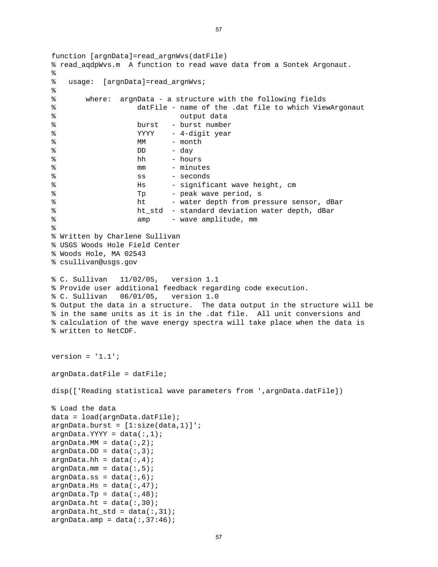```
function [argnData]=read_argnWvs(datFile) 
% read_aqdpWvs.m A function to read wave data from a Sontek Argonaut. 
\epsilon% usage: [argnData]=read_argnWvs; 
\epsilon% where: argnData - a structure with the following fields 
% datFile - name of the .dat file to which ViewArgonaut 
% output data 
% burst - burst number 
% YYYY - 4-digit year
% MM - month
\% DD - day
% hh - hours 
% mm - minutes 
% ss - seconds 
% Hs - significant wave height, cm
% Tp - peak wave period, s
% ht - water depth from pressure sensor, dBar 
% ht_std - standard deviation water depth, dBar 
% amp - wave amplitude, mm
% 
% Written by Charlene Sullivan 
% USGS Woods Hole Field Center 
% Woods Hole, MA 02543 
% csullivan@usgs.gov 
% C. Sullivan 11/02/05, version 1.1 
% Provide user additional feedback regarding code execution. 
% C. Sullivan 06/01/05, version 1.0 
% Output the data in a structure. The data output in the structure will be 
% in the same units as it is in the .dat file. All unit conversions and 
% calculation of the wave energy spectra will take place when the data is 
% written to NetCDF. 
version = '1.1';
argnData.datFile = datFile; 
disp(['Reading statistical wave parameters from ',argnData.datFile]) 
% Load the data 
data = load(argnData.datFile); 
argnData.burst = [1:size(data,1)]argnData.YYYY = data(:,1);argnData.MM = data(:,2);argnData.DD = data(:,3);argnData.hh = data(:,4);argnData.mm = data(:,5);argnData:ss = data(:,6);argnData.Hs = data(:,47);argnData.Tp = data(:,48);argnData.ht = data(:,30);argnData.ht_std = data(:,31);argnData . amp = data(:,37:46);
```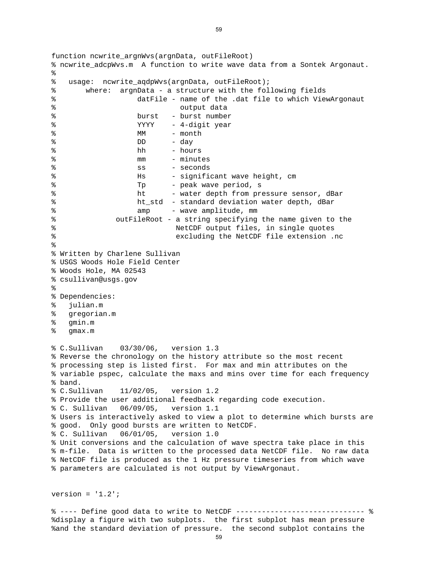```
function ncwrite argnWvs(argnData, outFileRoot)
% ncwrite_adcpWvs.m A function to write wave data from a Sontek Argonaut. 
\epsilon% usage: ncwrite_aqdpWvs(argnData, outFileRoot); 
% where: argnData - a structure with the following fields 
% datFile - name of the .dat file to which ViewArgonaut 
% output data 
% burst - burst number 
% YYYY - 4-digit year
% MM - month
% DD - day
% hh - hours
% mm - minutes 
% ss - seconds 
% Hs - significant wave height, cm
% Tp - peak wave period, s
% ht - water depth from pressure sensor, dBar 
% ht_std - standard deviation water depth, dBar 
% amp - wave amplitude, mm
% outFileRoot - a string specifying the name given to the 
% NetCDF output files, in single quotes 
% excluding the NetCDF file extension .nc 
% 
% Written by Charlene Sullivan 
% USGS Woods Hole Field Center 
% Woods Hole, MA 02543 
% csullivan@usgs.gov 
% 
% Dependencies: 
% julian.m 
% gregorian.m 
% gmin.m 
% gmax.m 
% C.Sullivan 03/30/06, version 1.3 
% Reverse the chronology on the history attribute so the most recent 
% processing step is listed first. For max and min attributes on the 
% variable pspec, calculate the maxs and mins over time for each frequency 
% band. 
% C.Sullivan 11/02/05, version 1.2 
% Provide the user additional feedback regarding code execution. 
% C. Sullivan 06/09/05, version 1.1 
% Users is interactively asked to view a plot to determine which bursts are 
% good. Only good bursts are written to NetCDF. 
% C. Sullivan 06/01/05, version 1.0 
% Unit conversions and the calculation of wave spectra take place in this 
% m-file. Data is written to the processed data NetCDF file. No raw data 
% NetCDF file is produced as the 1 Hz pressure timeseries from which wave 
% parameters are calculated is not output by ViewArgonaut.
```
%and the standard deviation of pressure. the second subplot contains the % ---- Define good data to write to NetCDF ------------------------------ % %display a figure with two subplots. the first subplot has mean pressure

version =  $'1.2'$ ;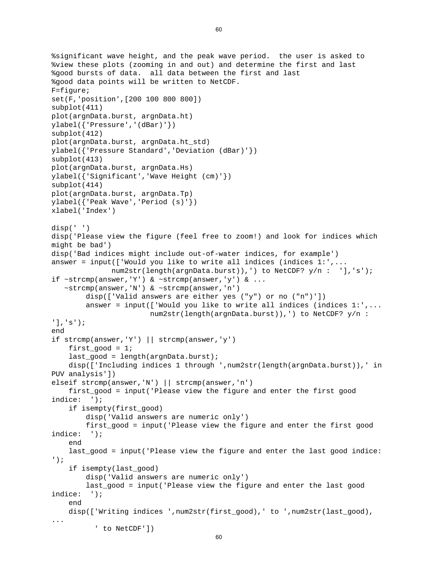```
%significant wave height, and the peak wave period. the user is asked to 
%view these plots (zooming in and out) and determine the first and last 
%good bursts of data. all data between the first and last 
%good data points will be written to NetCDF. 
F=figure; 
set(F,'position',[200 100 800 800]) 
subplot(411) 
plot(argnData.burst, argnData.ht) 
ylabel({'Pressure','(dBar)'}) 
subplot(412) 
plot(argnData.burst, argnData.ht_std) 
ylabel({'Pressure Standard','Deviation (dBar)'}) 
subplot(413) 
plot(argnData.burst, argnData.Hs) 
ylabel({'Significant','Wave Height (cm)'}) 
subplot(414) 
plot(argnData.burst, argnData.Tp) 
ylabel({'Peak Wave','Period (s)'}) 
xlabel('Index') 
disp(' ') 
disp('Please view the figure (feel free to zoom!) and look for indices which 
might be bad') 
disp('Bad indices might include out-of-water indices, for example') 
answer = input(['Would you like to write all indices (indices 1:',... num2str(length(argnData.burst)),') to NetCDF? y/n : '],'s'); 
if ~\simstrcmp(answer,'Y') & ~\simstrcmp(answer,'y') & ...
    ~strcmp(answer,'N') & ~strcmp(answer,'n') 
         disp(['Valid answers are either yes ("y") or no ("n")']) 
         answer = input(['Would you like to write all indices (indices 1:',... 
                         num2str(length(argnData.burst)),') to NetCDF? y/n : 
'],'s'); 
end 
if strcmp(answer,'Y') || strcmp(answer,'y') 
    first qood = 1;
    last qood = length(arqnData.burst); disp(['Including indices 1 through ',num2str(length(argnData.burst)),' in 
PUV analysis']) 
elseif strcmp(answer,'N') || strcmp(answer,'n')
    first good = input('Please view the figure and enter the first good
indice: '); 
     if isempty(first_good) 
         disp('Valid answers are numeric only') 
         first_good = input('Please view the figure and enter the first good 
indice: '); 
     end 
     last_good = input('Please view the figure and enter the last good indice: 
'); 
     if isempty(last_good) 
         disp('Valid answers are numeric only') 
        last good = input('Please view the figure and enter the last good
indice: '); 
     end 
     disp(['Writing indices ',num2str(first_good),' to ',num2str(last_good), 
... 
           ' to NetCDF'])
```

```
60
```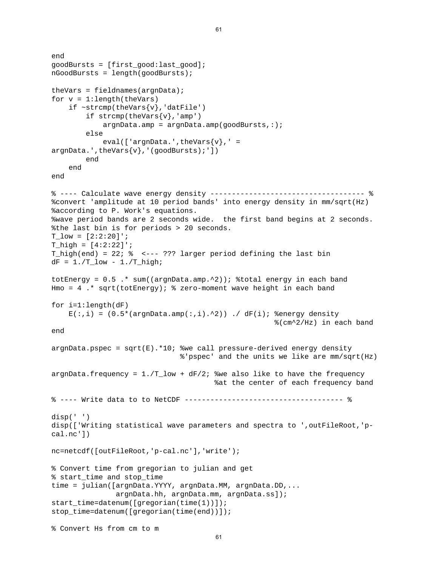```
end 
goodBursts = [first_good:last_good]; 
nGoodBursts = length(goodBursts); 
theVars = fieldnames(argnData); 
for v = 1: length(theVars)
    if ~\simstrcmp(theVars{v},'datFile')
        if strong(theVars{v}, 'amp')
            argnData .amp = argnData .amp(goodBursts, :); else 
            eval([ 'argnData.', theVars\{v\}, ' =
argnData.", theVars\{v\}, '(goodBursts);'])
         end 
     end 
end 
% ---- Calculate wave energy density ------------------------------------ % 
%convert 'amplitude at 10 period bands' into energy density in mm/sqrt(Hz) 
%according to P. Work's equations. 
%wave period bands are 2 seconds wide. the first band begins at 2 seconds. 
%the last bin is for periods > 20 seconds. 
T_low = [2:2:20]'T high = [4:2:22]';
T_high(end) = 22; % <--- ??? larger period defining the last bin 
dF = 1./T\_low - 1./T\_high;totEnergy = 0.5 .* sum((argnData.amp.^2)); %total energy in each band
Hmo = 4 .* sqrt(totEnergy); % zero-moment wave height in each band 
for i=1:length(dF)E(:,i) = (0.5*(argnData-amp(:,i).^2)) ./ dF(i); %energy density
                                                       %(cm^2/Hz) in each band 
end 
argnData.pspec = sqrt(E).*10; %we call pressure-derived energy density
                                %'pspec' and the units we like are mm/sqrt(Hz) 
argnData.frequency = 1.7-low + dF/2; %we also like to have the frequency
                                        %at the center of each frequency band 
% ---- Write data to to NetCDF ------------------------------------- % 
disp(' ') 
disp(['Writing statistical wave parameters and spectra to ',outFileRoot,'p-
cal.nc']) 
nc=netcdf([outFileRoot,'p-cal.nc'],'write'); 
% Convert time from gregorian to julian and get 
% start_time and stop_time 
time = julian([argnData.YYYY, argnData.MM, argnData.DD,... 
                argnData.hh, argnData.mm, argnData.ss]); 
start_time=datenum([gregorian(time(1))]); 
stop_time=datenum([gregorian(time(end))]); 
% Convert Hs from cm to m
```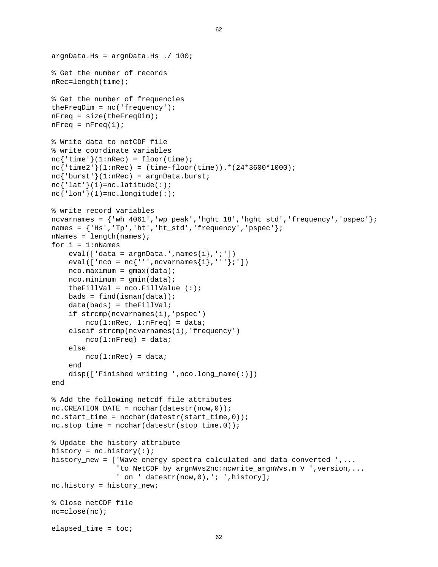```
argnData.Hs = argnData.Hs. / 100;
% Get the number of records 
nRec=length(time); 
% Get the number of frequencies 
theFreqDim = nc('frequency'); 
nFreq = size(theFreqDim); 
nFreq = nFreq(1);% Write data to netCDF file 
% write coordinate variables 
nc{'time'}(1:nRec) = floor(time);nc{'time2'}(1:nRec) = (time-floor(time)). *(24*3600*1000);
nc{'burst'}(1:nRec) = argnData.burst;nc{'latt'}(1)=nc.latitude(:);nc{'·lon'}/(1)=nc.lengthude(:);
% write record variables 
ncvarnames = {'wh_4061','wp_peak','hght_18','hght_std','frequency','pspec'}; 
names = \{ 'Hs', 'Tp', 'ht', 'ht\_std', 'frequency', 'pspec' \};nNames = length(names);
for i = 1:nNames
    eval([ 'data = argnData.], names\{i\}, 'i' ])
    eval([ 'nco = nc' ' ' ' , ncvarnames{i}, ' ' ''};' ])
     nco.maximum = gmax(data); 
    nco.minimum = gmin(data);theFillVal = nco.FillValue (:);
    bads = find(isnan(data));
    data(bads) = theFillVal; if strcmp(ncvarnames(i),'pspec') 
        nco(1:nRec, 1:nFreq) = data;elseif strcmp(ncvarnames(i), 'frequency')
        nco(1:nFreq) = data; else 
        nco(1:nRec) = data; end 
     disp(['Finished writing ',nco.long_name(:)]) 
end 
% Add the following netcdf file attributes 
nc.CREATION_DATE = ncchar(datestr(now,0));nc.start_time = ncchar(datestr(start_time, 0));nc.stop_time = ncchar(datestr(stop_time,0));% Update the history attribute 
history = nc.history(:);
history_new = ['Wave energy spectra calculated and data converted ',... 
                 'to NetCDF by argnWvs2nc:ncwrite_argnWvs.m V ',version,... 
                ' on ' datestr(now, 0), '; ', history];
nc.history = history new;
% Close netCDF file 
nc=close(nc); 
elapsed time = toc;
```

```
62
```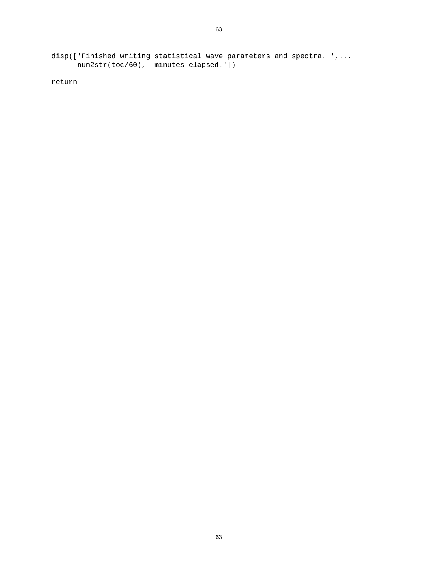disp(['Finished writing statistical wave parameters and spectra. ',... num2str(toc/60),' minutes elapsed.'])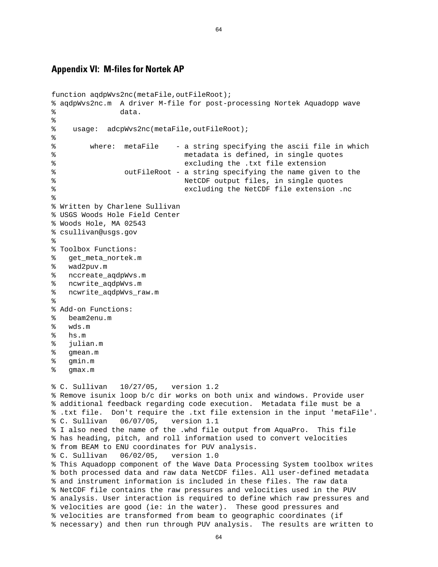## **Appendix VI: M-files for Nortek AP**

```
function aqdpWvs2nc(metaFile,outFileRoot); 
% aqdpWvs2nc.m A driver M-file for post-processing Nortek Aquadopp wave 
% data. 
% 
% usage: adcpWvs2nc(metaFile,outFileRoot); 
% 
% where: metaFile - a string specifying the ascii file in which 
% metadata is defined, in single quotes 
% excluding the .txt file extension 
% outFileRoot - a string specifying the name given to the 
% NetCDF output files, in single quotes 
% excluding the NetCDF file extension .nc 
% 
% Written by Charlene Sullivan 
% USGS Woods Hole Field Center 
% Woods Hole, MA 02543 
% csullivan@usgs.gov 
\approx% Toolbox Functions: 
% get_meta_nortek.m 
% wad2puv.m 
% nccreate_aqdpWvs.m 
% ncwrite_aqdpWvs.m 
% ncwrite_aqdpWvs_raw.m 
\approx% Add-on Functions: 
% beam2enu.m 
% wds.m 
% hs.m 
% julian.m 
% gmean.m 
% gmin.m 
% gmax.m 
% C. Sullivan 10/27/05, version 1.2 
% Remove isunix loop b/c dir works on both unix and windows. Provide user 
% additional feedback regarding code execution. Metadata file must be a 
% .txt file. Don't require the .txt file extension in the input 'metaFile'. 
% C. Sullivan 06/07/05, version 1.1 
% I also need the name of the .whd file output from AquaPro. This file 
% has heading, pitch, and roll information used to convert velocities 
% from BEAM to ENU coordinates for PUV analysis. 
% C. Sullivan 06/02/05, version 1.0 
% This Aquadopp component of the Wave Data Processing System toolbox writes 
% both processed data and raw data NetCDF files. All user-defined metadata 
% and instrument information is included in these files. The raw data 
% NetCDF file contains the raw pressures and velocities used in the PUV 
% analysis. User interaction is required to define which raw pressures and 
% velocities are good (ie: in the water). These good pressures and 
% velocities are transformed from beam to geographic coordinates (if 
% necessary) and then run through PUV analysis. The results are written to
```

```
64
```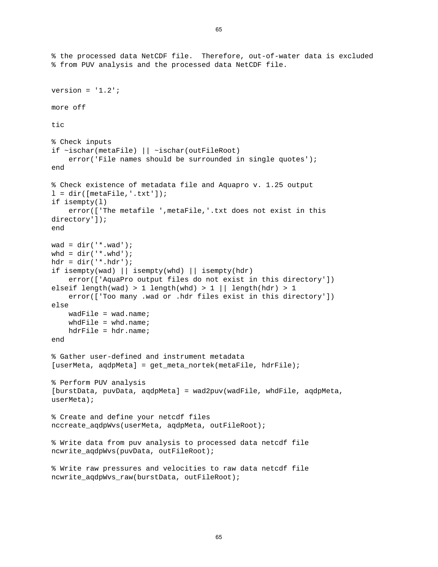```
% the processed data NetCDF file. Therefore, out-of-water data is excluded 
% from PUV analysis and the processed data NetCDF file. 
version = '1.2';
more off 
tic 
% Check inputs 
if ~ischar(metaFile) || ~ischar(outFileRoot) 
    error('File names should be surrounded in single quotes');
end 
% Check existence of metadata file and Aquapro v. 1.25 output 
l = dir([metaFile,'.txt']);
if isempty(l) 
     error(['The metafile ',metaFile,'.txt does not exist in this 
directory']); 
end 
wad = dir('*.wad');whd = dir('*.whd');hdr = dir('*.hdr');if isempty(wad) || isempty(whd) || isempty(hdr) 
     error(['AquaPro output files do not exist in this directory']) 
elseif length(wad) > 1 length(whd) > 1 || length(hdr) > 1 
     error(['Too many .wad or .hdr files exist in this directory']) 
else 
     wadFile = wad.name; 
    whdFile = whd.name;
    hdrFile = hdr.name;end 
% Gather user-defined and instrument metadata 
[userMeta, aqdpMeta] = get_meta_nortek(metaFile, hdrFile);
% Perform PUV analysis 
[burstData, puvData, aqdpMeta] = wad2puv(wadFile, whdFile, aqdpMeta, 
userMeta); 
% Create and define your netcdf files 
nccreate_aqdpWvs(userMeta, aqdpMeta, outFileRoot); 
% Write data from puv analysis to processed data netcdf file 
ncwrite_aqdpWvs(puvData, outFileRoot); 
% Write raw pressures and velocities to raw data netcdf file 
ncwrite_aqdpWvs_raw(burstData, outFileRoot);
```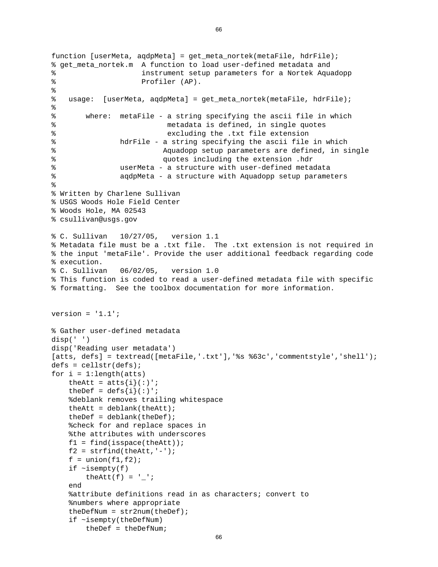```
function [userMeta, aqdpMeta] = get_meta_nortek(metaFile, hdrFile); 
% get_meta_nortek.m A function to load user-defined metadata and 
% instrument setup parameters for a Nortek Aquadopp 
% Profiler (AP). 
\epsilon% usage: [userMeta, aqdpMeta] = get_meta_nortek(metaFile, hdrFile); 
% 
% where: metaFile - a string specifying the ascii file in which 
% metadata is defined, in single quotes 
% excluding the .txt file extension 
% hdrFile - a string specifying the ascii file in which 
% Aquadopp setup parameters are defined, in single 
% quotes including the extension .hdr 
% userMeta - a structure with user-defined metadata 
% aqdpMeta - a structure with Aquadopp setup parameters 
% 
% Written by Charlene Sullivan 
% USGS Woods Hole Field Center 
% Woods Hole, MA 02543 
% csullivan@usgs.gov 
% C. Sullivan 10/27/05, version 1.1 
% Metadata file must be a .txt file. The .txt extension is not required in 
% the input 'metaFile'. Provide the user additional feedback regarding code 
% execution. 
% C. Sullivan 06/02/05, version 1.0 
% This function is coded to read a user-defined metadata file with specific 
% formatting. See the toolbox documentation for more information. 
version = '1.1';
% Gather user-defined metadata 
disp(' ') 
disp('Reading user metadata') 
[atts, defs] = textread([metaFile,'.txt'],'%s %63c','commentstyle','shell');
defs = cellstr(defs);for i = 1: length(atts)
   theAtt = atts{i}(:)';
   theDef = \text{defs}\{i\}(:)';
     %deblank removes trailing whitespace 
   theAtt = deblank(theAtt);theDef = deblank(theDef); %check for and replace spaces in 
     %the attributes with underscores 
   f1 = find(ispace(theAtt));
   f2 = \text{strfind}(\text{theAtt}, '--');
   f = union(f1,f2);if \simisempty(f)
       theAtt(f) = ' ';
    end 
     %attribute definitions read in as characters; convert to 
     %numbers where appropriate 
   theDefNum = str2num(theDef);
    if ~isempty(theDefNum) 
        theDef = theDefNum;
```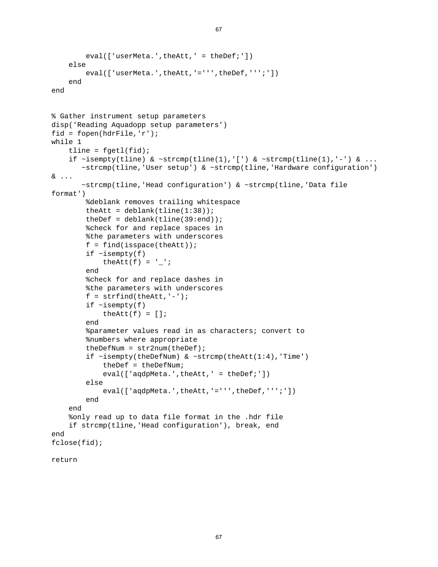```
eval(['userMeta.',theAtt,' = theDef;'])
     else 
        eval(['userMeta.',theAtt,'=''',theDef,''';'])
     end 
end 
% Gather instrument setup parameters 
disp('Reading Aquadopp setup parameters') 
fid = fopen(hdrFile,'r'); 
while 1 
    tline = fgetl(fid);if \simisempty(tline) & \simstrcmp(tline(1),'[') & \simstrcmp(tline(1),'-') & ...
        ~strcmp(tline,'User setup') & ~strcmp(tline,'Hardware configuration') 
& ... 
        ~strcmp(tline,'Head configuration') & ~strcmp(tline,'Data file 
format') 
         %deblank removes trailing whitespace 
        theAtt = deblank(tline(1:38));
        theDef = deblank(tline(39:end)); %check for and replace spaces in 
         %the parameters with underscores 
        f = find(ispace(theAtt));if \simisempty(f)
             theAtt(f) = ' ';
         end 
          %check for and replace dashes in 
         %the parameters with underscores 
        f = \text{string}(\text{theAtt}, '--');
        if \simisempty(f)
             theAtt(f) = [];
         end 
          %parameter values read in as characters; convert to 
          %numbers where appropriate 
         theDefNum = str2num(theDef); 
        if \simisempty(theDefNum) & \simstrcmp(theAtt(1:4),'Time')
              theDef = theDefNum; 
             eval(['aqdpMeta.',theAtt,' = theDef;'])
         else 
             eval(['aqdpMeta.',theAtt,'=''',theDef,''';'])
         end 
     end 
     %only read up to data file format in the .hdr file 
     if strcmp(tline,'Head configuration'), break, end 
end 
fclose(fid);
```

```
return
```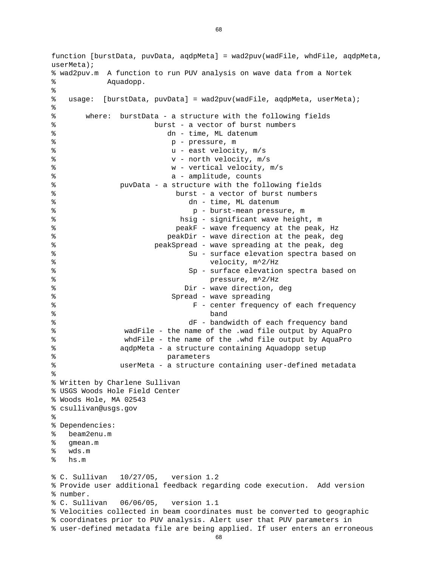% user-defined metadata file are being applied. If user enters an erroneous function [burstData, puvData, aqdpMeta] = wad2puv(wadFile, whdFile, aqdpMeta, userMeta); % wad2puv.m A function to run PUV analysis on wave data from a Nortek % Aquadopp.  $\epsilon$ % usage: [burstData, puvData] = wad2puv(wadFile, aqdpMeta, userMeta); % % where: burstData - a structure with the following fields % burst - a vector of burst numbers % dn - time, ML datenum % p - pressure, m % u - east velocity, m/s % v - north velocity, m/s % w - vertical velocity, m/s % a - amplitude, counts % puvData - a structure with the following fields % burst - a vector of burst numbers % dn - time, ML datenum % p - burst-mean pressure, m % hsig - significant wave height, m % peakF - wave frequency at the peak, Hz % peakDir - wave direction at the peak, deg % peakSpread - wave spreading at the peak, deg % Su - surface elevation spectra based on % velocity, m^2/Hz % Sp - surface elevation spectra based on % pressure, m^2/Hz % Dir - wave direction, deg % Spread - wave spreading % F - center frequency of each frequency % band % dF - bandwidth of each frequency band % wadFile - the name of the .wad file output by AquaPro % whdFile - the name of the .whd file output by AquaPro % aqdpMeta - a structure containing Aquadopp setup % parameters % userMeta - a structure containing user-defined metadata % % Written by Charlene Sullivan % USGS Woods Hole Field Center % Woods Hole, MA 02543 % csullivan@usgs.gov % % Dependencies: % beam2enu.m % gmean.m % wds.m % hs.m % C. Sullivan 10/27/05, version 1.2 % Provide user additional feedback regarding code execution. Add version % number. % C. Sullivan 06/06/05, version 1.1 % Velocities collected in beam coordinates must be converted to geographic % coordinates prior to PUV analysis. Alert user that PUV parameters in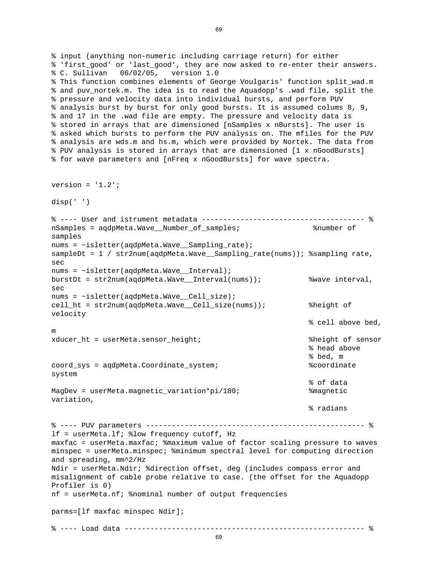```
% ---- Load data -------------------------------------------------------- % 
% input (anything non-numeric including carriage return) for either 
% 'first_good' or 'last_good', they are now asked to re-enter their answers. 
% C. Sullivan 06/02/05, version 1.0 
% This function combines elements of George Voulgaris' function split_wad.m 
% and puv_nortek.m. The idea is to read the Aquadopp's .wad file, split the 
% pressure and velocity data into individual bursts, and perform PUV 
% analysis burst by burst for only good bursts. It is assumed colums 8, 9, 
% and 17 in the .wad file are empty. The pressure and velocity data is 
% stored in arrays that are dimensioned [nSamples x nBursts]. The user is 
% asked which bursts to perform the PUV analysis on. The mfiles for the PUV 
% analysis are wds.m and hs.m, which were provided by Nortek. The data from 
% PUV analysis is stored in arrays that are dimensioned [1 x nGoodBursts] 
% for wave parameters and [nFreq x nGoodBursts] for wave spectra. 
version = '1.2';
disp(' ') 
% ---- User and istrument metadata -------------------------------------- % 
nSamples = aqdpMeta.Wave__Number_of_samples; %number of 
samples 
nums = \simisletter(aqdpMeta.Wave Sampling rate);
sampleDt = 1 / str2num(aqdpMeta.Wave__Sampling_rate(nums)); %sampling rate, 
sec 
nums = ~isletter(aqdpMeta.Wave__Interval);
burstDt = str2num(aqdpMeta.Wave__Interval(nums)); %wave interval, 
sec 
nums = \simisletter(aqdpMeta.Wave Cell size);
cell_ht = str2num(aqdpMeta.Wave__Cell_size(nums)); %height of 
velocity 
                                                            % cell above bed, 
m 
xducer ht = userMeta.sensor height; \frac{1}{h} %height of sensor
                                                            % head above 
                                                            % bed, m 
coord_sys = aqdpMeta.Coordinate_system; %coordinate 
system 
                                                            % of data 
MagDev = userMeta.magnetic_variation*pi/180; %magnetic 
variation, 
                                                            % radians 
% ---- PUV parameters --------------------------------------------------- % 
lf = userMeta.lf; %low frequency cutoff, Hz 
maxfac = userMeta.maxfac; %maximum value of factor scaling pressure to waves 
minspec = userMeta.minspec; %minimum spectral level for computing direction 
and spreading, mm^2/Hz 
Ndir = userMeta.Ndir; %direction offset, deg (includes compass error and 
misalignment of cable probe relative to case. (the offset for the Aquadopp 
Profiler is 0) 
nf = userMeta.nf; %nominal number of output frequencies 
parms=[lf maxfac minspec Ndir];
```

```
69
```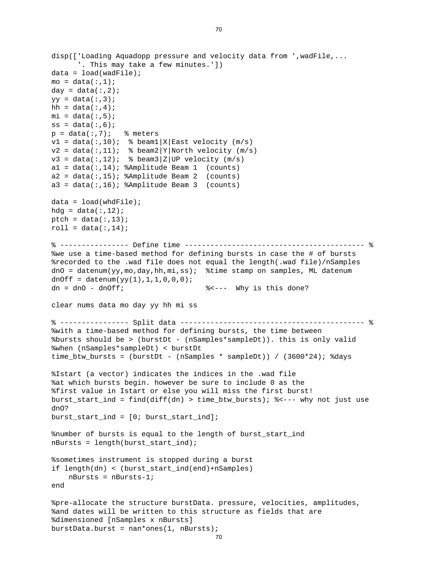```
burstData.burst = nan*ones(1, nBurst);disp(['Loading Aquadopp pressure and velocity data from ',wadFile,... 
       '. This may take a few minutes.']) 
data = load(wadFile);
mo = data(:,1);day = data(:,2);yy = data(:,3);hh = data(:, 4);mi = data(:,5);ss = data(:,6);p = data(:,7); % meters
v1 = data(:,10); % beaml |X|East velocity (m/s)
v2 = data(:,11); % beam2|Y|North velocity (m/s)
v3 = data(:,12); % beam3 | Z | UP velocity (m/s)a1 = data(:,14); %Amplitude Beam 1 (counts)
a2 = data(:,15); %Amplitude Beam 2 (counts)
a3 = data(:,16); %Amplitude Beam 3 (counts)
data = load(whatFile);
hdg = data(:,12);ptch = data(:,13);roll = data(:,14);
% ---------------- Define time ------------------------------------------ % 
%we use a time-based method for defining bursts in case the # of bursts 
%recorded to the .wad file does not equal the length(.wad file)/nSamples 
dnO = datenum(yy,mo,day,hh,mi,ss); %time stamp on samples, ML datenum 
dnOff = datenum(yy(1), 1, 1, 0, 0, 0);
dn = dnO - dnOff; %<--- Why is this done? 
clear nums data mo day yy hh mi ss 
% ---------------- Split data ------------------------------------------- % 
%with a time-based method for defining bursts, the time between 
%bursts should be > (burstDt - (nSamples*sampleDt)). this is only valid 
%when (nSamples*sampleDt) < burstDt 
time_btw_bursts = (burstDt - (nSamples * sampleDt)) / (3600*24); %days 
%Istart (a vector) indicates the indices in the .wad file 
%at which bursts begin. however be sure to include 0 as the 
%first value in Istart or else you will miss the first burst! 
burst_start_ind = find(diff(dn) > time_btw_bursts); %<--- why not just use 
dnO? 
burst\_start\_ind = [0; burst\_start\_ind];%number of bursts is equal to the length of burst_start_ind 
nBursts = length(burst_start_ind); 
%sometimes instrument is stopped during a burst 
if length(dn) < (burst_start_ind(end)+nSamples) 
    nBursts = nBursts-1; 
end 
%pre-allocate the structure burstData. pressure, velocities, amplitudes, 
%and dates will be written to this structure as fields that are 
%dimensioned [nSamples x nBursts]
```

```
70
```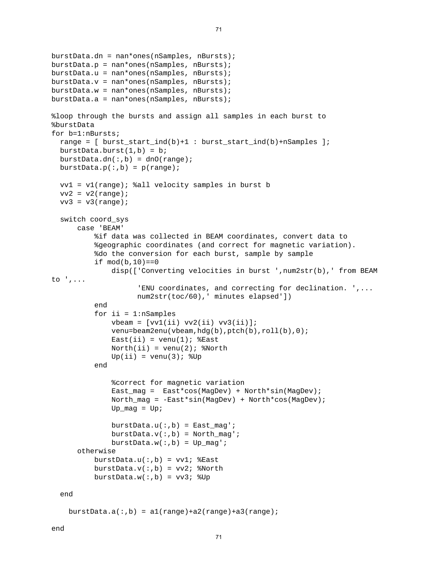```
burstData.dn = nan*ones(nSamples, nBursts); 
burstData.p = nan*ones(nSamples, nBursts); 
burstData.u = nan*ones(nSamples, nBursts); 
burstData.v = nan*ones(nSamples, nBursts); 
burstData.w = nan*ones(nSamples, nBursts);burstData.a = nan*ones(nSamples, nBursts);%loop through the bursts and assign all samples in each burst to 
%burstData 
for b=1:nBursts; 
  range = [ burst_start_ind(b)+1 : burst_start_ind(b)+nSamples ]; 
 burstData.burst(1,b) = biburstData.dn(:,b) = dnO(range);burstData.p(:,b) = p(range);
  vv1 = v1(range); %all velocity samples in burst b 
 vv2 = v2(range);
 vv3 = v3(range); switch coord_sys 
       case 'BEAM' 
           %if data was collected in BEAM coordinates, convert data to 
           %geographic coordinates (and correct for magnetic variation). 
           %do the conversion for each burst, sample by sample 
          if mod(b, 10) == 0 disp(['Converting velocities in burst ',num2str(b),' from BEAM 
to ',... 
                      'ENU coordinates, and correcting for declination. ',... 
                     num2str(toc/60),' minutes elapsed']) 
           end 
          for ii = 1:nSamples
              vbeam = [vv1(ii) vv2(ii) vv3(ii)];
              venu=beam2enu(vbeam,hdg(b),ptch(b),roll(b),0);
              East(ii) = venu(1); %ExtNorth(ii) = venu(2); %NorthUp(i) = venu(3); % Up end 
               %correct for magnetic variation 
               East_mag = East*cos(MagDev) + North*sin(MagDev); 
               North_mag = -East*sin(MagDev) + North*cos(MagDev); 
              Up\_mag = Up;
              burstData.u(:, b) = East_mag';
              burstData.v(:,b) = North mag';
              burstData.w(:, b) = Up_mag': otherwise 
          burstData.u(:,b) = vv1; %East
          burstData.v(:,b) = vv2; %North
          burstData.w(:,b) = vv3; v0 end 
    burstData.a(:, b) = a1(range)+a2(range)+a3(range);
```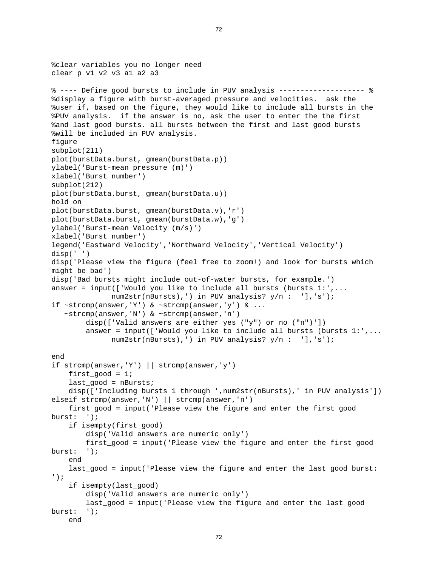```
%clear variables you no longer need 
clear p v1 v2 v3 a1 a2 a3 
% ---- Define good bursts to include in PUV analysis -------------------- % 
%display a figure with burst-averaged pressure and velocities. ask the 
%user if, based on the figure, they would like to include all bursts in the 
%PUV analysis. if the answer is no, ask the user to enter the the first 
%and last good bursts. all bursts between the first and last good bursts 
%will be included in PUV analysis. 
figure 
subplot(211) 
plot(burstData.burst, gmean(burstData.p)) 
ylabel('Burst-mean pressure (m)') 
xlabel('Burst number') 
subplot(212) 
plot(burstData.burst, gmean(burstData.u)) 
hold on 
plot(burstData.burst, gmean(burstData.v),'r') 
plot(burstData.burst, gmean(burstData.w),'g') 
ylabel('Burst-mean Velocity (m/s)') 
xlabel('Burst number') 
legend('Eastward Velocity','Northward Velocity','Vertical Velocity') 
disp(' ') 
disp('Please view the figure (feel free to zoom!) and look for bursts which 
might be bad') 
disp('Bad bursts might include out-of-water bursts, for example.') 
answer = input(['Would you like to include all bursts (bursts 1:',... num2str(nBursts),') in PUV analysis? y/n : '],'s'); 
if ~\simstrcmp(answer,'Y') & ~\simstrcmp(answer,'y') & ...
    ~strcmp(answer,'N') & ~strcmp(answer,'n') 
         disp(['Valid answers are either yes ("y") or no ("n")']) 
         answer = input(['Would you like to include all bursts (bursts 1:',... 
               num2str(nBursts),') in PUV analysis? y/n : '],'s'); 
end 
if strcmp(answer,'Y') || strcmp(answer,'y') 
    first qood = 1;
    last qood = nBursts; disp(['Including bursts 1 through ',num2str(nBursts),' in PUV analysis']) 
elseif strcmp(answer, 'N') || strcmp(answer, 'n')
     first_good = input('Please view the figure and enter the first good 
burst: '); 
     if isempty(first_good) 
         disp('Valid answers are numeric only') 
         first_good = input('Please view the figure and enter the first good 
burst: '); 
     end 
     last_good = input('Please view the figure and enter the last good burst: 
'); 
     if isempty(last_good) 
         disp('Valid answers are numeric only') 
         last_good = input('Please view the figure and enter the last good 
burst: '); 
     end
```

```
72
```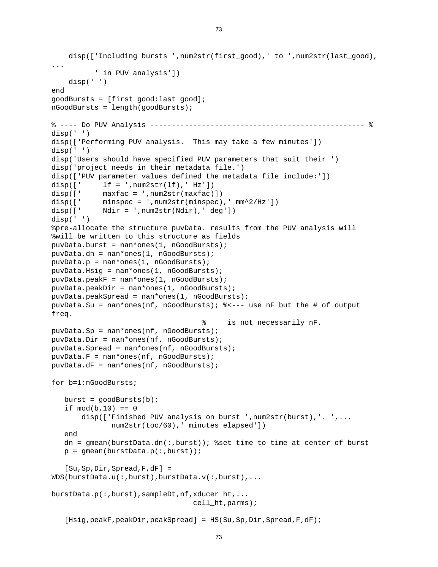```
disp(['Including bursts ',num2str(first qood),' to ',num2str(last qood),
... 
           ' in PUV analysis']) 
     disp(' ') 
end 
goodBursts = [first_good:last_good]; 
nGoodBursts = length(goodBursts); 
% ---- Do PUV Analysis -------------------------------------------------- % 
disp(' ') 
disp(['Performing PUV analysis. This may take a few minutes']) 
disp(' ') 
disp('Users should have specified PUV parameters that suit their ') 
disp('project needs in their metadata file.') 
disp(['PUV parameter values defined the metadata file include:']) 
disp([' lf = ',num2str(lf),' Hz'])
disp([' maxfac = ',num2str(maxfac)])
disp([' minspec = ',num2str(minspec),' mm^2/Hz'])
disp([' Ndir = ',num2str(Ndir),' deg'])
disp(' ') 
%pre-allocate the structure puvData. results from the PUV analysis will 
%will be written to this structure as fields 
puvData.burst = nan*ones(1, nGoodBursts); 
puvData.dn = nan*ones(1, nGoodBursts); 
puvData.p = nan*ones(1, nGoodBursts);puvData.Hsig = nan*ones(1, nGoodBursts); 
puvData.peakF = nan*ones(1, nGoodBursts); 
puvData.peakDir = nan*ones(1, nGoodBursts); 
puvData.peakSpread = nan*ones(1, nGoodBursts); 
puvData.Su = nan*ones(nf, nGoodBursts); %<--- use nF but the # of output 
freq. 
                                     % is not necessarily nF. 
puvData.Sp = nan*ones(nf, nGoodBursts); 
puvData.Dir = nan*ones(nf, nGoodBursts);puvData.Spread = nan*ones(nf, nGoodBursts); 
puvData.F = nan*ones(nf, nGoodBursts);puvData.dF = nan*ones(nf, nGoodBursts); 
for b=1:nGoodBursts; 
  burst = goodBurst(b);if mod(b, 10) == 0 disp(['Finished PUV analysis on burst ',num2str(burst),'. ',... 
               num2str(toc/60),' minutes elapsed']) 
    end 
    dn = gmean(burstData.dn(:,burst)); %set time to time at center of burst 
  p = gmean(burstData.p(:,burst));
    [Su,Sp,Dir,Spread,F,dF] = 
WDS(burstData.u(:,burst),burstData.v(:,burst),... 
burstData.p(:,burst),sampleDt,nf,xducer_ht,... 
                                  cell_ht,parms); 
   [Hsig,peakF,peakDir,peakSpread] = HS(Su,Sp,Dir,Spread,F,dF);
```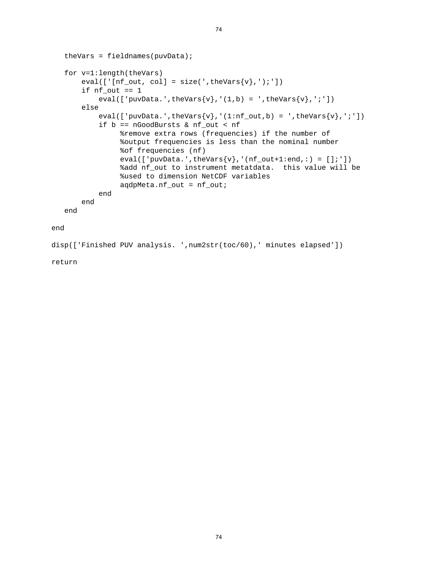```
theVars = fieldnames(puvData); for v=1:length(theVars) 
       eval([![nf\_out, col] = size(', theVars{v}, ');'])
       if nf\_out == 1eval(['puvData.',theVars{v},'(1,b) = ',theVars{v},';'])
        else 
           eval(['puvData.',theVars\{v\},'(1:nf_out,b) = ',theVars\{v\},';'])
            if b == nGoodBursts & nf_out < nf 
                  %remove extra rows (frequencies) if the number of 
                  %output frequencies is less than the nominal number 
                  %of frequencies (nf) 
                 eval(['puvData.',theVars\{v\},'(nf_out+1:end,:) = [];'])
                  %add nf_out to instrument metatdata. this value will be 
                  %used to dimension NetCDF variables 
                  aqdpMeta.nf_out = nf_out; 
            end 
        end 
    end 
end 
disp(['Finished PUV analysis. ',num2str(toc/60),' minutes elapsed'])
```
return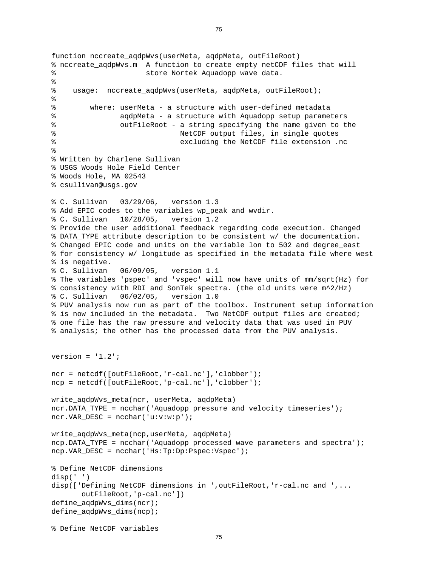```
function nccreate aqdpWvs(userMeta, aqdpMeta, outFileRoot)
% nccreate_aqdpWvs.m A function to create empty netCDF files that will 
% store Nortek Aquadopp wave data. 
% 
% usage: nccreate_aqdpWvs(userMeta, aqdpMeta, outFileRoot); 
% 
% where: userMeta - a structure with user-defined metadata 
% aqdpMeta - a structure with Aquadopp setup parameters 
% outFileRoot - a string specifying the name given to the 
% NetCDF output files, in single quotes 
% excluding the NetCDF file extension .nc 
% 
% Written by Charlene Sullivan 
% USGS Woods Hole Field Center 
% Woods Hole, MA 02543 
% csullivan@usgs.gov 
% C. Sullivan 03/29/06, version 1.3 
% Add EPIC codes to the variables wp_peak and wvdir. 
% C. Sullivan 10/28/05, version 1.2 
% Provide the user additional feedback regarding code execution. Changed 
% DATA_TYPE attribute description to be consistent w/ the documentation. 
% Changed EPIC code and units on the variable lon to 502 and degree_east 
% for consistency w/ longitude as specified in the metadata file where west 
% is negative. 
% C. Sullivan 06/09/05, version 1.1 
% The variables 'pspec' and 'vspec' will now have units of mm/sqrt(Hz) for 
% consistency with RDI and SonTek spectra. (the old units were m^2/Hz) 
% C. Sullivan 06/02/05, version 1.0 
% PUV analysis now run as part of the toolbox. Instrument setup information 
% is now included in the metadata. Two NetCDF output files are created; 
% one file has the raw pressure and velocity data that was used in PUV 
% analysis; the other has the processed data from the PUV analysis. 
version = '1.2';
ncr = netcdf([outFileRoot,'r-cal.nc'],'clobber'); 
ncp = netcdf([outFileRoot,'p-cal.nc'],'clobber'); 
write_aqdpWvs_meta(ncr, userMeta, aqdpMeta) 
ncr.DATA_TYPE = ncchar('Aquadopp pressure and velocity timeseries'); 
ncr.VAR_DESC = ncchar('u:v:w:p');write aqdpWvs meta(ncp,userMeta, aqdpMeta)
ncp.DATA_TYPE = ncchar('Aquadopp processed wave parameters and spectra'); 
ncp.VAR_DESC = ncchar('Hs:Tp:Dp:Pspec:Vspec'); 
% Define NetCDF dimensions 
disp(' ') 
disp(['Defining NetCDF dimensions in ',outFileRoot,'r-cal.nc and ',... 
       outFileRoot,'p-cal.nc']) 
define_aqdpWvs_dims(ncr); 
define_aqdpWvs_dims(ncp);
```

```
% Define NetCDF variables
```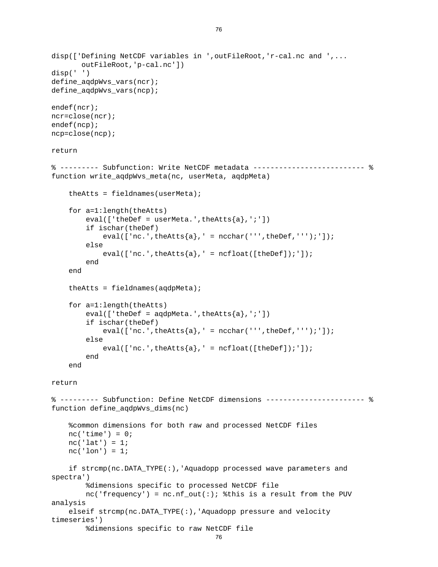```
 %dimensions specific to raw NetCDF file 
disp(['Defining NetCDF variables in ',outFileRoot,'r-cal.nc and ',... 
        outFileRoot,'p-cal.nc']) 
disp(' ') 
define_aqdpWvs_vars(ncr); 
define_aqdpWvs_vars(ncp); 
endef(ncr); 
ncr=close(ncr); 
endef(ncp); 
ncp=close(ncp); 
return 
% --------- Subfunction: Write NetCDF metadata -------------------------- % 
function write_aqdpWvs_meta(nc, userMeta, aqdpMeta) 
    theAtts = fieldnames(userMeta); for a=1:length(theAtts) 
        eval([ 'theDef = userMeta.' , theAtts{a}, ' ; ' ] ) if ischar(theDef) 
            eval(['nc.',theAtts\{a\}, ' = ncchar(''',theDef,''');']);
         else 
            eval(['nc.',theAtts{a},' = ncfloat([theDef]);']);
         end 
     end 
    theAtts = fieldnames(agdpMeta); for a=1:length(theAtts) 
        eval([ 'theDef = aqdpMeta.', theAtts{a}, '; ' ])
         if ischar(theDef) 
            eval(['nc.',theAtts{a},' = ncchar(''',theDef,''');']);
         else 
            eval([inc.',theAtts\{a\}, ' = ncfloat([theDef]);']);
         end 
     end 
return 
% --------- Subfunction: Define NetCDF dimensions ----------------------- % 
function define_aqdpWvs_dims(nc) 
     %common dimensions for both raw and processed NetCDF files 
    nc('time') = 0;nc('lat') = 1;nc('lon') = 1; if strcmp(nc.DATA_TYPE(:),'Aquadopp processed wave parameters and 
spectra') 
         %dimensions specific to processed NetCDF file 
        nc('frequency') = nc.nf_out(:); %this is a result from the PUV
analysis 
     elseif strcmp(nc.DATA_TYPE(:),'Aquadopp pressure and velocity 
timeseries')
```

```
76
```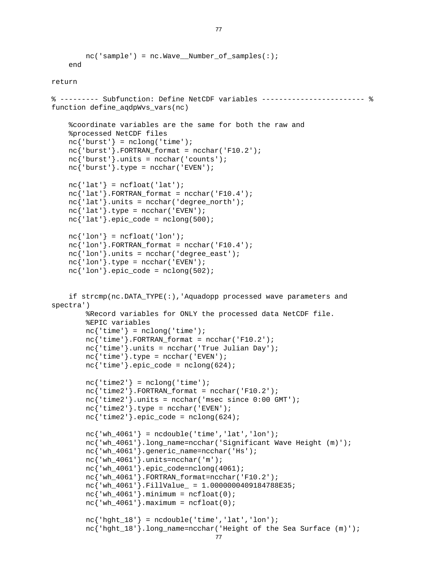```
nc{'hght 18'}.long name=ncchar('Height of the Sea Surface (m)');
        nc('sample') = nc.Wave Number of samples(:);
     end 
return 
% --------- Subfunction: Define NetCDF variables ------------------------ % 
function define aqdpWvs vars(nc)
     %coordinate variables are the same for both the raw and 
     %processed NetCDF files 
    nc{'|burst'}| = nclong('time');nc'burst'}.FORTRAN format = ncchar('F10.2');
    nc{'\text{burst'}}.units = ncchar('counts');
    nc{'\text{burst'}}.type = ncchar('EVEN');nc{'\;lat' \;} = ncfloat('lat');nc{'\;lat'\;}.FORTRAN format = ncchar('F10.4');
    nc{'\;lat'\;}.units = ncchar('degree north');nc{'lat'}.type = ncchar('EVEN');nc{'lat'}.epic_code = nclong(500);
    nc{'lon'} = ncfloat('lon');nc{'·lon'}. FORTRAN_format = ncchar('F10.4');
    nc{'lon'}.units = ncchar('degree\_east');nc{'·lon'}.type = ncchar('EVEN');nc{'lon'}.epic_code = nclong(502);
     if strcmp(nc.DATA_TYPE(:),'Aquadopp processed wave parameters and 
spectra') 
         %Record variables for ONLY the processed data NetCDF file. 
         %EPIC variables 
        nc{'time'} = nclong('time');nc<sup>'time'</sub>}.FORTRAN_format = ncchar('F10.2');</sup>
         nc{'time'}.units = ncchar('True Julian Day'); 
        nc{'time'}.type = ncchar('EVEN');nc{'time'}}.epic_code = nclong(624);nc{'time2'} = nclong('time');nc{'time2'}. FORTRAN_format = ncchar('F10.2');nc{'time2'}.units = ncchar('msec since 0:00 GMT');nc{'time2'}}.type = ncchar('EVEN');nc{'time2'}.epic_code = nclong(624);
        nc{'wh4061'} = ncdouble('time', 'lat', 'lon'); nc{'wh_4061'}.long_name=ncchar('Significant Wave Height (m)'); 
         nc{'wh_4061'}.generic_name=ncchar('Hs'); 
         nc{'wh_4061'}.units=ncchar('m'); 
         nc{'wh_4061'}.epic_code=nclong(4061); 
        nc{'wh_4061'}.FORTRAN_format=ncchar('F10.2');
        nc'wh 4061'}.FillValue = 1.0000000409184788E35;
        nc{'wh 4061'}.minimum = ncfloat(0);nc{'wh_4061'}.maximum = ncfloat(0);nc{'hght_18'} = ncdouble('time', 'lat', 'lon');
```

```
77
```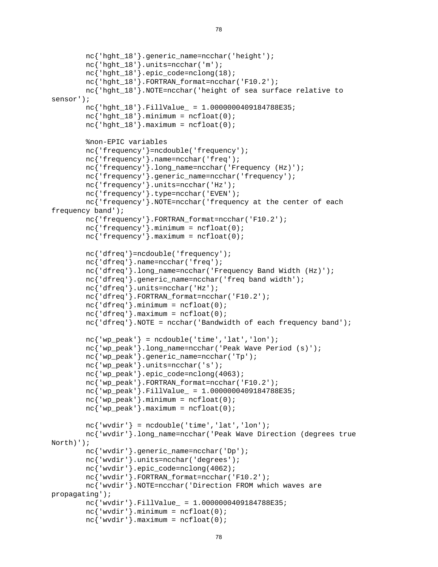```
nc{'hght 18'}.generic name=ncchar('height');
         nc{'hght_18'}.units=ncchar('m'); 
        nc{'hght 18'}.epic code=nclong(18);
         nc{'hght_18'}.FORTRAN_format=ncchar('F10.2'); 
         nc{'hght_18'}.NOTE=ncchar('height of sea surface relative to 
sensor'); 
        nc{'nhqht 18'}.FillValue = 1.0000000409184788E35;
        nc{'hght_18'}.minimum = ncfloat(0);nc{'hght_18'}.maximum = ncfloat(0); %non-EPIC variables 
         nc{'frequency'}=ncdouble('frequency'); 
         nc{'frequency'}.name=ncchar('freq'); 
         nc{'frequency'}.long_name=ncchar('Frequency (Hz)'); 
         nc{'frequency'}.generic_name=ncchar('frequency'); 
         nc{'frequency'}.units=ncchar('Hz'); 
         nc{'frequency'}.type=ncchar('EVEN'); 
         nc{'frequency'}.NOTE=ncchar('frequency at the center of each 
frequency band'); 
         nc{'frequency'}.FORTRAN_format=ncchar('F10.2'); 
        nc<sup>'</sup> frequency' }.minimum = ncfloat(0);
        nc<sup>'</sup> frequency' }.maximum = ncfloat(0);
         nc{'dfreq'}=ncdouble('frequency'); 
         nc{'dfreq'}.name=ncchar('freq'); 
         nc{'dfreq'}.long_name=ncchar('Frequency Band Width (Hz)'); 
         nc{'dfreq'}.generic_name=ncchar('freq band width'); 
         nc{'dfreq'}.units=ncchar('Hz'); 
         nc{'dfreq'}.FORTRAN_format=ncchar('F10.2'); 
        nc{'dfreq'}.minimum = ncfloat(0);nc{'dfreq'}.maximum = ncfloat(0); nc{'dfreq'}.NOTE = ncchar('Bandwidth of each frequency band'); 
        nc{'vw} peak' = ncdouble('time', 'lat', 'lon'); nc{'wp_peak'}.long_name=ncchar('Peak Wave Period (s)'); 
         nc{'wp_peak'}.generic_name=ncchar('Tp'); 
         nc{'wp_peak'}.units=ncchar('s'); 
         nc{'wp_peak'}.epic_code=nclong(4063); 
         nc{'wp_peak'}.FORTRAN_format=ncchar('F10.2'); 
        nc'wp_peak'}.FillValue = 1.0000000409184788E35;
        nc{'wp_peak'}.minimum = ncfloat(0);nc{'wp_peak'}.maximum = ncfloat(0);nc{'wwwdir'} = ncdouble('time', 'lat', 'lon'); nc{'wvdir'}.long_name=ncchar('Peak Wave Direction (degrees true 
North)'); 
         nc{'wvdir'}.generic_name=ncchar('Dp'); 
         nc{'wvdir'}.units=ncchar('degrees'); 
         nc{'wvdir'}.epic_code=nclong(4062); 
         nc{'wvdir'}.FORTRAN_format=ncchar('F10.2'); 
         nc{'wvdir'}.NOTE=ncchar('Direction FROM which waves are 
propagating'); 
         nc{'wvdir'}.FillValue_ = 1.0000000409184788E35; 
        nc{'www}.minimum = ncfload(0);nc{'www}.maximum = ncfload(0);
```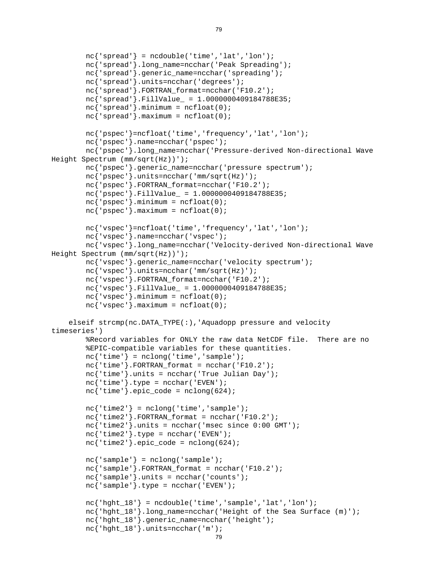```
nc{'hght 18'}.units=ncchar('m');
        nc{'supreal'} = ncdouble('time', 'lat', 'lon'); nc{'spread'}.long_name=ncchar('Peak Spreading'); 
        nc{'spread'}.generic_name=ncchar('spreading');
         nc{'spread'}.units=ncchar('degrees'); 
         nc{'spread'}.FORTRAN_format=ncchar('F10.2'); 
        nc{'spread'}.FillValue = 1.0000000409184788E35;
        nc{'spread'}.minimum = ncfloat(0);nc{'spread'}.maximum = ncfloat(0); nc{'pspec'}=ncfloat('time','frequency','lat','lon'); 
         nc{'pspec'}.name=ncchar('pspec'); 
         nc{'pspec'}.long_name=ncchar('Pressure-derived Non-directional Wave 
Height Spectrum (mm/sqrt(Hz))'); 
         nc{'pspec'}.generic_name=ncchar('pressure spectrum'); 
         nc{'pspec'}.units=ncchar('mm/sqrt(Hz)'); 
         nc{'pspec'}.FORTRAN_format=ncchar('F10.2'); 
         nc{'pspec'}.FillValue_ = 1.0000000409184788E35; 
        nc{'power}.minimum = ncfloat(0);nc{'pspec'}.maximum = ncfloat(0); nc{'vspec'}=ncfloat('time','frequency','lat','lon'); 
         nc{'vspec'}.name=ncchar('vspec'); 
         nc{'vspec'}.long_name=ncchar('Velocity-derived Non-directional Wave 
Height Spectrum (mm/sqrt(Hz))'); 
         nc{'vspec'}.generic_name=ncchar('velocity spectrum'); 
         nc{'vspec'}.units=ncchar('mm/sqrt(Hz)'); 
         nc{'vspec'}.FORTRAN_format=ncchar('F10.2'); 
         nc{'vspec'}.FillValue_ = 1.0000000409184788E35; 
        nc{'vspec'}.minimum = ncfloat(0);nc{'vspec'}.maximum = ncfloat(0); elseif strcmp(nc.DATA_TYPE(:),'Aquadopp pressure and velocity 
timeseries') 
         %Record variables for ONLY the raw data NetCDF file. There are no 
         %EPIC-compatible variables for these quantities. 
        nc{'time'} = nclonq('time', 'sample');nc{'time'}.FORTRAN_format = ncchar('F10.2');nc{'time'}.units = ncchar('True Julian Day');
        nc{'time'}}.type = ncchar('EVEN');nc{'time'}}.epic_code = nclong(624);nc{'time2'} = nclong('time', 'sample');nc{'time2'}. FORTRAN_format = ncchar('F10.2');nc{'time2'}.units = ncchar('msec since 0:00 GMT');nc{'time2'}}.type = ncchar('EVEN');nc{'time2'}.epic_code = nclong(624);
        nc{'sample'} = nclong('sample'); nc{'sample'}.FORTRAN_format = ncchar('F10.2'); 
        nc{'sample'}.units = ncchar('counts');
        nc{'sample'}.type = ncchar('EVEN');nc{'hght_18'} = ncdouble('time', 'sample', 'lat', 'lon'); nc{'hght_18'}.long_name=ncchar('Height of the Sea Surface (m)'); 
         nc{'hght_18'}.generic_name=ncchar('height');
```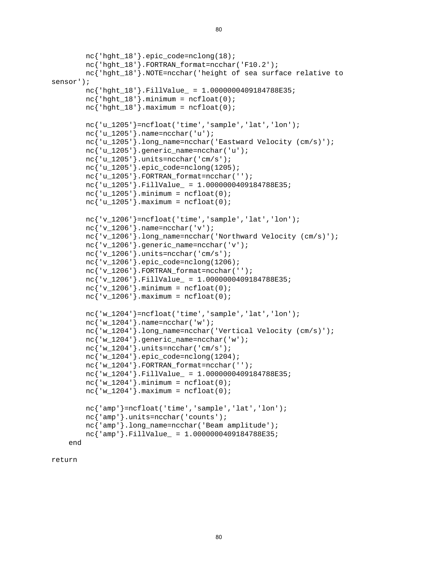```
nc{'hght 18'}.epic code=nclong(18);
         nc{'hght_18'}.FORTRAN_format=ncchar('F10.2'); 
         nc{'hght_18'}.NOTE=ncchar('height of sea surface relative to 
sensor'); 
         nc{'hght_18'}.FillValue_ = 1.0000000409184788E35; 
        nc{'hqht 18'}.minimum = ncfloat(0);nc{'hqht 18'}.maximum = ncfloat(0); nc{'u_1205'}=ncfloat('time','sample','lat','lon'); 
         nc{'u_1205'}.name=ncchar('u'); 
         nc{'u_1205'}.long_name=ncchar('Eastward Velocity (cm/s)'); 
         nc{'u_1205'}.generic_name=ncchar('u'); 
         nc{'u_1205'}.units=ncchar('cm/s'); 
        nc{'u_1205'}.epic_code=nclong(1205);
         nc{'u_1205'}.FORTRAN_format=ncchar(''); 
         nc{'u_1205'}.FillValue_ = 1.0000000409184788E35; 
        nc'u 1205'}.minimum = ncfloat(0);nc{'u_1205'}.maximum = ncfloat(0); nc{'v_1206'}=ncfloat('time','sample','lat','lon'); 
         nc{'v_1206'}.name=ncchar('v'); 
         nc{'v_1206'}.long_name=ncchar('Northward Velocity (cm/s)'); 
        nc{'v 1206'}.generic name=ncchar('v');
         nc{'v_1206'}.units=ncchar('cm/s'); 
        nc{'v_1206'}.epic_code=nclong(1206);
         nc{'v_1206'}.FORTRAN_format=ncchar(''); 
         nc{'v_1206'}.FillValue_ = 1.0000000409184788E35; 
        nc{'v 1206'}.minimum = ncfloat(0);nc{'v 1206'}.maximum = ncfloat(0); nc{'w_1204'}=ncfloat('time','sample','lat','lon'); 
         nc{'w_1204'}.name=ncchar('w'); 
         nc{'w_1204'}.long_name=ncchar('Vertical Velocity (cm/s)'); 
         nc{'w_1204'}.generic_name=ncchar('w'); 
         nc{'w_1204'}.units=ncchar('cm/s'); 
        nc{'w_1204'}.epic_code=nclong(1204);
         nc{'w_1204'}.FORTRAN_format=ncchar(''); 
         nc{'w_1204'}.FillValue_ = 1.0000000409184788E35; 
        nc'w 1204'}.minimum = ncfloat(0);nc'w 1204' }.maximum = ncfloat(0); nc{'amp'}=ncfloat('time','sample','lat','lon'); 
         nc{'amp'}.units=ncchar('counts'); 
         nc{'amp'}.long_name=ncchar('Beam amplitude'); 
        nc{'map'}.FillValue = 1.0000000409184788E35;
     end
```
return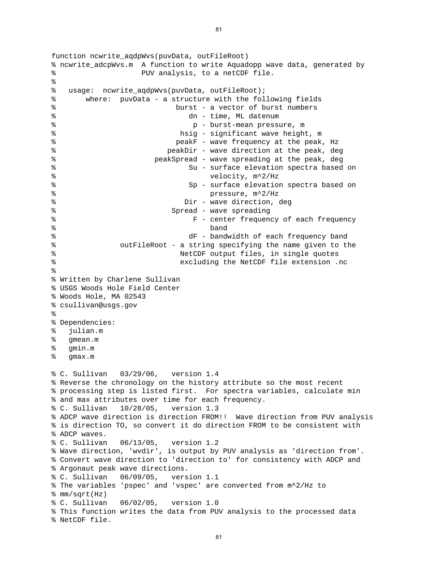function ncwrite aqdpWvs(puvData, outFileRoot) % ncwrite\_adcpWvs.m A function to write Aquadopp wave data, generated by % PUV analysis, to a netCDF file. % % usage: ncwrite\_aqdpWvs(puvData, outFileRoot); % where: puvData - a structure with the following fields % burst - a vector of burst numbers % dn - time, ML datenum % p - burst-mean pressure, m % hsig - significant wave height, m % peakF - wave frequency at the peak, Hz % peakDir - wave direction at the peak, deg % peakSpread - wave spreading at the peak, deg % Su - surface elevation spectra based on % velocity, m^2/Hz % Sp - surface elevation spectra based on % pressure, m^2/Hz % Dir - wave direction, deg % Spread - wave spreading % F - center frequency of each frequency % band % dF - bandwidth of each frequency band % outFileRoot - a string specifying the name given to the % NetCDF output files, in single quotes % excluding the NetCDF file extension .nc % % Written by Charlene Sullivan % USGS Woods Hole Field Center % Woods Hole, MA 02543 % csullivan@usgs.gov % % Dependencies: % julian.m % gmean.m % gmin.m % gmax.m % C. Sullivan 03/29/06, version 1.4 % Reverse the chronology on the history attribute so the most recent % processing step is listed first. For spectra variables, calculate min % and max attributes over time for each frequency. % C. Sullivan 10/28/05, version 1.3 % ADCP wave direction is direction FROM!! Wave direction from PUV analysis % is direction TO, so convert it do direction FROM to be consistent with % ADCP waves. % C. Sullivan 06/13/05, version 1.2 % Wave direction, 'wvdir', is output by PUV analysis as 'direction from'. % Convert wave direction to 'direction to' for consistency with ADCP and % Argonaut peak wave directions. % C. Sullivan 06/09/05, version 1.1 % The variables 'pspec' and 'vspec' are converted from m^2/Hz to % mm/sqrt(Hz) % C. Sullivan 06/02/05, version 1.0 % This function writes the data from PUV analysis to the processed data % NetCDF file.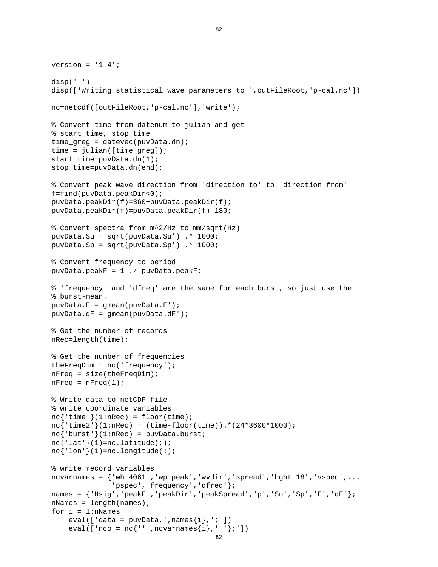```
eval([ 'nco = nc' ' ' ' , ncvarnames{i}, ' ' ''}; ' ])
version = '1.4';
disp(' ') 
disp(['Writing statistical wave parameters to ',outFileRoot,'p-cal.nc']) 
nc=netcdf([outFileRoot,'p-cal.nc'],'write'); 
% Convert time from datenum to julian and get 
% start_time, stop_time 
time_greg = datevec(puvData.dn); 
time = julin([time green]);start_time=puvData.dn(1); 
stop time=puvData.dn(end);
% Convert peak wave direction from 'direction to' to 'direction from' 
f=find(puvData.peakDir<0); 
puvData.peakDir(f)=360+puvData.peakDir(f); 
puvData.peakDir(f)=puvData.peakDir(f)-180; 
% Convert spectra from m^2/Hz to mm/sqrt(Hz) 
puvData.Su = sqrt(puvData.Su') .* 1000; 
puvData.Sp = sqrt(puvData.Sp') .* 1000; 
% Convert frequency to period 
puvData.peakF = 1 ./ puvData.peakF; 
% 'frequency' and 'dfreq' are the same for each burst, so just use the 
% burst-mean. 
puvData.F = gmean(puvData.F');
puvData.dF = gmean(puvData.dF'); 
% Get the number of records 
nRec=length(time); 
% Get the number of frequencies 
theFreqDim = nc('frequency'); 
nFreq = size(theFreqDim); 
nFreq = nFreq(1);% Write data to netCDF file 
% write coordinate variables 
nc{'time'}(1:nRec) = floor(time);nc{'time2'}(1:nRec) = (time-floor(time)).*(24*3600*1000);nc{' burst' (1:nRec) = puvData.burst;
nc{'latt'}(1)=nc.latitude(:);nc{'lon'(1)=nc.longitude(:);
% write record variables 
ncvarnames = {'wh_4061','wp_peak','wvdir','spread','hght_18','vspec',...
                'pspec','frequency','dfreq'}; 
names = {'Hsig','peakF','peakDir','peakSpread','p','Su','Sp','F','dF'}; 
nNames = length(names);
for i = 1:n Names
    eval([ 'data = puvData.', names\{i\}, ';'])
```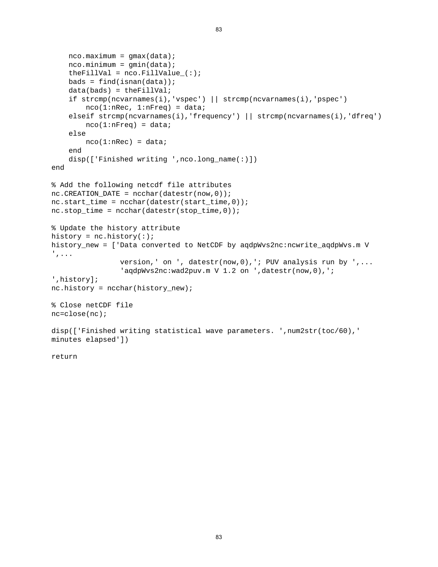```
nco.maximum = qmax(data);nco.minimum = gmin(data);theFillVal = nco.FillValue (:);
    bads = find(isan(data)); data(bads) = theFillVal; 
     if strcmp(ncvarnames(i),'vspec') || strcmp(ncvarnames(i),'pspec') 
        nco(1:nRec, 1:nFreq) = data; elseif strcmp(ncvarnames(i),'frequency') || strcmp(ncvarnames(i),'dfreq') 
        nco(1:nFreq) = data; else 
        nco(1:nRec) = data; end 
     disp(['Finished writing ',nco.long_name(:)]) 
end 
% Add the following netcdf file attributes 
nc.CREATION DATE = ncchar(datestr(now,0));nc.start_time = ncchar(datestr(start_time,0)); 
nc.stop_time = ncchar(datestr(stop_time,0));% Update the history attribute 
history = nc.history(:);
history_new = ['Data converted to NetCDF by aqdpWvs2nc:ncwrite_aqdpWvs.m V 
',... 
                 version,' on ', datestr(now,0),'; PUV analysis run by ',... 
                 'aqdpWvs2nc:wad2puv.m V 1.2 on ',datestr(now,0),'; 
',history]; 
nc.history = ncchar(history_new); 
% Close netCDF file 
nc=close(nc); 
disp(['Finished writing statistical wave parameters. ',num2str(toc/60),' 
minutes elapsed'])
```
83

return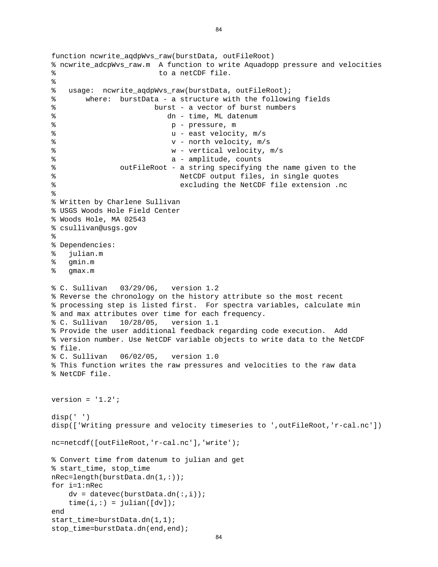```
function ncwrite aqdpWvs raw(burstData, outFileRoot)
% ncwrite_adcpWvs_raw.m A function to write Aquadopp pressure and velocities 
% to a netCDF file. 
% 
% usage: ncwrite_aqdpWvs_raw(burstData, outFileRoot); 
% where: burstData - a structure with the following fields 
% burst - a vector of burst numbers 
% dn - time, ML datenum 
% p - pressure, m 
% u - east velocity, m/s 
% v - north velocity, m/s 
% w - vertical velocity, m/s 
% a - amplitude, counts
% outFileRoot - a string specifying the name given to the 
% NetCDF output files, in single quotes 
% excluding the NetCDF file extension .nc 
% 
% Written by Charlene Sullivan 
% USGS Woods Hole Field Center 
% Woods Hole, MA 02543 
% csullivan@usgs.gov 
% 
% Dependencies: 
% julian.m 
% gmin.m 
% gmax.m 
% C. Sullivan 03/29/06, version 1.2 
% Reverse the chronology on the history attribute so the most recent 
% processing step is listed first. For spectra variables, calculate min 
% and max attributes over time for each frequency. 
% C. Sullivan 10/28/05, version 1.1 
% Provide the user additional feedback regarding code execution. Add 
% version number. Use NetCDF variable objects to write data to the NetCDF 
% file. 
% C. Sullivan 06/02/05, version 1.0 
% This function writes the raw pressures and velocities to the raw data 
% NetCDF file. 
version = '1.2';
disp(' ') 
disp(['Writing pressure and velocity timeseries to ',outFileRoot,'r-cal.nc']) 
nc=netcdf([outFileRoot,'r-cal.nc'],'write'); 
% Convert time from datenum to julian and get 
% start_time, stop_time 
nRec=length(burstData.dn(1,:)); 
for i=1:nRec 
   dv = datevec(burstData.dn(:,i));time(i,:) = julian([dv]);end 
start_time=burstData.dn(1,1); 
stop time=burstData.dn(end,end);
```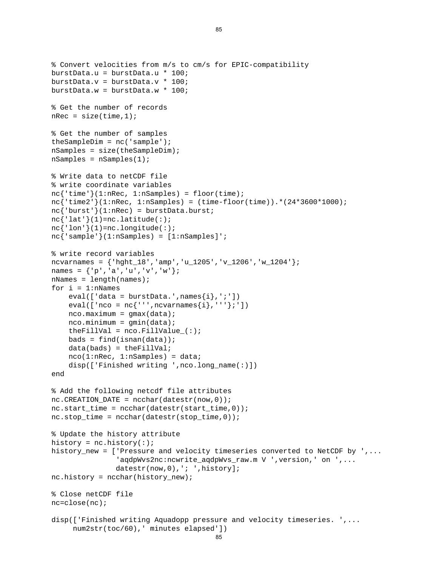```
 num2str(toc/60),' minutes elapsed']) 
% Convert velocities from m/s to cm/s for EPIC-compatibility 
burstData.u = burstData.u * 100; 
burstData.v = burstData.v * 100; 
burstData.w = burstData.w * 100; 
% Get the number of records 
nRec = size(time, 1);% Get the number of samples 
theSampleDim = nc('sample'); 
nSamples = size(theSampleDim); 
nSamples = nSamples(1); 
% Write data to netCDF file 
% write coordinate variables 
nc{'time'}(1:nRec, 1:nSamples) = floor(time);nc{'time2'}(1:nRec, 1:nSamples) = (time-floor(time)).*(24*3600*1000);nc{'burst'}(1:nRec) = burstData.burst;nc{'\;lat'\;}(1)=nc.latitude(:);nc{'lon'(1)=nc.longitude(:);
nc{'sample'}(1:nSamples) = [1:nSamples]'; 
% write record variables 
ncvarnames = \{ 'hght_18', 'amp', 'u_1205', 'v_1206', 'w_1204' \};names = \{ 'p', 'a', 'u', 'v', 'w' \};
nNames = length(names);
for i = 1:nNames
    eval([ 'data = burstData'.',names{i}, ';' ] )eval([ 'nco = nc' ' ' ' , ncvarnames{i}, ' ' ''};' ])
    nco.maximum = gmax(data);nco.minimum = gmin(data);theFillVal = nco.FillValue(:);
    bads = find(isan(data));
     data(bads) = theFillVal; 
    nco(1:nRec, 1:nSamples) = data; disp(['Finished writing ',nco.long_name(:)]) 
end 
% Add the following netcdf file attributes 
nc.CREATION DATE = ncchar(datestr(now,0));nc.start_time = ncchar(datestr(start_time, 0));
nc.stop_time = ncchar(datestr(stop_time,0));% Update the history attribute 
history = nc.history(:);
history new = ['Pressure and velocity timeseries converted to NetCDF by ', \ldots'aqdpWvs2nc:ncwrite_aqdpWvs_raw.m V ',version,' on ',...
               datestr(now, 0), '; ', history];
nc.history = ncchar(history_new); 
% Close netCDF file 
nc=close(nc); 
disp(['Finished writing Aquadopp pressure and velocity timeseries. ',...
```